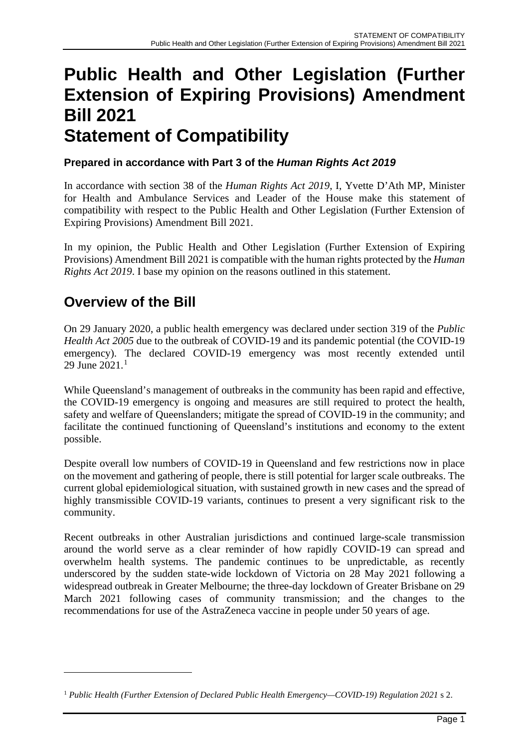# **Public Health and Other Legislation (Further Extension of Expiring Provisions) Amendment Bill 2021 Statement of Compatibility**

# **Prepared in accordance with Part 3 of the** *Human Rights Act 2019*

In accordance with section 38 of the *Human Rights Act 2019*, I, Yvette D'Ath MP, Minister for Health and Ambulance Services and Leader of the House make this statement of compatibility with respect to the Public Health and Other Legislation (Further Extension of Expiring Provisions) Amendment Bill 2021.

In my opinion, the Public Health and Other Legislation (Further Extension of Expiring Provisions) Amendment Bill 2021 is compatible with the human rights protected by the *Human Rights Act 2019*. I base my opinion on the reasons outlined in this statement.

# **Overview of the Bill**

On 29 January 2020, a public health emergency was declared under section 319 of the *Public Health Act 2005* due to the outbreak of COVID-19 and its pandemic potential (the COVID-19 emergency). The declared COVID-19 emergency was most recently extended until 29 June 202[1](#page-0-0).<sup>1</sup>

While Queensland's management of outbreaks in the community has been rapid and effective, the COVID-19 emergency is ongoing and measures are still required to protect the health, safety and welfare of Queenslanders; mitigate the spread of COVID-19 in the community; and facilitate the continued functioning of Queensland's institutions and economy to the extent possible.

Despite overall low numbers of COVID-19 in Queensland and few restrictions now in place on the movement and gathering of people, there is still potential for larger scale outbreaks. The current global epidemiological situation, with sustained growth in new cases and the spread of highly transmissible COVID-19 variants, continues to present a very significant risk to the community.

Recent outbreaks in other Australian jurisdictions and continued large-scale transmission around the world serve as a clear reminder of how rapidly COVID-19 can spread and overwhelm health systems. The pandemic continues to be unpredictable, as recently underscored by the sudden state-wide lockdown of Victoria on 28 May 2021 following a widespread outbreak in Greater Melbourne; the three-day lockdown of Greater Brisbane on 29 March 2021 following cases of community transmission; and the changes to the recommendations for use of the AstraZeneca vaccine in people under 50 years of age.

<span id="page-0-0"></span><sup>1</sup> *Public Health (Further Extension of Declared Public Health Emergency—COVID-19) Regulation 2021* s 2.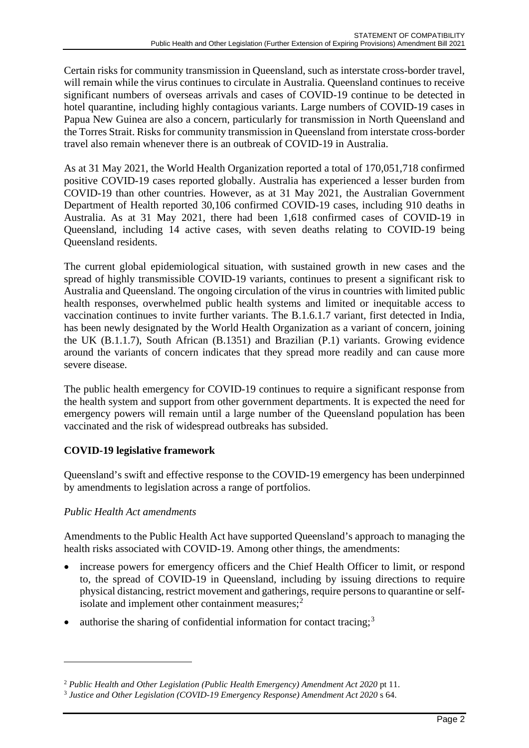Certain risks for community transmission in Queensland, such as interstate cross-border travel, will remain while the virus continues to circulate in Australia. Queensland continues to receive significant numbers of overseas arrivals and cases of COVID-19 continue to be detected in hotel quarantine, including highly contagious variants. Large numbers of COVID-19 cases in Papua New Guinea are also a concern, particularly for transmission in North Queensland and the Torres Strait. Risks for community transmission in Queensland from interstate cross-border travel also remain whenever there is an outbreak of COVID-19 in Australia.

As at 31 May 2021, the World Health Organization reported a total of 170,051,718 confirmed positive COVID-19 cases reported globally. Australia has experienced a lesser burden from COVID-19 than other countries. However, as at 31 May 2021, the Australian Government Department of Health reported 30,106 confirmed COVID-19 cases, including 910 deaths in Australia. As at 31 May 2021, there had been 1,618 confirmed cases of COVID-19 in Queensland, including 14 active cases, with seven deaths relating to COVID-19 being Queensland residents.

The current global epidemiological situation, with sustained growth in new cases and the spread of highly transmissible COVID-19 variants, continues to present a significant risk to Australia and Queensland. The ongoing circulation of the virus in countries with limited public health responses, overwhelmed public health systems and limited or inequitable access to vaccination continues to invite further variants. The B.1.6.1.7 variant, first detected in India, has been newly designated by the World Health Organization as a variant of concern, joining the UK (B.1.1.7), South African (B.1351) and Brazilian (P.1) variants. Growing evidence around the variants of concern indicates that they spread more readily and can cause more severe disease.

The public health emergency for COVID-19 continues to require a significant response from the health system and support from other government departments. It is expected the need for emergency powers will remain until a large number of the Queensland population has been vaccinated and the risk of widespread outbreaks has subsided.

# **COVID-19 legislative framework**

Queensland's swift and effective response to the COVID-19 emergency has been underpinned by amendments to legislation across a range of portfolios.

# *Public Health Act amendments*

Amendments to the Public Health Act have supported Queensland's approach to managing the health risks associated with COVID-19. Among other things, the amendments:

- increase powers for emergency officers and the Chief Health Officer to limit, or respond to, the spread of COVID-19 in Queensland, including by issuing directions to require physical distancing, restrict movement and gatherings, require persons to quarantine or self-isolate and implement other containment measures;<sup>[2](#page-1-0)</sup>
- authorise the sharing of confidential information for contact tracing;<sup>[3](#page-1-1)</sup>

<span id="page-1-0"></span><sup>2</sup> *Public Health and Other Legislation (Public Health Emergency) Amendment Act 2020* pt 11.

<span id="page-1-1"></span><sup>3</sup> *Justice and Other Legislation (COVID-19 Emergency Response) Amendment Act 2020* s 64.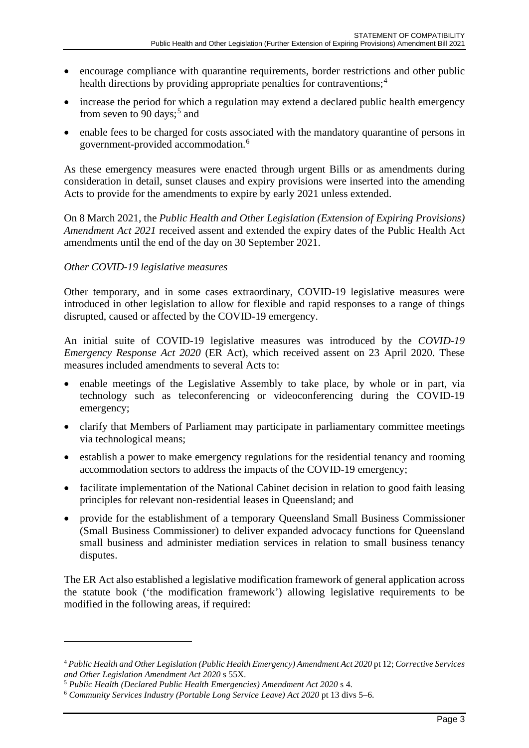- encourage compliance with quarantine requirements, border restrictions and other public health directions by providing appropriate penalties for contraventions; [4](#page-2-0)
- increase the period for which a regulation may extend a declared public health emergency from seven to 90 days;<sup>[5](#page-2-1)</sup> and
- enable fees to be charged for costs associated with the mandatory quarantine of persons in government-provided accommodation. [6](#page-2-2)

As these emergency measures were enacted through urgent Bills or as amendments during consideration in detail, sunset clauses and expiry provisions were inserted into the amending Acts to provide for the amendments to expire by early 2021 unless extended.

On 8 March 2021, the *Public Health and Other Legislation (Extension of Expiring Provisions) Amendment Act 2021* received assent and extended the expiry dates of the Public Health Act amendments until the end of the day on 30 September 2021.

## *Other COVID-19 legislative measures*

Other temporary, and in some cases extraordinary, COVID-19 legislative measures were introduced in other legislation to allow for flexible and rapid responses to a range of things disrupted, caused or affected by the COVID-19 emergency.

An initial suite of COVID-19 legislative measures was introduced by the *COVID-19 Emergency Response Act 2020* (ER Act), which received assent on 23 April 2020. These measures included amendments to several Acts to:

- enable meetings of the Legislative Assembly to take place, by whole or in part, via technology such as teleconferencing or videoconferencing during the COVID-19 emergency;
- clarify that Members of Parliament may participate in parliamentary committee meetings via technological means;
- establish a power to make emergency regulations for the residential tenancy and rooming accommodation sectors to address the impacts of the COVID-19 emergency;
- facilitate implementation of the National Cabinet decision in relation to good faith leasing principles for relevant non-residential leases in Queensland; and
- provide for the establishment of a temporary Queensland Small Business Commissioner (Small Business Commissioner) to deliver expanded advocacy functions for Queensland small business and administer mediation services in relation to small business tenancy disputes.

The ER Act also established a legislative modification framework of general application across the statute book ('the modification framework') allowing legislative requirements to be modified in the following areas, if required:

<span id="page-2-0"></span><sup>4</sup> *Public Health and Other Legislation (Public Health Emergency) Amendment Act 2020* pt 12; *Corrective Services and Other Legislation Amendment Act 2020* s 55X.

<span id="page-2-1"></span><sup>5</sup> *Public Health (Declared Public Health Emergencies) Amendment Act 2020* s 4.

<span id="page-2-2"></span><sup>6</sup> *Community Services Industry (Portable Long Service Leave) Act 2020* pt 13 divs 5–6.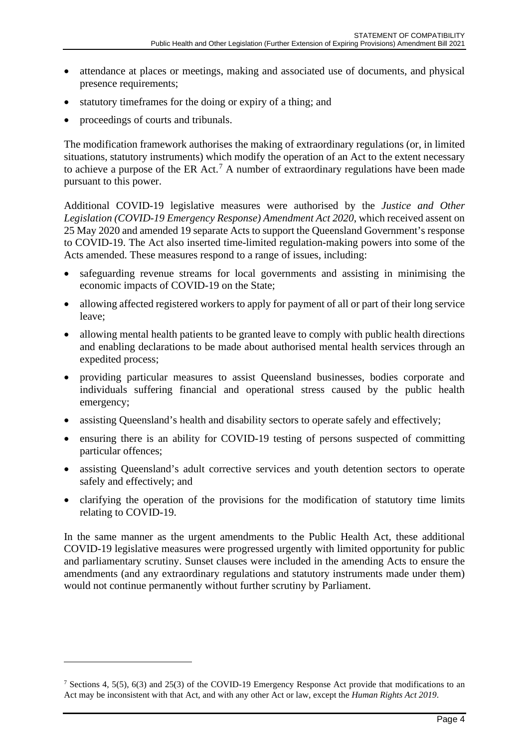- attendance at places or meetings, making and associated use of documents, and physical presence requirements;
- statutory timeframes for the doing or expiry of a thing; and
- proceedings of courts and tribunals.

The modification framework authorises the making of extraordinary regulations (or, in limited situations, statutory instruments) which modify the operation of an Act to the extent necessary to achieve a purpose of the ER Act.<sup>[7](#page-3-0)</sup> A number of extraordinary regulations have been made pursuant to this power.

Additional COVID-19 legislative measures were authorised by the *Justice and Other Legislation (COVID-19 Emergency Response) Amendment Act 2020*, which received assent on 25 May 2020 and amended 19 separate Acts to support the Queensland Government's response to COVID-19. The Act also inserted time-limited regulation-making powers into some of the Acts amended. These measures respond to a range of issues, including:

- safeguarding revenue streams for local governments and assisting in minimising the economic impacts of COVID-19 on the State;
- allowing affected registered workers to apply for payment of all or part of their long service leave;
- allowing mental health patients to be granted leave to comply with public health directions and enabling declarations to be made about authorised mental health services through an expedited process;
- providing particular measures to assist Queensland businesses, bodies corporate and individuals suffering financial and operational stress caused by the public health emergency;
- assisting Queensland's health and disability sectors to operate safely and effectively;
- ensuring there is an ability for COVID-19 testing of persons suspected of committing particular offences;
- assisting Queensland's adult corrective services and youth detention sectors to operate safely and effectively; and
- clarifying the operation of the provisions for the modification of statutory time limits relating to COVID-19.

In the same manner as the urgent amendments to the Public Health Act, these additional COVID-19 legislative measures were progressed urgently with limited opportunity for public and parliamentary scrutiny. Sunset clauses were included in the amending Acts to ensure the amendments (and any extraordinary regulations and statutory instruments made under them) would not continue permanently without further scrutiny by Parliament.

<span id="page-3-0"></span><sup>&</sup>lt;sup>7</sup> Sections 4, 5(5), 6(3) and 25(3) of the COVID-19 Emergency Response Act provide that modifications to an Act may be inconsistent with that Act, and with any other Act or law, except the *Human Rights Act 2019*.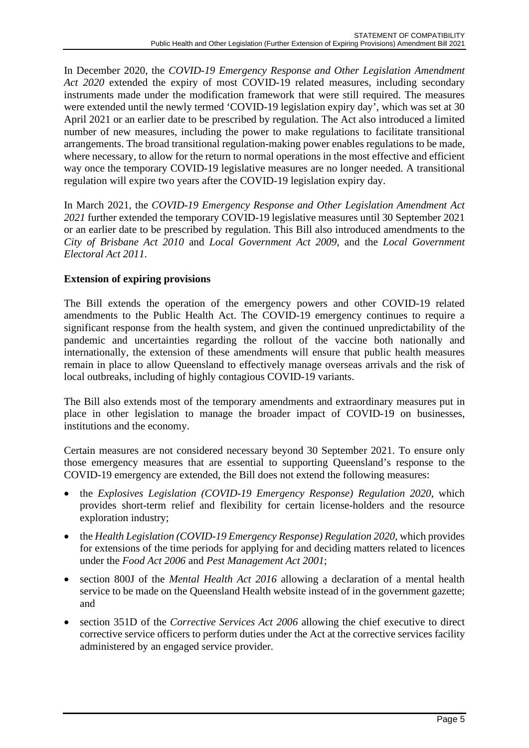In December 2020, the *COVID-19 Emergency Response and Other Legislation Amendment Act 2020* extended the expiry of most COVID-19 related measures, including secondary instruments made under the modification framework that were still required. The measures were extended until the newly termed 'COVID-19 legislation expiry day', which was set at 30 April 2021 or an earlier date to be prescribed by regulation. The Act also introduced a limited number of new measures, including the power to make regulations to facilitate transitional arrangements. The broad transitional regulation-making power enables regulations to be made, where necessary, to allow for the return to normal operations in the most effective and efficient way once the temporary COVID-19 legislative measures are no longer needed. A transitional regulation will expire two years after the COVID-19 legislation expiry day.

In March 2021, the *COVID-19 Emergency Response and Other Legislation Amendment Act 2021* further extended the temporary COVID-19 legislative measures until 30 September 2021 or an earlier date to be prescribed by regulation. This Bill also introduced amendments to the *City of Brisbane Act 2010* and *Local Government Act 2009*, and the *Local Government Electoral Act 2011*.

# **Extension of expiring provisions**

The Bill extends the operation of the emergency powers and other COVID-19 related amendments to the Public Health Act. The COVID-19 emergency continues to require a significant response from the health system, and given the continued unpredictability of the pandemic and uncertainties regarding the rollout of the vaccine both nationally and internationally, the extension of these amendments will ensure that public health measures remain in place to allow Queensland to effectively manage overseas arrivals and the risk of local outbreaks, including of highly contagious COVID-19 variants.

The Bill also extends most of the temporary amendments and extraordinary measures put in place in other legislation to manage the broader impact of COVID-19 on businesses, institutions and the economy.

Certain measures are not considered necessary beyond 30 September 2021. To ensure only those emergency measures that are essential to supporting Queensland's response to the COVID-19 emergency are extended, the Bill does not extend the following measures:

- the *Explosives Legislation (COVID-19 Emergency Response) Regulation 2020*, which provides short-term relief and flexibility for certain license-holders and the resource exploration industry;
- the *Health Legislation (COVID-19 Emergency Response) Regulation 2020*, which provides for extensions of the time periods for applying for and deciding matters related to licences under the *Food Act 2006* and *Pest Management Act 2001*;
- section 800J of the *Mental Health Act 2016* allowing a declaration of a mental health service to be made on the Queensland Health website instead of in the government gazette; and
- section 351D of the *Corrective Services Act 2006* allowing the chief executive to direct corrective service officers to perform duties under the Act at the corrective services facility administered by an engaged service provider.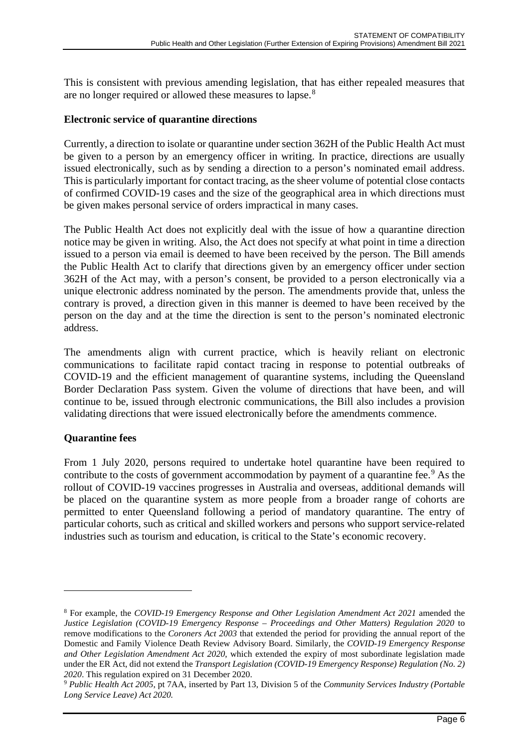This is consistent with previous amending legislation, that has either repealed measures that are no longer required or allowed these measures to lapse.<sup>[8](#page-5-0)</sup>

## **Electronic service of quarantine directions**

Currently, a direction to isolate or quarantine under section 362H of the Public Health Act must be given to a person by an emergency officer in writing. In practice, directions are usually issued electronically, such as by sending a direction to a person's nominated email address. This is particularly important for contact tracing, as the sheer volume of potential close contacts of confirmed COVID-19 cases and the size of the geographical area in which directions must be given makes personal service of orders impractical in many cases.

The Public Health Act does not explicitly deal with the issue of how a quarantine direction notice may be given in writing. Also, the Act does not specify at what point in time a direction issued to a person via email is deemed to have been received by the person. The Bill amends the Public Health Act to clarify that directions given by an emergency officer under section 362H of the Act may, with a person's consent, be provided to a person electronically via a unique electronic address nominated by the person. The amendments provide that, unless the contrary is proved, a direction given in this manner is deemed to have been received by the person on the day and at the time the direction is sent to the person's nominated electronic address.

The amendments align with current practice, which is heavily reliant on electronic communications to facilitate rapid contact tracing in response to potential outbreaks of COVID-19 and the efficient management of quarantine systems, including the Queensland Border Declaration Pass system. Given the volume of directions that have been, and will continue to be, issued through electronic communications, the Bill also includes a provision validating directions that were issued electronically before the amendments commence.

## **Quarantine fees**

From 1 July 2020, persons required to undertake hotel quarantine have been required to contribute to the costs of government accommodation by payment of a quarantine fee.<sup>[9](#page-5-1)</sup> As the rollout of COVID-19 vaccines progresses in Australia and overseas, additional demands will be placed on the quarantine system as more people from a broader range of cohorts are permitted to enter Queensland following a period of mandatory quarantine. The entry of particular cohorts, such as critical and skilled workers and persons who support service-related industries such as tourism and education, is critical to the State's economic recovery.

<span id="page-5-0"></span><sup>8</sup> For example, the *COVID-19 Emergency Response and Other Legislation Amendment Act 2021* amended the *Justice Legislation (COVID-19 Emergency Response – Proceedings and Other Matters) Regulation 2020* to remove modifications to the *Coroners Act 2003* that extended the period for providing the annual report of the Domestic and Family Violence Death Review Advisory Board. Similarly, the *COVID-19 Emergency Response and Other Legislation Amendment Act 2020*, which extended the expiry of most subordinate legislation made under the ER Act, did not extend the *Transport Legislation (COVID-19 Emergency Response) Regulation (No. 2) 2020*. This regulation expired on 31 December 2020.

<span id="page-5-1"></span><sup>9</sup> *Public Health Act 2005*, pt 7AA, inserted by Part 13, Division 5 of the *Community Services Industry (Portable Long Service Leave) Act 2020.*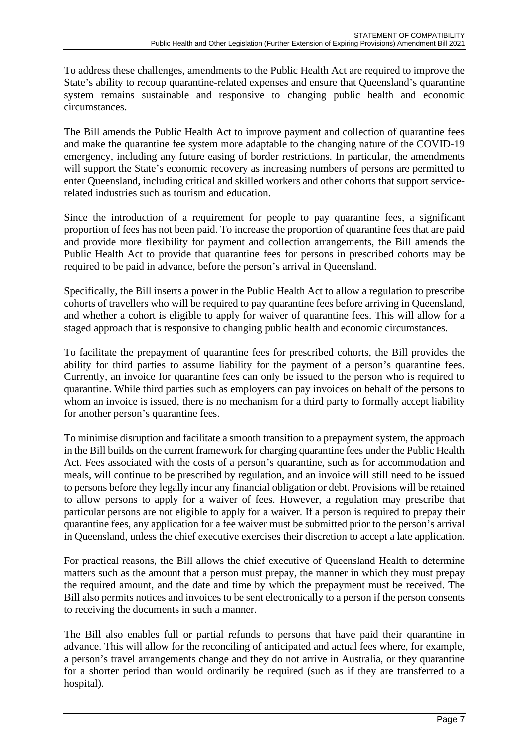To address these challenges, amendments to the Public Health Act are required to improve the State's ability to recoup quarantine-related expenses and ensure that Queensland's quarantine system remains sustainable and responsive to changing public health and economic circumstances.

The Bill amends the Public Health Act to improve payment and collection of quarantine fees and make the quarantine fee system more adaptable to the changing nature of the COVID-19 emergency, including any future easing of border restrictions. In particular, the amendments will support the State's economic recovery as increasing numbers of persons are permitted to enter Queensland, including critical and skilled workers and other cohorts that support servicerelated industries such as tourism and education.

Since the introduction of a requirement for people to pay quarantine fees, a significant proportion of fees has not been paid. To increase the proportion of quarantine fees that are paid and provide more flexibility for payment and collection arrangements, the Bill amends the Public Health Act to provide that quarantine fees for persons in prescribed cohorts may be required to be paid in advance, before the person's arrival in Queensland.

Specifically, the Bill inserts a power in the Public Health Act to allow a regulation to prescribe cohorts of travellers who will be required to pay quarantine fees before arriving in Queensland, and whether a cohort is eligible to apply for waiver of quarantine fees. This will allow for a staged approach that is responsive to changing public health and economic circumstances.

To facilitate the prepayment of quarantine fees for prescribed cohorts, the Bill provides the ability for third parties to assume liability for the payment of a person's quarantine fees. Currently, an invoice for quarantine fees can only be issued to the person who is required to quarantine. While third parties such as employers can pay invoices on behalf of the persons to whom an invoice is issued, there is no mechanism for a third party to formally accept liability for another person's quarantine fees.

To minimise disruption and facilitate a smooth transition to a prepayment system, the approach in the Bill builds on the current framework for charging quarantine fees under the Public Health Act. Fees associated with the costs of a person's quarantine, such as for accommodation and meals, will continue to be prescribed by regulation, and an invoice will still need to be issued to persons before they legally incur any financial obligation or debt. Provisions will be retained to allow persons to apply for a waiver of fees. However, a regulation may prescribe that particular persons are not eligible to apply for a waiver. If a person is required to prepay their quarantine fees, any application for a fee waiver must be submitted prior to the person's arrival in Queensland, unless the chief executive exercises their discretion to accept a late application.

For practical reasons, the Bill allows the chief executive of Queensland Health to determine matters such as the amount that a person must prepay, the manner in which they must prepay the required amount, and the date and time by which the prepayment must be received. The Bill also permits notices and invoices to be sent electronically to a person if the person consents to receiving the documents in such a manner.

The Bill also enables full or partial refunds to persons that have paid their quarantine in advance. This will allow for the reconciling of anticipated and actual fees where, for example, a person's travel arrangements change and they do not arrive in Australia, or they quarantine for a shorter period than would ordinarily be required (such as if they are transferred to a hospital).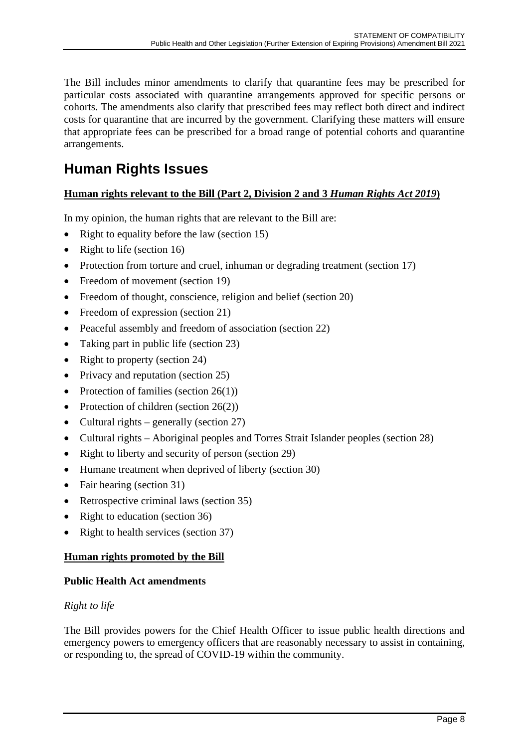The Bill includes minor amendments to clarify that quarantine fees may be prescribed for particular costs associated with quarantine arrangements approved for specific persons or cohorts. The amendments also clarify that prescribed fees may reflect both direct and indirect costs for quarantine that are incurred by the government. Clarifying these matters will ensure that appropriate fees can be prescribed for a broad range of potential cohorts and quarantine arrangements.

# **Human Rights Issues**

# **Human rights relevant to the Bill (Part 2, Division 2 and 3** *Human Rights Act 2019***)**

In my opinion, the human rights that are relevant to the Bill are:

- Right to equality before the law (section 15)
- Right to life (section 16)
- Protection from torture and cruel, inhuman or degrading treatment (section 17)
- Freedom of movement (section 19)
- Freedom of thought, conscience, religion and belief (section 20)
- Freedom of expression (section 21)
- Peaceful assembly and freedom of association (section 22)
- Taking part in public life (section 23)
- Right to property (section 24)
- Privacy and reputation (section 25)
- Protection of families (section  $26(1)$ )
- Protection of children (section 26(2))
- Cultural rights generally (section  $27$ )
- Cultural rights Aboriginal peoples and Torres Strait Islander peoples (section 28)
- Right to liberty and security of person (section 29)
- Humane treatment when deprived of liberty (section 30)
- Fair hearing (section 31)
- Retrospective criminal laws (section 35)
- Right to education (section 36)
- Right to health services (section 37)

## **Human rights promoted by the Bill**

## **Public Health Act amendments**

## *Right to life*

The Bill provides powers for the Chief Health Officer to issue public health directions and emergency powers to emergency officers that are reasonably necessary to assist in containing, or responding to, the spread of COVID-19 within the community.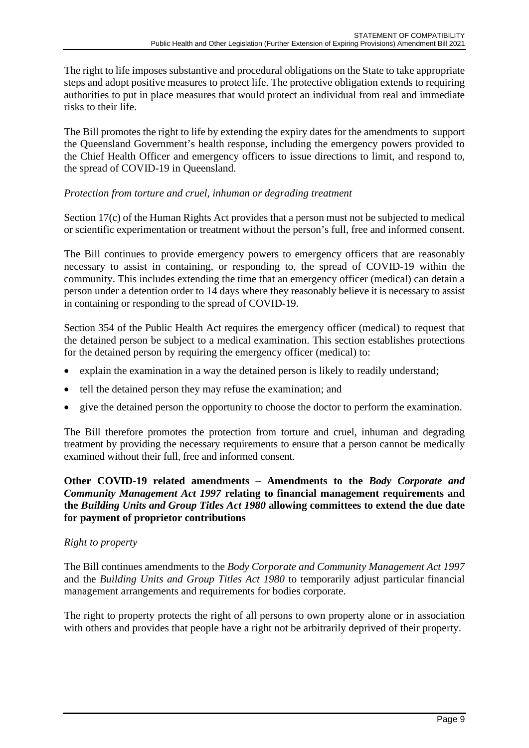The right to life imposes substantive and procedural obligations on the State to take appropriate steps and adopt positive measures to protect life. The protective obligation extends to requiring authorities to put in place measures that would protect an individual from real and immediate risks to their life.

The Bill promotes the right to life by extending the expiry dates for the amendments to support the Queensland Government's health response, including the emergency powers provided to the Chief Health Officer and emergency officers to issue directions to limit, and respond to, the spread of COVID-19 in Queensland.

#### *Protection from torture and cruel, inhuman or degrading treatment*

Section 17(c) of the Human Rights Act provides that a person must not be subjected to medical or scientific experimentation or treatment without the person's full, free and informed consent.

The Bill continues to provide emergency powers to emergency officers that are reasonably necessary to assist in containing, or responding to, the spread of COVID-19 within the community. This includes extending the time that an emergency officer (medical) can detain a person under a detention order to 14 days where they reasonably believe it is necessary to assist in containing or responding to the spread of COVID-19.

Section 354 of the Public Health Act requires the emergency officer (medical) to request that the detained person be subject to a medical examination. This section establishes protections for the detained person by requiring the emergency officer (medical) to:

- explain the examination in a way the detained person is likely to readily understand;
- tell the detained person they may refuse the examination; and
- give the detained person the opportunity to choose the doctor to perform the examination.

The Bill therefore promotes the protection from torture and cruel, inhuman and degrading treatment by providing the necessary requirements to ensure that a person cannot be medically examined without their full, free and informed consent.

**Other COVID-19 related amendments – Amendments to the** *Body Corporate and Community Management Act 1997* **relating to financial management requirements and the** *Building Units and Group Titles Act 1980* **allowing committees to extend the due date for payment of proprietor contributions**

## *Right to property*

The Bill continues amendments to the *Body Corporate and Community Management Act 1997* and the *Building Units and Group Titles Act 1980* to temporarily adjust particular financial management arrangements and requirements for bodies corporate.

The right to property protects the right of all persons to own property alone or in association with others and provides that people have a right not be arbitrarily deprived of their property.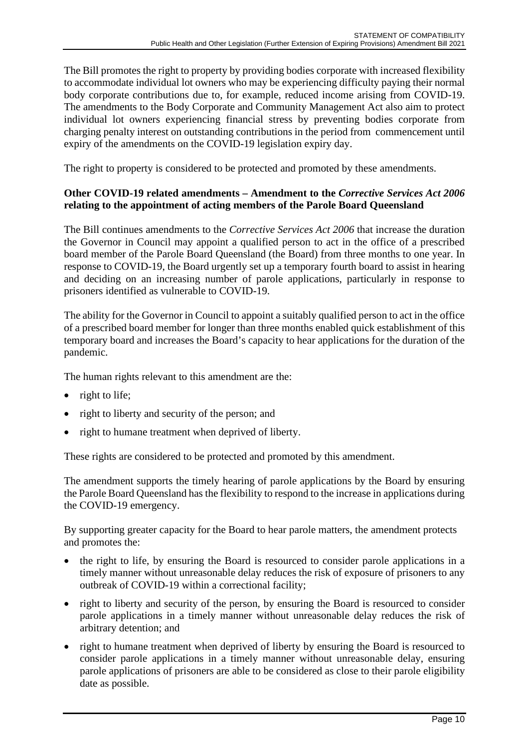The Bill promotes the right to property by providing bodies corporate with increased flexibility to accommodate individual lot owners who may be experiencing difficulty paying their normal body corporate contributions due to, for example, reduced income arising from COVID-19. The amendments to the Body Corporate and Community Management Act also aim to protect individual lot owners experiencing financial stress by preventing bodies corporate from charging penalty interest on outstanding contributions in the period from commencement until expiry of the amendments on the COVID-19 legislation expiry day.

The right to property is considered to be protected and promoted by these amendments.

## **Other COVID-19 related amendments – Amendment to the** *Corrective Services Act 2006* **relating to the appointment of acting members of the Parole Board Queensland**

The Bill continues amendments to the *Corrective Services Act 2006* that increase the duration the Governor in Council may appoint a qualified person to act in the office of a prescribed board member of the Parole Board Queensland (the Board) from three months to one year. In response to COVID-19, the Board urgently set up a temporary fourth board to assist in hearing and deciding on an increasing number of parole applications, particularly in response to prisoners identified as vulnerable to COVID-19.

The ability for the Governor in Council to appoint a suitably qualified person to act in the office of a prescribed board member for longer than three months enabled quick establishment of this temporary board and increases the Board's capacity to hear applications for the duration of the pandemic.

The human rights relevant to this amendment are the:

- right to life;
- right to liberty and security of the person; and
- right to humane treatment when deprived of liberty.

These rights are considered to be protected and promoted by this amendment.

The amendment supports the timely hearing of parole applications by the Board by ensuring the Parole Board Queensland has the flexibility to respond to the increase in applications during the COVID-19 emergency.

By supporting greater capacity for the Board to hear parole matters, the amendment protects and promotes the:

- the right to life, by ensuring the Board is resourced to consider parole applications in a timely manner without unreasonable delay reduces the risk of exposure of prisoners to any outbreak of COVID-19 within a correctional facility;
- right to liberty and security of the person, by ensuring the Board is resourced to consider parole applications in a timely manner without unreasonable delay reduces the risk of arbitrary detention; and
- right to humane treatment when deprived of liberty by ensuring the Board is resourced to consider parole applications in a timely manner without unreasonable delay, ensuring parole applications of prisoners are able to be considered as close to their parole eligibility date as possible.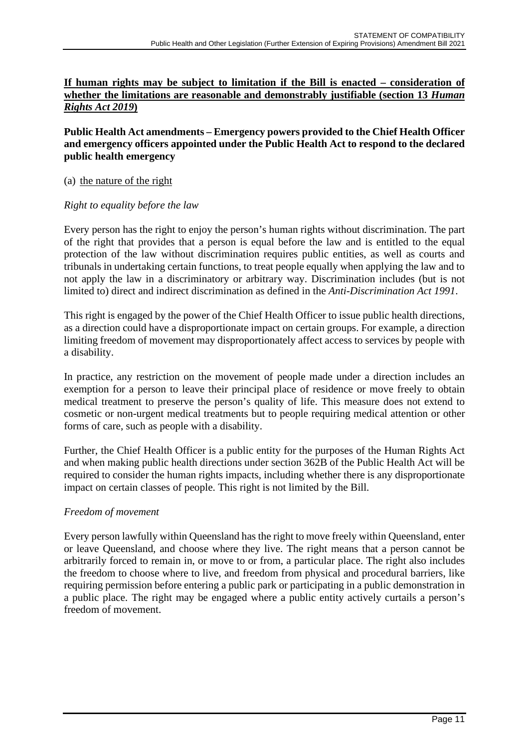# **If human rights may be subject to limitation if the Bill is enacted – consideration of whether the limitations are reasonable and demonstrably justifiable (section 13** *Human Rights Act 2019***)**

## **Public Health Act amendments – Emergency powers provided to the Chief Health Officer and emergency officers appointed under the Public Health Act to respond to the declared public health emergency**

#### (a) the nature of the right

## *Right to equality before the law*

Every person has the right to enjoy the person's human rights without discrimination. The part of the right that provides that a person is equal before the law and is entitled to the equal protection of the law without discrimination requires public entities, as well as courts and tribunals in undertaking certain functions, to treat people equally when applying the law and to not apply the law in a discriminatory or arbitrary way. Discrimination includes (but is not limited to) direct and indirect discrimination as defined in the *Anti-Discrimination Act 1991*.

This right is engaged by the power of the Chief Health Officer to issue public health directions, as a direction could have a disproportionate impact on certain groups. For example, a direction limiting freedom of movement may disproportionately affect access to services by people with a disability.

In practice, any restriction on the movement of people made under a direction includes an exemption for a person to leave their principal place of residence or move freely to obtain medical treatment to preserve the person's quality of life. This measure does not extend to cosmetic or non-urgent medical treatments but to people requiring medical attention or other forms of care, such as people with a disability.

Further, the Chief Health Officer is a public entity for the purposes of the Human Rights Act and when making public health directions under section 362B of the Public Health Act will be required to consider the human rights impacts, including whether there is any disproportionate impact on certain classes of people. This right is not limited by the Bill.

## *Freedom of movement*

Every person lawfully within Queensland has the right to move freely within Queensland, enter or leave Queensland, and choose where they live. The right means that a person cannot be arbitrarily forced to remain in, or move to or from, a particular place. The right also includes the freedom to choose where to live, and freedom from physical and procedural barriers, like requiring permission before entering a public park or participating in a public demonstration in a public place. The right may be engaged where a public entity actively curtails a person's freedom of movement.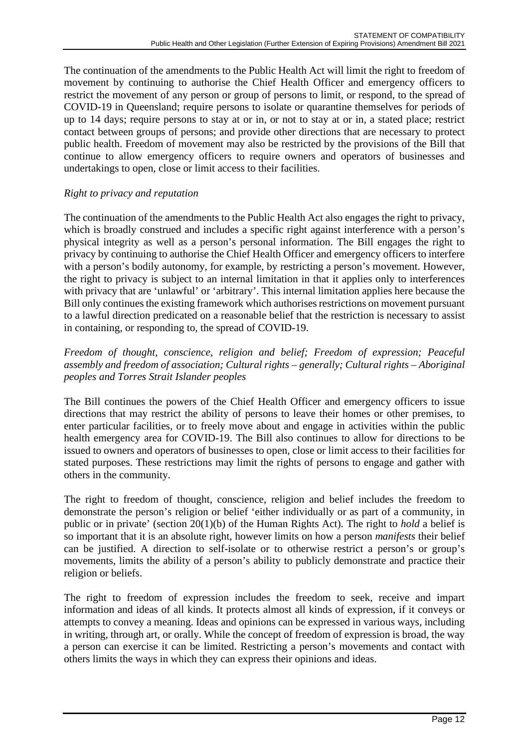The continuation of the amendments to the Public Health Act will limit the right to freedom of movement by continuing to authorise the Chief Health Officer and emergency officers to restrict the movement of any person or group of persons to limit, or respond, to the spread of COVID-19 in Queensland; require persons to isolate or quarantine themselves for periods of up to 14 days; require persons to stay at or in, or not to stay at or in, a stated place; restrict contact between groups of persons; and provide other directions that are necessary to protect public health. Freedom of movement may also be restricted by the provisions of the Bill that continue to allow emergency officers to require owners and operators of businesses and undertakings to open, close or limit access to their facilities.

# *Right to privacy and reputation*

The continuation of the amendments to the Public Health Act also engages the right to privacy, which is broadly construed and includes a specific right against interference with a person's physical integrity as well as a person's personal information. The Bill engages the right to privacy by continuing to authorise the Chief Health Officer and emergency officers to interfere with a person's bodily autonomy, for example, by restricting a person's movement. However, the right to privacy is subject to an internal limitation in that it applies only to interferences with privacy that are 'unlawful' or 'arbitrary'. This internal limitation applies here because the Bill only continues the existing framework which authorises restrictions on movement pursuant to a lawful direction predicated on a reasonable belief that the restriction is necessary to assist in containing, or responding to, the spread of COVID-19.

*Freedom of thought, conscience, religion and belief; Freedom of expression; Peaceful assembly and freedom of association; Cultural rights – generally; Cultural rights – Aboriginal peoples and Torres Strait Islander peoples*

The Bill continues the powers of the Chief Health Officer and emergency officers to issue directions that may restrict the ability of persons to leave their homes or other premises, to enter particular facilities, or to freely move about and engage in activities within the public health emergency area for COVID-19. The Bill also continues to allow for directions to be issued to owners and operators of businesses to open, close or limit access to their facilities for stated purposes. These restrictions may limit the rights of persons to engage and gather with others in the community.

The right to freedom of thought, conscience, religion and belief includes the freedom to demonstrate the person's religion or belief 'either individually or as part of a community, in public or in private' (section 20(1)(b) of the Human Rights Act). The right to *hold* a belief is so important that it is an absolute right, however limits on how a person *manifests* their belief can be justified. A direction to self-isolate or to otherwise restrict a person's or group's movements, limits the ability of a person's ability to publicly demonstrate and practice their religion or beliefs.

The right to freedom of expression includes the freedom to seek, receive and impart information and ideas of all kinds. It protects almost all kinds of expression, if it conveys or attempts to convey a meaning. Ideas and opinions can be expressed in various ways, including in writing, through art, or orally. While the concept of freedom of expression is broad, the way a person can exercise it can be limited. Restricting a person's movements and contact with others limits the ways in which they can express their opinions and ideas.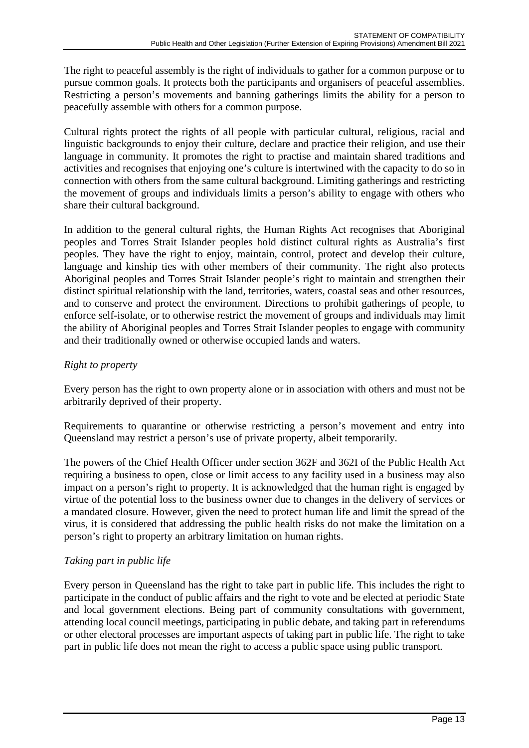The right to peaceful assembly is the right of individuals to gather for a common purpose or to pursue common goals. It protects both the participants and organisers of peaceful assemblies. Restricting a person's movements and banning gatherings limits the ability for a person to peacefully assemble with others for a common purpose.

Cultural rights protect the rights of all people with particular cultural, religious, racial and linguistic backgrounds to enjoy their culture, declare and practice their religion, and use their language in community. It promotes the right to practise and maintain shared traditions and activities and recognises that enjoying one's culture is intertwined with the capacity to do so in connection with others from the same cultural background. Limiting gatherings and restricting the movement of groups and individuals limits a person's ability to engage with others who share their cultural background.

In addition to the general cultural rights, the Human Rights Act recognises that Aboriginal peoples and Torres Strait Islander peoples hold distinct cultural rights as Australia's first peoples. They have the right to enjoy, maintain, control, protect and develop their culture, language and kinship ties with other members of their community. The right also protects Aboriginal peoples and Torres Strait Islander people's right to maintain and strengthen their distinct spiritual relationship with the land, territories, waters, coastal seas and other resources, and to conserve and protect the environment. Directions to prohibit gatherings of people, to enforce self-isolate, or to otherwise restrict the movement of groups and individuals may limit the ability of Aboriginal peoples and Torres Strait Islander peoples to engage with community and their traditionally owned or otherwise occupied lands and waters.

# *Right to property*

Every person has the right to own property alone or in association with others and must not be arbitrarily deprived of their property.

Requirements to quarantine or otherwise restricting a person's movement and entry into Queensland may restrict a person's use of private property, albeit temporarily.

The powers of the Chief Health Officer under section 362F and 362I of the Public Health Act requiring a business to open, close or limit access to any facility used in a business may also impact on a person's right to property. It is acknowledged that the human right is engaged by virtue of the potential loss to the business owner due to changes in the delivery of services or a mandated closure. However, given the need to protect human life and limit the spread of the virus, it is considered that addressing the public health risks do not make the limitation on a person's right to property an arbitrary limitation on human rights.

## *Taking part in public life*

Every person in Queensland has the right to take part in public life. This includes the right to participate in the conduct of public affairs and the right to vote and be elected at periodic State and local government elections. Being part of community consultations with government, attending local council meetings, participating in public debate, and taking part in referendums or other electoral processes are important aspects of taking part in public life. The right to take part in public life does not mean the right to access a public space using public transport.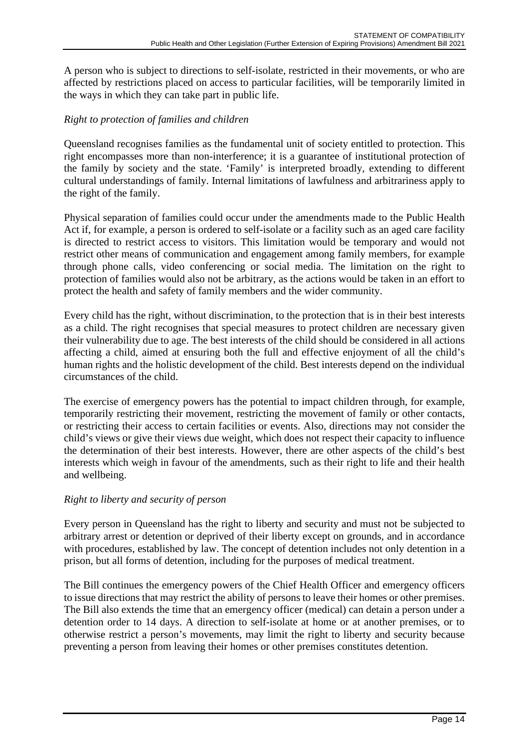A person who is subject to directions to self-isolate, restricted in their movements, or who are affected by restrictions placed on access to particular facilities, will be temporarily limited in the ways in which they can take part in public life.

# *Right to protection of families and children*

Queensland recognises families as the fundamental unit of society entitled to protection. This right encompasses more than non-interference; it is a guarantee of institutional protection of the family by society and the state. 'Family' is interpreted broadly, extending to different cultural understandings of family. Internal limitations of lawfulness and arbitrariness apply to the right of the family.

Physical separation of families could occur under the amendments made to the Public Health Act if, for example, a person is ordered to self-isolate or a facility such as an aged care facility is directed to restrict access to visitors. This limitation would be temporary and would not restrict other means of communication and engagement among family members, for example through phone calls, video conferencing or social media. The limitation on the right to protection of families would also not be arbitrary, as the actions would be taken in an effort to protect the health and safety of family members and the wider community.

Every child has the right, without discrimination, to the protection that is in their best interests as a child. The right recognises that special measures to protect children are necessary given their vulnerability due to age. The best interests of the child should be considered in all actions affecting a child, aimed at ensuring both the full and effective enjoyment of all the child's human rights and the holistic development of the child. Best interests depend on the individual circumstances of the child.

The exercise of emergency powers has the potential to impact children through, for example, temporarily restricting their movement, restricting the movement of family or other contacts, or restricting their access to certain facilities or events. Also, directions may not consider the child's views or give their views due weight, which does not respect their capacity to influence the determination of their best interests. However, there are other aspects of the child's best interests which weigh in favour of the amendments, such as their right to life and their health and wellbeing.

## *Right to liberty and security of person*

Every person in Queensland has the right to liberty and security and must not be subjected to arbitrary arrest or detention or deprived of their liberty except on grounds, and in accordance with procedures, established by law. The concept of detention includes not only detention in a prison, but all forms of detention, including for the purposes of medical treatment.

The Bill continues the emergency powers of the Chief Health Officer and emergency officers to issue directions that may restrict the ability of persons to leave their homes or other premises. The Bill also extends the time that an emergency officer (medical) can detain a person under a detention order to 14 days. A direction to self-isolate at home or at another premises, or to otherwise restrict a person's movements, may limit the right to liberty and security because preventing a person from leaving their homes or other premises constitutes detention.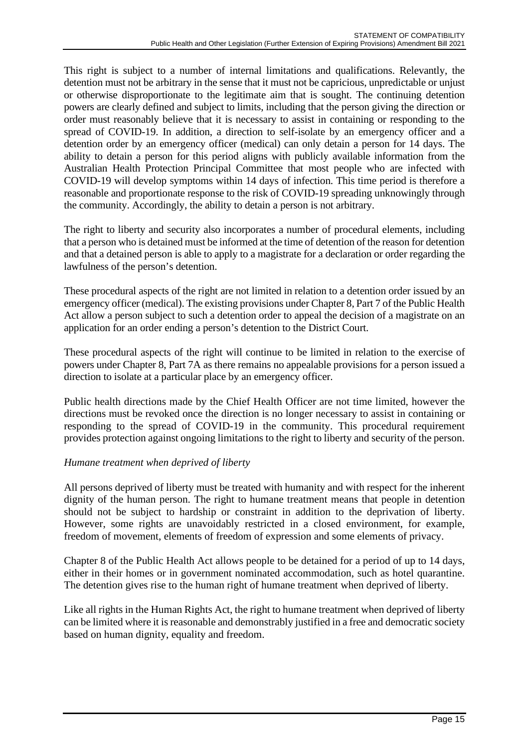This right is subject to a number of internal limitations and qualifications. Relevantly, the detention must not be arbitrary in the sense that it must not be capricious, unpredictable or unjust or otherwise disproportionate to the legitimate aim that is sought. The continuing detention powers are clearly defined and subject to limits, including that the person giving the direction or order must reasonably believe that it is necessary to assist in containing or responding to the spread of COVID-19. In addition, a direction to self-isolate by an emergency officer and a detention order by an emergency officer (medical) can only detain a person for 14 days. The ability to detain a person for this period aligns with publicly available information from the Australian Health Protection Principal Committee that most people who are infected with COVID-19 will develop symptoms within 14 days of infection. This time period is therefore a reasonable and proportionate response to the risk of COVID-19 spreading unknowingly through the community. Accordingly, the ability to detain a person is not arbitrary.

The right to liberty and security also incorporates a number of procedural elements, including that a person who is detained must be informed at the time of detention of the reason for detention and that a detained person is able to apply to a magistrate for a declaration or order regarding the lawfulness of the person's detention.

These procedural aspects of the right are not limited in relation to a detention order issued by an emergency officer (medical). The existing provisions under Chapter 8, Part 7 of the Public Health Act allow a person subject to such a detention order to appeal the decision of a magistrate on an application for an order ending a person's detention to the District Court.

These procedural aspects of the right will continue to be limited in relation to the exercise of powers under Chapter 8, Part 7A as there remains no appealable provisions for a person issued a direction to isolate at a particular place by an emergency officer.

Public health directions made by the Chief Health Officer are not time limited, however the directions must be revoked once the direction is no longer necessary to assist in containing or responding to the spread of COVID-19 in the community. This procedural requirement provides protection against ongoing limitations to the right to liberty and security of the person.

## *Humane treatment when deprived of liberty*

All persons deprived of liberty must be treated with humanity and with respect for the inherent dignity of the human person. The right to humane treatment means that people in detention should not be subject to hardship or constraint in addition to the deprivation of liberty. However, some rights are unavoidably restricted in a closed environment, for example, freedom of movement, elements of freedom of expression and some elements of privacy.

Chapter 8 of the Public Health Act allows people to be detained for a period of up to 14 days, either in their homes or in government nominated accommodation, such as hotel quarantine. The detention gives rise to the human right of humane treatment when deprived of liberty.

Like all rights in the Human Rights Act, the right to humane treatment when deprived of liberty can be limited where it is reasonable and demonstrably justified in a free and democratic society based on human dignity, equality and freedom.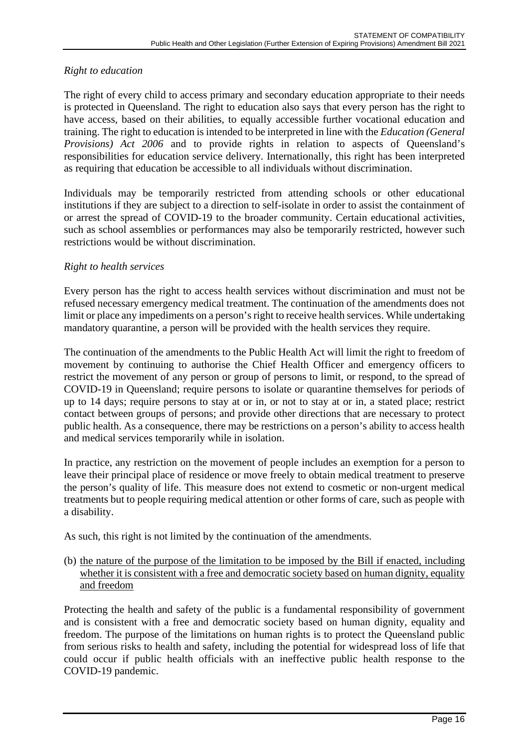# *Right to education*

The right of every child to access primary and secondary education appropriate to their needs is protected in Queensland. The right to education also says that every person has the right to have access, based on their abilities, to equally accessible further vocational education and training. The right to education is intended to be interpreted in line with the *Education (General Provisions*) Act 2006 and to provide rights in relation to aspects of Queensland's responsibilities for education service delivery. Internationally, this right has been interpreted as requiring that education be accessible to all individuals without discrimination.

Individuals may be temporarily restricted from attending schools or other educational institutions if they are subject to a direction to self-isolate in order to assist the containment of or arrest the spread of COVID-19 to the broader community. Certain educational activities, such as school assemblies or performances may also be temporarily restricted, however such restrictions would be without discrimination.

#### *Right to health services*

Every person has the right to access health services without discrimination and must not be refused necessary emergency medical treatment. The continuation of the amendments does not limit or place any impediments on a person's right to receive health services. While undertaking mandatory quarantine, a person will be provided with the health services they require.

The continuation of the amendments to the Public Health Act will limit the right to freedom of movement by continuing to authorise the Chief Health Officer and emergency officers to restrict the movement of any person or group of persons to limit, or respond, to the spread of COVID-19 in Queensland; require persons to isolate or quarantine themselves for periods of up to 14 days; require persons to stay at or in, or not to stay at or in, a stated place; restrict contact between groups of persons; and provide other directions that are necessary to protect public health. As a consequence, there may be restrictions on a person's ability to access health and medical services temporarily while in isolation.

In practice, any restriction on the movement of people includes an exemption for a person to leave their principal place of residence or move freely to obtain medical treatment to preserve the person's quality of life. This measure does not extend to cosmetic or non-urgent medical treatments but to people requiring medical attention or other forms of care, such as people with a disability.

As such, this right is not limited by the continuation of the amendments.

(b) the nature of the purpose of the limitation to be imposed by the Bill if enacted, including whether it is consistent with a free and democratic society based on human dignity, equality and freedom

Protecting the health and safety of the public is a fundamental responsibility of government and is consistent with a free and democratic society based on human dignity, equality and freedom. The purpose of the limitations on human rights is to protect the Queensland public from serious risks to health and safety, including the potential for widespread loss of life that could occur if public health officials with an ineffective public health response to the COVID-19 pandemic.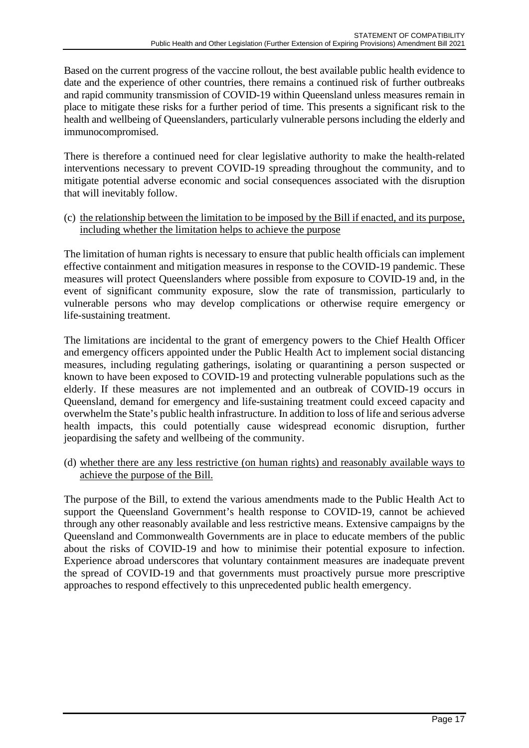Based on the current progress of the vaccine rollout, the best available public health evidence to date and the experience of other countries, there remains a continued risk of further outbreaks and rapid community transmission of COVID-19 within Queensland unless measures remain in place to mitigate these risks for a further period of time. This presents a significant risk to the health and wellbeing of Queenslanders, particularly vulnerable persons including the elderly and immunocompromised.

There is therefore a continued need for clear legislative authority to make the health-related interventions necessary to prevent COVID-19 spreading throughout the community, and to mitigate potential adverse economic and social consequences associated with the disruption that will inevitably follow.

(c) the relationship between the limitation to be imposed by the Bill if enacted, and its purpose, including whether the limitation helps to achieve the purpose

The limitation of human rights is necessary to ensure that public health officials can implement effective containment and mitigation measures in response to the COVID-19 pandemic. These measures will protect Queenslanders where possible from exposure to COVID-19 and, in the event of significant community exposure, slow the rate of transmission, particularly to vulnerable persons who may develop complications or otherwise require emergency or life-sustaining treatment.

The limitations are incidental to the grant of emergency powers to the Chief Health Officer and emergency officers appointed under the Public Health Act to implement social distancing measures, including regulating gatherings, isolating or quarantining a person suspected or known to have been exposed to COVID-19 and protecting vulnerable populations such as the elderly. If these measures are not implemented and an outbreak of COVID-19 occurs in Queensland, demand for emergency and life-sustaining treatment could exceed capacity and overwhelm the State's public health infrastructure. In addition to loss of life and serious adverse health impacts, this could potentially cause widespread economic disruption, further jeopardising the safety and wellbeing of the community.

(d) whether there are any less restrictive (on human rights) and reasonably available ways to achieve the purpose of the Bill.

The purpose of the Bill, to extend the various amendments made to the Public Health Act to support the Queensland Government's health response to COVID-19, cannot be achieved through any other reasonably available and less restrictive means. Extensive campaigns by the Queensland and Commonwealth Governments are in place to educate members of the public about the risks of COVID-19 and how to minimise their potential exposure to infection. Experience abroad underscores that voluntary containment measures are inadequate prevent the spread of COVID-19 and that governments must proactively pursue more prescriptive approaches to respond effectively to this unprecedented public health emergency.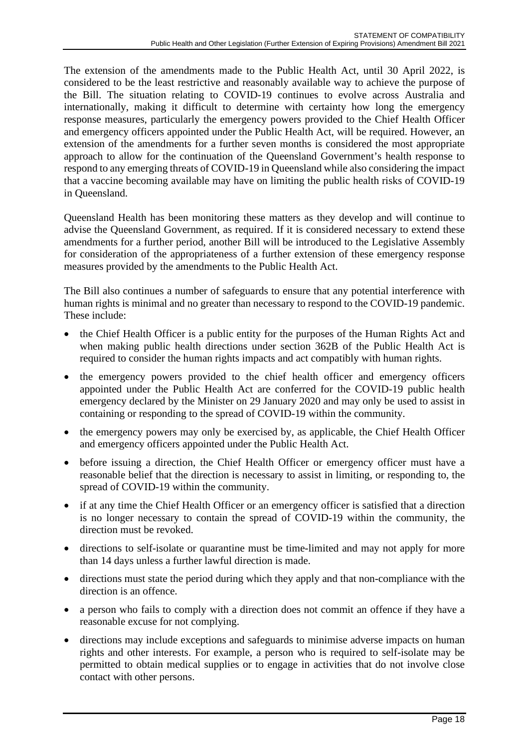The extension of the amendments made to the Public Health Act, until 30 April 2022, is considered to be the least restrictive and reasonably available way to achieve the purpose of the Bill. The situation relating to COVID-19 continues to evolve across Australia and internationally, making it difficult to determine with certainty how long the emergency response measures, particularly the emergency powers provided to the Chief Health Officer and emergency officers appointed under the Public Health Act, will be required. However, an extension of the amendments for a further seven months is considered the most appropriate approach to allow for the continuation of the Queensland Government's health response to respond to any emerging threats of COVID-19 in Queensland while also considering the impact that a vaccine becoming available may have on limiting the public health risks of COVID-19 in Queensland.

Queensland Health has been monitoring these matters as they develop and will continue to advise the Queensland Government, as required. If it is considered necessary to extend these amendments for a further period, another Bill will be introduced to the Legislative Assembly for consideration of the appropriateness of a further extension of these emergency response measures provided by the amendments to the Public Health Act.

The Bill also continues a number of safeguards to ensure that any potential interference with human rights is minimal and no greater than necessary to respond to the COVID-19 pandemic. These include:

- the Chief Health Officer is a public entity for the purposes of the Human Rights Act and when making public health directions under section 362B of the Public Health Act is required to consider the human rights impacts and act compatibly with human rights.
- the emergency powers provided to the chief health officer and emergency officers appointed under the Public Health Act are conferred for the COVID-19 public health emergency declared by the Minister on 29 January 2020 and may only be used to assist in containing or responding to the spread of COVID-19 within the community.
- the emergency powers may only be exercised by, as applicable, the Chief Health Officer and emergency officers appointed under the Public Health Act.
- before issuing a direction, the Chief Health Officer or emergency officer must have a reasonable belief that the direction is necessary to assist in limiting, or responding to, the spread of COVID-19 within the community.
- if at any time the Chief Health Officer or an emergency officer is satisfied that a direction is no longer necessary to contain the spread of COVID-19 within the community, the direction must be revoked.
- directions to self-isolate or quarantine must be time-limited and may not apply for more than 14 days unless a further lawful direction is made.
- directions must state the period during which they apply and that non-compliance with the direction is an offence.
- a person who fails to comply with a direction does not commit an offence if they have a reasonable excuse for not complying.
- directions may include exceptions and safeguards to minimise adverse impacts on human rights and other interests. For example, a person who is required to self-isolate may be permitted to obtain medical supplies or to engage in activities that do not involve close contact with other persons.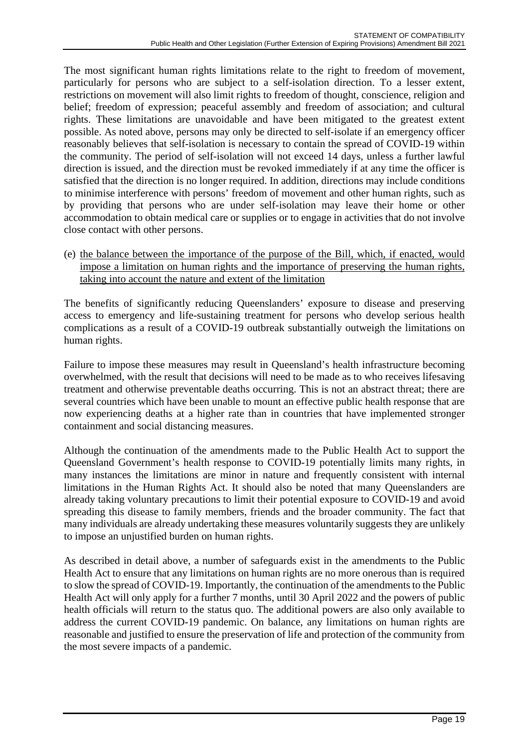The most significant human rights limitations relate to the right to freedom of movement, particularly for persons who are subject to a self-isolation direction. To a lesser extent, restrictions on movement will also limit rights to freedom of thought, conscience, religion and belief; freedom of expression; peaceful assembly and freedom of association; and cultural rights. These limitations are unavoidable and have been mitigated to the greatest extent possible. As noted above, persons may only be directed to self-isolate if an emergency officer reasonably believes that self-isolation is necessary to contain the spread of COVID-19 within the community. The period of self-isolation will not exceed 14 days, unless a further lawful direction is issued, and the direction must be revoked immediately if at any time the officer is satisfied that the direction is no longer required. In addition, directions may include conditions to minimise interference with persons' freedom of movement and other human rights, such as by providing that persons who are under self-isolation may leave their home or other accommodation to obtain medical care or supplies or to engage in activities that do not involve close contact with other persons.

(e) the balance between the importance of the purpose of the Bill, which, if enacted, would impose a limitation on human rights and the importance of preserving the human rights, taking into account the nature and extent of the limitation

The benefits of significantly reducing Queenslanders' exposure to disease and preserving access to emergency and life-sustaining treatment for persons who develop serious health complications as a result of a COVID-19 outbreak substantially outweigh the limitations on human rights.

Failure to impose these measures may result in Queensland's health infrastructure becoming overwhelmed, with the result that decisions will need to be made as to who receives lifesaving treatment and otherwise preventable deaths occurring. This is not an abstract threat; there are several countries which have been unable to mount an effective public health response that are now experiencing deaths at a higher rate than in countries that have implemented stronger containment and social distancing measures.

Although the continuation of the amendments made to the Public Health Act to support the Queensland Government's health response to COVID-19 potentially limits many rights, in many instances the limitations are minor in nature and frequently consistent with internal limitations in the Human Rights Act. It should also be noted that many Queenslanders are already taking voluntary precautions to limit their potential exposure to COVID-19 and avoid spreading this disease to family members, friends and the broader community. The fact that many individuals are already undertaking these measures voluntarily suggests they are unlikely to impose an unjustified burden on human rights.

As described in detail above, a number of safeguards exist in the amendments to the Public Health Act to ensure that any limitations on human rights are no more onerous than is required to slow the spread of COVID-19. Importantly, the continuation of the amendments to the Public Health Act will only apply for a further 7 months, until 30 April 2022 and the powers of public health officials will return to the status quo. The additional powers are also only available to address the current COVID-19 pandemic. On balance, any limitations on human rights are reasonable and justified to ensure the preservation of life and protection of the community from the most severe impacts of a pandemic.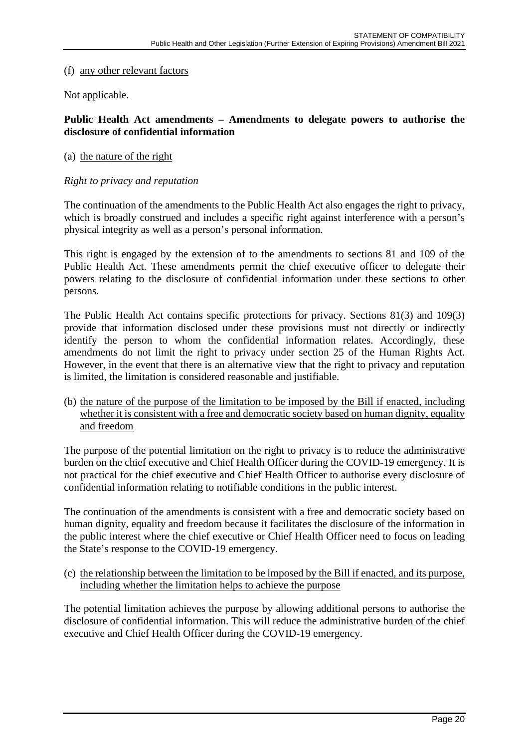#### (f) any other relevant factors

Not applicable.

## **Public Health Act amendments – Amendments to delegate powers to authorise the disclosure of confidential information**

#### (a) the nature of the right

#### *Right to privacy and reputation*

The continuation of the amendments to the Public Health Act also engages the right to privacy, which is broadly construed and includes a specific right against interference with a person's physical integrity as well as a person's personal information.

This right is engaged by the extension of to the amendments to sections 81 and 109 of the Public Health Act. These amendments permit the chief executive officer to delegate their powers relating to the disclosure of confidential information under these sections to other persons.

The Public Health Act contains specific protections for privacy. Sections 81(3) and 109(3) provide that information disclosed under these provisions must not directly or indirectly identify the person to whom the confidential information relates. Accordingly, these amendments do not limit the right to privacy under section 25 of the Human Rights Act. However, in the event that there is an alternative view that the right to privacy and reputation is limited, the limitation is considered reasonable and justifiable.

(b) the nature of the purpose of the limitation to be imposed by the Bill if enacted, including whether it is consistent with a free and democratic society based on human dignity, equality and freedom

The purpose of the potential limitation on the right to privacy is to reduce the administrative burden on the chief executive and Chief Health Officer during the COVID-19 emergency. It is not practical for the chief executive and Chief Health Officer to authorise every disclosure of confidential information relating to notifiable conditions in the public interest.

The continuation of the amendments is consistent with a free and democratic society based on human dignity, equality and freedom because it facilitates the disclosure of the information in the public interest where the chief executive or Chief Health Officer need to focus on leading the State's response to the COVID-19 emergency.

(c) the relationship between the limitation to be imposed by the Bill if enacted, and its purpose, including whether the limitation helps to achieve the purpose

The potential limitation achieves the purpose by allowing additional persons to authorise the disclosure of confidential information. This will reduce the administrative burden of the chief executive and Chief Health Officer during the COVID-19 emergency.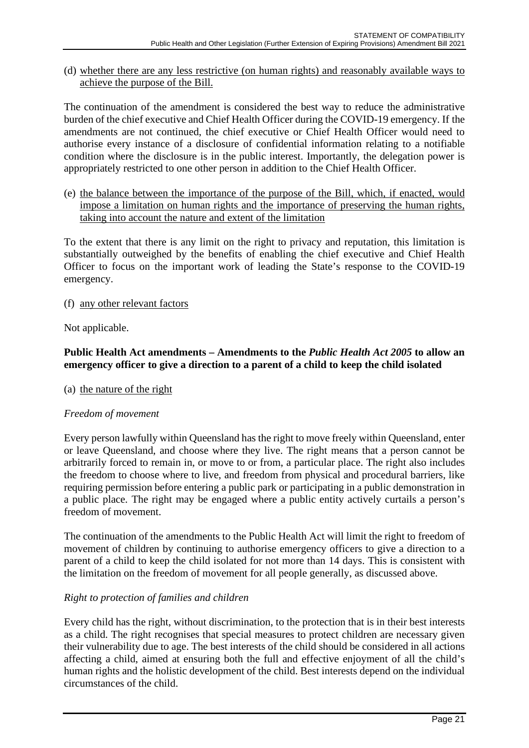(d) whether there are any less restrictive (on human rights) and reasonably available ways to achieve the purpose of the Bill.

The continuation of the amendment is considered the best way to reduce the administrative burden of the chief executive and Chief Health Officer during the COVID-19 emergency. If the amendments are not continued, the chief executive or Chief Health Officer would need to authorise every instance of a disclosure of confidential information relating to a notifiable condition where the disclosure is in the public interest. Importantly, the delegation power is appropriately restricted to one other person in addition to the Chief Health Officer.

(e) the balance between the importance of the purpose of the Bill, which, if enacted, would impose a limitation on human rights and the importance of preserving the human rights, taking into account the nature and extent of the limitation

To the extent that there is any limit on the right to privacy and reputation, this limitation is substantially outweighed by the benefits of enabling the chief executive and Chief Health Officer to focus on the important work of leading the State's response to the COVID-19 emergency.

(f) any other relevant factors

Not applicable.

## **Public Health Act amendments – Amendments to the** *Public Health Act 2005* **to allow an emergency officer to give a direction to a parent of a child to keep the child isolated**

#### (a) the nature of the right

#### *Freedom of movement*

Every person lawfully within Queensland has the right to move freely within Queensland, enter or leave Queensland, and choose where they live. The right means that a person cannot be arbitrarily forced to remain in, or move to or from, a particular place. The right also includes the freedom to choose where to live, and freedom from physical and procedural barriers, like requiring permission before entering a public park or participating in a public demonstration in a public place. The right may be engaged where a public entity actively curtails a person's freedom of movement.

The continuation of the amendments to the Public Health Act will limit the right to freedom of movement of children by continuing to authorise emergency officers to give a direction to a parent of a child to keep the child isolated for not more than 14 days. This is consistent with the limitation on the freedom of movement for all people generally, as discussed above.

## *Right to protection of families and children*

Every child has the right, without discrimination, to the protection that is in their best interests as a child. The right recognises that special measures to protect children are necessary given their vulnerability due to age. The best interests of the child should be considered in all actions affecting a child, aimed at ensuring both the full and effective enjoyment of all the child's human rights and the holistic development of the child. Best interests depend on the individual circumstances of the child.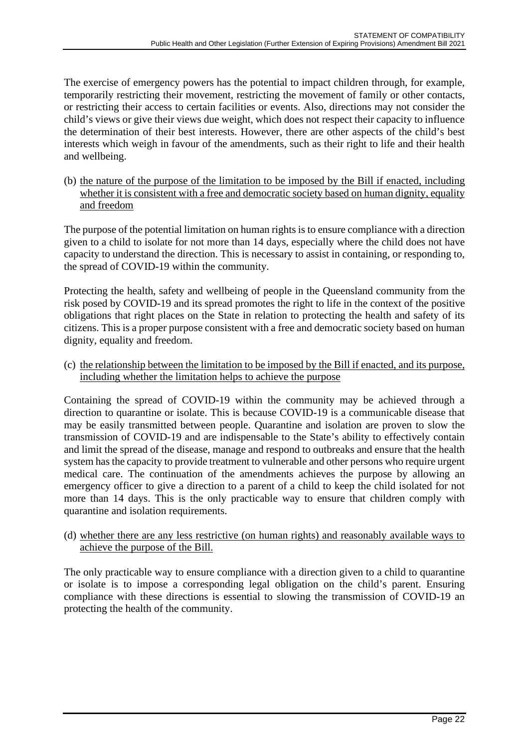The exercise of emergency powers has the potential to impact children through, for example, temporarily restricting their movement, restricting the movement of family or other contacts, or restricting their access to certain facilities or events. Also, directions may not consider the child's views or give their views due weight, which does not respect their capacity to influence the determination of their best interests. However, there are other aspects of the child's best interests which weigh in favour of the amendments, such as their right to life and their health and wellbeing.

(b) the nature of the purpose of the limitation to be imposed by the Bill if enacted, including whether it is consistent with a free and democratic society based on human dignity, equality and freedom

The purpose of the potential limitation on human rights is to ensure compliance with a direction given to a child to isolate for not more than 14 days, especially where the child does not have capacity to understand the direction. This is necessary to assist in containing, or responding to, the spread of COVID-19 within the community.

Protecting the health, safety and wellbeing of people in the Queensland community from the risk posed by COVID-19 and its spread promotes the right to life in the context of the positive obligations that right places on the State in relation to protecting the health and safety of its citizens. This is a proper purpose consistent with a free and democratic society based on human dignity, equality and freedom.

(c) the relationship between the limitation to be imposed by the Bill if enacted, and its purpose, including whether the limitation helps to achieve the purpose

Containing the spread of COVID-19 within the community may be achieved through a direction to quarantine or isolate. This is because COVID-19 is a communicable disease that may be easily transmitted between people. Quarantine and isolation are proven to slow the transmission of COVID-19 and are indispensable to the State's ability to effectively contain and limit the spread of the disease, manage and respond to outbreaks and ensure that the health system has the capacity to provide treatment to vulnerable and other persons who require urgent medical care. The continuation of the amendments achieves the purpose by allowing an emergency officer to give a direction to a parent of a child to keep the child isolated for not more than 14 days. This is the only practicable way to ensure that children comply with quarantine and isolation requirements.

(d) whether there are any less restrictive (on human rights) and reasonably available ways to achieve the purpose of the Bill.

The only practicable way to ensure compliance with a direction given to a child to quarantine or isolate is to impose a corresponding legal obligation on the child's parent. Ensuring compliance with these directions is essential to slowing the transmission of COVID-19 an protecting the health of the community.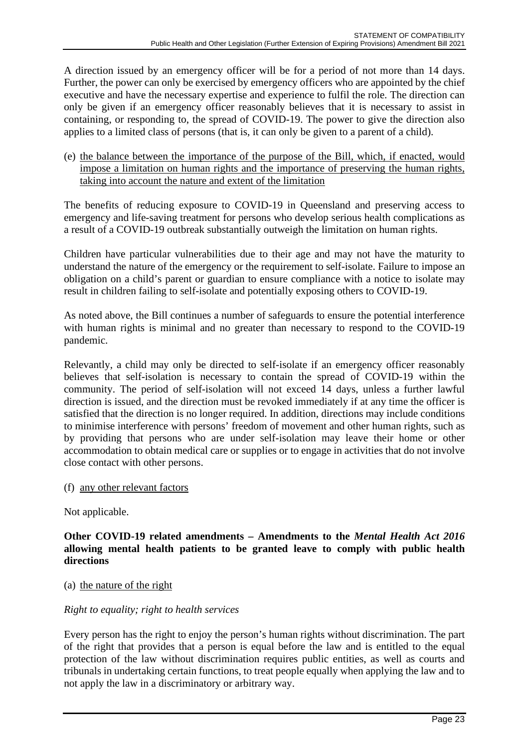A direction issued by an emergency officer will be for a period of not more than 14 days. Further, the power can only be exercised by emergency officers who are appointed by the chief executive and have the necessary expertise and experience to fulfil the role. The direction can only be given if an emergency officer reasonably believes that it is necessary to assist in containing, or responding to, the spread of COVID-19. The power to give the direction also applies to a limited class of persons (that is, it can only be given to a parent of a child).

(e) the balance between the importance of the purpose of the Bill, which, if enacted, would impose a limitation on human rights and the importance of preserving the human rights, taking into account the nature and extent of the limitation

The benefits of reducing exposure to COVID-19 in Queensland and preserving access to emergency and life-saving treatment for persons who develop serious health complications as a result of a COVID-19 outbreak substantially outweigh the limitation on human rights.

Children have particular vulnerabilities due to their age and may not have the maturity to understand the nature of the emergency or the requirement to self-isolate. Failure to impose an obligation on a child's parent or guardian to ensure compliance with a notice to isolate may result in children failing to self-isolate and potentially exposing others to COVID-19.

As noted above, the Bill continues a number of safeguards to ensure the potential interference with human rights is minimal and no greater than necessary to respond to the COVID-19 pandemic.

Relevantly, a child may only be directed to self-isolate if an emergency officer reasonably believes that self-isolation is necessary to contain the spread of COVID-19 within the community. The period of self-isolation will not exceed 14 days, unless a further lawful direction is issued, and the direction must be revoked immediately if at any time the officer is satisfied that the direction is no longer required. In addition, directions may include conditions to minimise interference with persons' freedom of movement and other human rights, such as by providing that persons who are under self-isolation may leave their home or other accommodation to obtain medical care or supplies or to engage in activities that do not involve close contact with other persons.

(f) any other relevant factors

Not applicable.

## **Other COVID-19 related amendments – Amendments to the** *Mental Health Act 2016* **allowing mental health patients to be granted leave to comply with public health directions**

## (a) the nature of the right

## *Right to equality; right to health services*

Every person has the right to enjoy the person's human rights without discrimination. The part of the right that provides that a person is equal before the law and is entitled to the equal protection of the law without discrimination requires public entities, as well as courts and tribunals in undertaking certain functions, to treat people equally when applying the law and to not apply the law in a discriminatory or arbitrary way.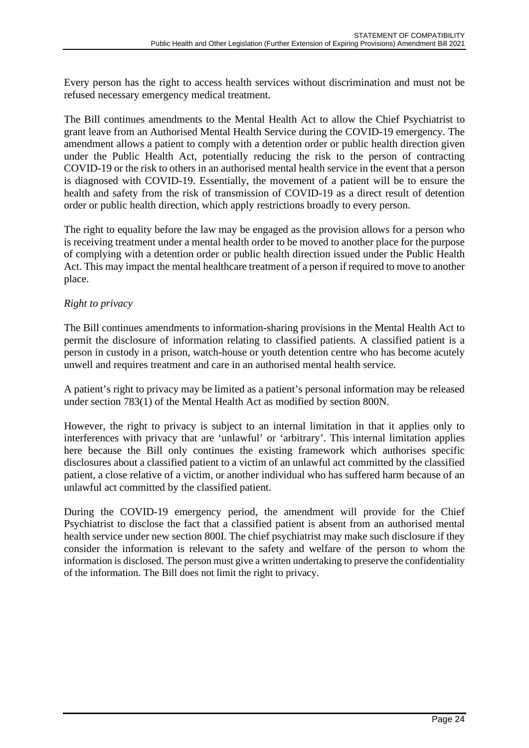Every person has the right to access health services without discrimination and must not be refused necessary emergency medical treatment.

The Bill continues amendments to the Mental Health Act to allow the Chief Psychiatrist to grant leave from an Authorised Mental Health Service during the COVID-19 emergency. The amendment allows a patient to comply with a detention order or public health direction given under the Public Health Act, potentially reducing the risk to the person of contracting COVID-19 or the risk to others in an authorised mental health service in the event that a person is diagnosed with COVID-19. Essentially, the movement of a patient will be to ensure the health and safety from the risk of transmission of COVID-19 as a direct result of detention order or public health direction, which apply restrictions broadly to every person.

The right to equality before the law may be engaged as the provision allows for a person who is receiving treatment under a mental health order to be moved to another place for the purpose of complying with a detention order or public health direction issued under the Public Health Act. This may impact the mental healthcare treatment of a person if required to move to another place.

## *Right to privacy*

The Bill continues amendments to information-sharing provisions in the Mental Health Act to permit the disclosure of information relating to classified patients. A classified patient is a person in custody in a prison, watch-house or youth detention centre who has become acutely unwell and requires treatment and care in an authorised mental health service.

A patient's right to privacy may be limited as a patient's personal information may be released under section 783(1) of the Mental Health Act as modified by section 800N.

However, the right to privacy is subject to an internal limitation in that it applies only to interferences with privacy that are 'unlawful' or 'arbitrary'. This internal limitation applies here because the Bill only continues the existing framework which authorises specific disclosures about a classified patient to a victim of an unlawful act committed by the classified patient, a close relative of a victim, or another individual who has suffered harm because of an unlawful act committed by the classified patient.

During the COVID-19 emergency period, the amendment will provide for the Chief Psychiatrist to disclose the fact that a classified patient is absent from an authorised mental health service under new section 800I. The chief psychiatrist may make such disclosure if they consider the information is relevant to the safety and welfare of the person to whom the information is disclosed. The person must give a written undertaking to preserve the confidentiality of the information. The Bill does not limit the right to privacy.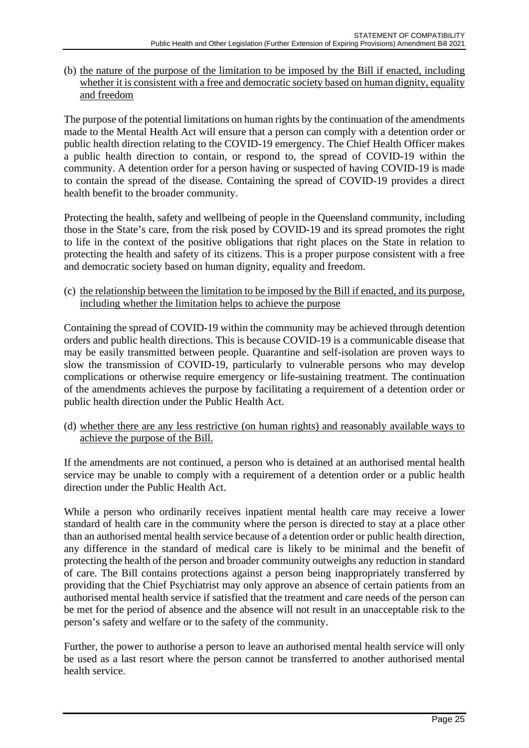(b) the nature of the purpose of the limitation to be imposed by the Bill if enacted, including whether it is consistent with a free and democratic society based on human dignity, equality and freedom

The purpose of the potential limitations on human rights by the continuation of the amendments made to the Mental Health Act will ensure that a person can comply with a detention order or public health direction relating to the COVID-19 emergency. The Chief Health Officer makes a public health direction to contain, or respond to, the spread of COVID-19 within the community. A detention order for a person having or suspected of having COVID-19 is made to contain the spread of the disease. Containing the spread of COVID-19 provides a direct health benefit to the broader community.

Protecting the health, safety and wellbeing of people in the Queensland community, including those in the State's care, from the risk posed by COVID-19 and its spread promotes the right to life in the context of the positive obligations that right places on the State in relation to protecting the health and safety of its citizens. This is a proper purpose consistent with a free and democratic society based on human dignity, equality and freedom.

(c) the relationship between the limitation to be imposed by the Bill if enacted, and its purpose, including whether the limitation helps to achieve the purpose

Containing the spread of COVID-19 within the community may be achieved through detention orders and public health directions. This is because COVID-19 is a communicable disease that may be easily transmitted between people. Quarantine and self-isolation are proven ways to slow the transmission of COVID-19, particularly to vulnerable persons who may develop complications or otherwise require emergency or life-sustaining treatment. The continuation of the amendments achieves the purpose by facilitating a requirement of a detention order or public health direction under the Public Health Act.

(d) whether there are any less restrictive (on human rights) and reasonably available ways to achieve the purpose of the Bill.

If the amendments are not continued, a person who is detained at an authorised mental health service may be unable to comply with a requirement of a detention order or a public health direction under the Public Health Act.

While a person who ordinarily receives inpatient mental health care may receive a lower standard of health care in the community where the person is directed to stay at a place other than an authorised mental health service because of a detention order or public health direction, any difference in the standard of medical care is likely to be minimal and the benefit of protecting the health of the person and broader community outweighs any reduction in standard of care. The Bill contains protections against a person being inappropriately transferred by providing that the Chief Psychiatrist may only approve an absence of certain patients from an authorised mental health service if satisfied that the treatment and care needs of the person can be met for the period of absence and the absence will not result in an unacceptable risk to the person's safety and welfare or to the safety of the community.

Further, the power to authorise a person to leave an authorised mental health service will only be used as a last resort where the person cannot be transferred to another authorised mental health service.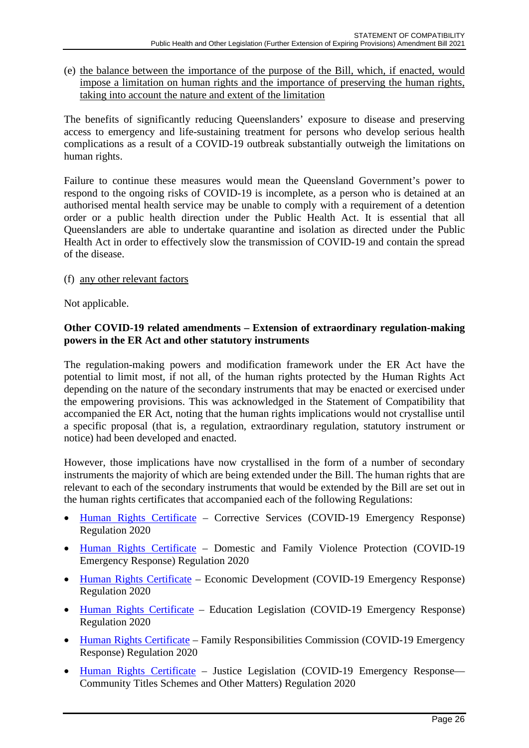(e) the balance between the importance of the purpose of the Bill, which, if enacted, would impose a limitation on human rights and the importance of preserving the human rights, taking into account the nature and extent of the limitation

The benefits of significantly reducing Queenslanders' exposure to disease and preserving access to emergency and life-sustaining treatment for persons who develop serious health complications as a result of a COVID-19 outbreak substantially outweigh the limitations on human rights.

Failure to continue these measures would mean the Queensland Government's power to respond to the ongoing risks of COVID-19 is incomplete, as a person who is detained at an authorised mental health service may be unable to comply with a requirement of a detention order or a public health direction under the Public Health Act. It is essential that all Queenslanders are able to undertake quarantine and isolation as directed under the Public Health Act in order to effectively slow the transmission of COVID-19 and contain the spread of the disease.

## (f) any other relevant factors

Not applicable.

#### **Other COVID-19 related amendments – Extension of extraordinary regulation-making powers in the ER Act and other statutory instruments**

The regulation-making powers and modification framework under the ER Act have the potential to limit most, if not all, of the human rights protected by the Human Rights Act depending on the nature of the secondary instruments that may be enacted or exercised under the empowering provisions. This was acknowledged in the Statement of Compatibility that accompanied the ER Act, noting that the human rights implications would not crystallise until a specific proposal (that is, a regulation, extraordinary regulation, statutory instrument or notice) had been developed and enacted.

However, those implications have now crystallised in the form of a number of secondary instruments the majority of which are being extended under the Bill. The human rights that are relevant to each of the secondary instruments that would be extended by the Bill are set out in the human rights certificates that accompanied each of the following Regulations:

- [Human Rights Certificate](https://www.legislation.qld.gov.au/view/pdf/published.hrc/sl-2020-0084) Corrective Services (COVID-19 Emergency Response) Regulation 2020
- [Human Rights Certificate](https://www.legislation.qld.gov.au/view/pdf/published.hrc/sl-2020-0153) Domestic and Family Violence Protection (COVID-19 Emergency Response) Regulation 2020
- [Human Rights Certificate](https://www.legislation.qld.gov.au/view/pdf/published.hrc/sl-2020-0102) Economic Development (COVID-19 Emergency Response) Regulation 2020
- [Human Rights Certificate](https://www.legislation.qld.gov.au/view/pdf/published.hrc/sl-2020-0104) Education Legislation (COVID-19 Emergency Response) Regulation 2020
- [Human Rights Certificate](https://www.legislation.qld.gov.au/view/pdf/published.hrc/sl-2020-0246) Family Responsibilities Commission (COVID-19 Emergency Response) Regulation 2020
- [Human Rights Certificate](https://www.legislation.qld.gov.au/view/pdf/published.hrc/sl-2020-0250) Justice Legislation (COVID-19 Emergency Response— Community Titles Schemes and Other Matters) Regulation 2020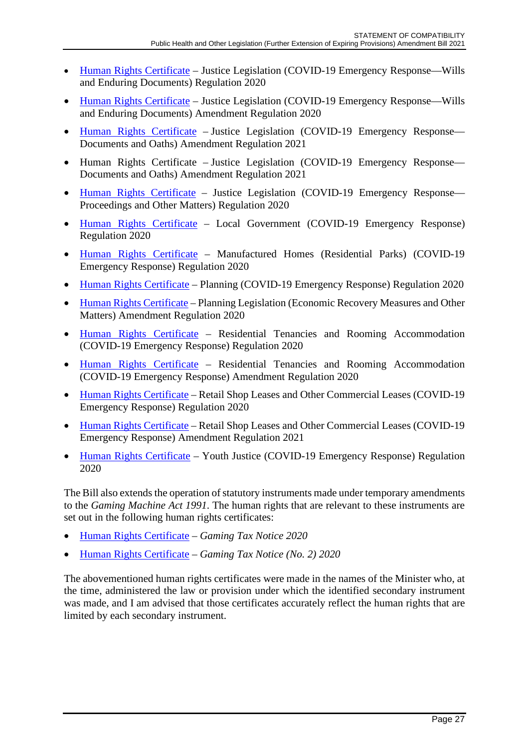- [Human Rights Certificate](https://www.legislation.qld.gov.au/view/pdf/published.hrc/sl-2020-0072) Justice Legislation (COVID-19 Emergency Response—Wills and Enduring Documents) Regulation 2020
- [Human Rights Certificate](https://www.legislation.qld.gov.au/view/pdf/published.hrc/sl-2020-0078) Justice Legislation (COVID-19 Emergency Response—Wills and Enduring Documents) Amendment Regulation 2020
- [Human Rights Certificate](https://www.legislation.qld.gov.au/view/pdf/published.hrc/sl-2021-0028) Justice Legislation (COVID-19 Emergency Response— Documents and Oaths) Amendment Regulation 2021
- Human Rights Certificate Justice Legislation (COVID-19 Emergency Response— Documents and Oaths) Amendment Regulation 2021
- [Human Rights Certificate](https://www.legislation.qld.gov.au/view/pdf/published.hrc/sl-2020-0103) Justice Legislation (COVID-19 Emergency Response— Proceedings and Other Matters) Regulation 2020
- [Human Rights Certificate](https://www.legislation.qld.gov.au/view/pdf/published.hrc/sl-2020-0147) Local Government (COVID-19 Emergency Response) Regulation 2020
- [Human Rights Certificate](https://www.legislation.qld.gov.au/view/pdf/published.hrc/sl-2020-0222) Manufactured Homes (Residential Parks) (COVID-19 Emergency Response) Regulation 2020
- [Human Rights Certificate](https://www.legislation.qld.gov.au/view/pdf/published.hrc/sl-2020-0101) Planning (COVID-19 Emergency Response) Regulation 2020
- [Human Rights Certificate](https://www.legislation.qld.gov.au/view/pdf/published.hrc/sl-2020-0197) Planning Legislation (Economic Recovery Measures and Other Matters) Amendment Regulation 2020
- [Human Rights Certificate](https://www.legislation.qld.gov.au/view/pdf/published.hrc/sl-2020-0057) Residential Tenancies and Rooming Accommodation (COVID-19 Emergency Response) Regulation 2020
- [Human Rights Certificate](https://www.legislation.qld.gov.au/view/pdf/published.hrc/sl-2020-0235) Residential Tenancies and Rooming Accommodation (COVID-19 Emergency Response) Amendment Regulation 2020
- [Human Rights Certificate](https://www.legislation.qld.gov.au/view/html/inforce/current/sl-2020-0079) Retail Shop Leases and Other Commercial Leases (COVID-19 Emergency Response) Regulation 2020
- [Human Rights Certificate](https://www.legislation.qld.gov.au/view/pdf/published.hrc/sl-2021-0007) Retail Shop Leases and Other Commercial Leases (COVID-19 Emergency Response) Amendment Regulation 2021
- [Human Rights Certificate](https://www.legislation.qld.gov.au/view/pdf/published.hrc/sl-2020-0123) Youth Justice (COVID-19 Emergency Response) Regulation 2020

The Bill also extends the operation of statutory instruments made under temporary amendments to the *Gaming Machine Act 1991*. The human rights that are relevant to these instruments are set out in the following human rights certificates:

- [Human Rights Certificate](https://www.legislation.qld.gov.au/view/pdf/published.hrc/sl-2020-0126) *Gaming Tax Notice 2020*
- [Human Rights Certificate](https://www.legislation.qld.gov.au/view/pdf/published.hrc/sl-2020-0177) *Gaming Tax Notice (No. 2) 2020*

The abovementioned human rights certificates were made in the names of the Minister who, at the time, administered the law or provision under which the identified secondary instrument was made, and I am advised that those certificates accurately reflect the human rights that are limited by each secondary instrument.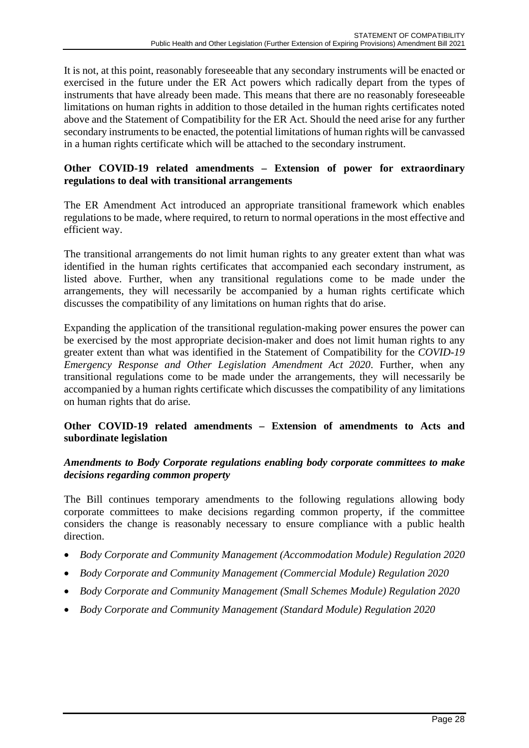It is not, at this point, reasonably foreseeable that any secondary instruments will be enacted or exercised in the future under the ER Act powers which radically depart from the types of instruments that have already been made. This means that there are no reasonably foreseeable limitations on human rights in addition to those detailed in the human rights certificates noted above and the Statement of Compatibility for the ER Act. Should the need arise for any further secondary instruments to be enacted, the potential limitations of human rights will be canvassed in a human rights certificate which will be attached to the secondary instrument.

## **Other COVID-19 related amendments – Extension of power for extraordinary regulations to deal with transitional arrangements**

The ER Amendment Act introduced an appropriate transitional framework which enables regulations to be made, where required, to return to normal operations in the most effective and efficient way.

The transitional arrangements do not limit human rights to any greater extent than what was identified in the human rights certificates that accompanied each secondary instrument, as listed above. Further, when any transitional regulations come to be made under the arrangements, they will necessarily be accompanied by a human rights certificate which discusses the compatibility of any limitations on human rights that do arise.

Expanding the application of the transitional regulation-making power ensures the power can be exercised by the most appropriate decision-maker and does not limit human rights to any greater extent than what was identified in the Statement of Compatibility for the *COVID-19 Emergency Response and Other Legislation Amendment Act 2020*. Further, when any transitional regulations come to be made under the arrangements, they will necessarily be accompanied by a human rights certificate which discusses the compatibility of any limitations on human rights that do arise.

## **Other COVID-19 related amendments – Extension of amendments to Acts and subordinate legislation**

## *Amendments to Body Corporate regulations enabling body corporate committees to make decisions regarding common property*

The Bill continues temporary amendments to the following regulations allowing body corporate committees to make decisions regarding common property, if the committee considers the change is reasonably necessary to ensure compliance with a public health direction.

- *Body Corporate and Community Management (Accommodation Module) Regulation 2020*
- *Body Corporate and Community Management (Commercial Module) Regulation 2020*
- *Body Corporate and Community Management (Small Schemes Module) Regulation 2020*
- *Body Corporate and Community Management (Standard Module) Regulation 2020*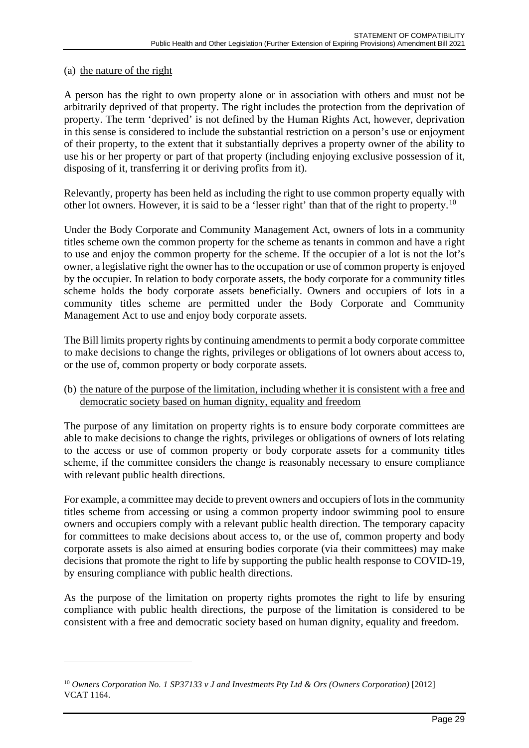#### (a) the nature of the right

A person has the right to own property alone or in association with others and must not be arbitrarily deprived of that property. The right includes the protection from the deprivation of property. The term 'deprived' is not defined by the Human Rights Act, however, deprivation in this sense is considered to include the substantial restriction on a person's use or enjoyment of their property, to the extent that it substantially deprives a property owner of the ability to use his or her property or part of that property (including enjoying exclusive possession of it, disposing of it, transferring it or deriving profits from it).

Relevantly, property has been held as including the right to use common property equally with other lot owners. However, it is said to be a 'lesser right' than that of the right to property.<sup>[10](#page-28-0)</sup>

Under the Body Corporate and Community Management Act, owners of lots in a community titles scheme own the common property for the scheme as tenants in common and have a right to use and enjoy the common property for the scheme. If the occupier of a lot is not the lot's owner, a legislative right the owner has to the occupation or use of common property is enjoyed by the occupier. In relation to body corporate assets, the body corporate for a community titles scheme holds the body corporate assets beneficially. Owners and occupiers of lots in a community titles scheme are permitted under the Body Corporate and Community Management Act to use and enjoy body corporate assets.

The Bill limits property rights by continuing amendments to permit a body corporate committee to make decisions to change the rights, privileges or obligations of lot owners about access to, or the use of, common property or body corporate assets.

#### (b) the nature of the purpose of the limitation, including whether it is consistent with a free and democratic society based on human dignity, equality and freedom

The purpose of any limitation on property rights is to ensure body corporate committees are able to make decisions to change the rights, privileges or obligations of owners of lots relating to the access or use of common property or body corporate assets for a community titles scheme, if the committee considers the change is reasonably necessary to ensure compliance with relevant public health directions.

For example, a committee may decide to prevent owners and occupiers of lots in the community titles scheme from accessing or using a common property indoor swimming pool to ensure owners and occupiers comply with a relevant public health direction. The temporary capacity for committees to make decisions about access to, or the use of, common property and body corporate assets is also aimed at ensuring bodies corporate (via their committees) may make decisions that promote the right to life by supporting the public health response to COVID-19, by ensuring compliance with public health directions.

As the purpose of the limitation on property rights promotes the right to life by ensuring compliance with public health directions, the purpose of the limitation is considered to be consistent with a free and democratic society based on human dignity, equality and freedom.

<span id="page-28-0"></span><sup>10</sup> *Owners Corporation No. 1 SP37133 v J and Investments Pty Ltd & Ors (Owners Corporation)* [2012] VCAT 1164.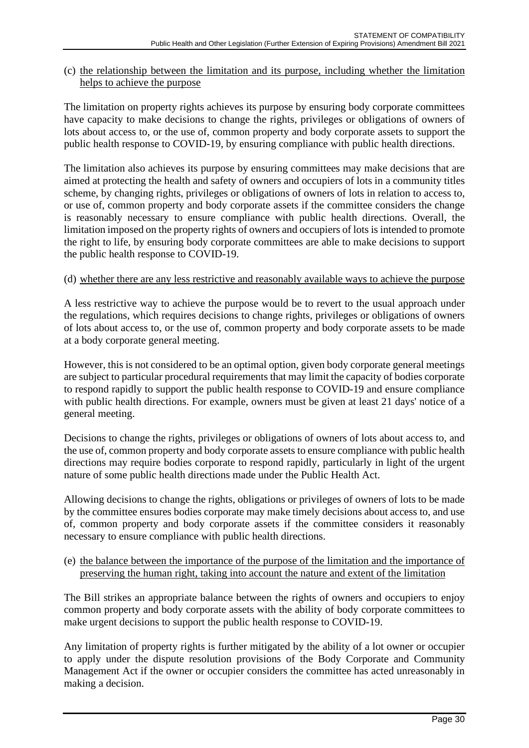#### (c) the relationship between the limitation and its purpose, including whether the limitation helps to achieve the purpose

The limitation on property rights achieves its purpose by ensuring body corporate committees have capacity to make decisions to change the rights, privileges or obligations of owners of lots about access to, or the use of, common property and body corporate assets to support the public health response to COVID-19, by ensuring compliance with public health directions.

The limitation also achieves its purpose by ensuring committees may make decisions that are aimed at protecting the health and safety of owners and occupiers of lots in a community titles scheme, by changing rights, privileges or obligations of owners of lots in relation to access to, or use of, common property and body corporate assets if the committee considers the change is reasonably necessary to ensure compliance with public health directions. Overall, the limitation imposed on the property rights of owners and occupiers of lots is intended to promote the right to life, by ensuring body corporate committees are able to make decisions to support the public health response to COVID-19.

#### (d) whether there are any less restrictive and reasonably available ways to achieve the purpose

A less restrictive way to achieve the purpose would be to revert to the usual approach under the regulations, which requires decisions to change rights, privileges or obligations of owners of lots about access to, or the use of, common property and body corporate assets to be made at a body corporate general meeting.

However, this is not considered to be an optimal option, given body corporate general meetings are subject to particular procedural requirements that may limit the capacity of bodies corporate to respond rapidly to support the public health response to COVID-19 and ensure compliance with public health directions. For example, owners must be given at least 21 days' notice of a general meeting.

Decisions to change the rights, privileges or obligations of owners of lots about access to, and the use of, common property and body corporate assets to ensure compliance with public health directions may require bodies corporate to respond rapidly, particularly in light of the urgent nature of some public health directions made under the Public Health Act.

Allowing decisions to change the rights, obligations or privileges of owners of lots to be made by the committee ensures bodies corporate may make timely decisions about access to, and use of, common property and body corporate assets if the committee considers it reasonably necessary to ensure compliance with public health directions.

#### (e) the balance between the importance of the purpose of the limitation and the importance of preserving the human right, taking into account the nature and extent of the limitation

The Bill strikes an appropriate balance between the rights of owners and occupiers to enjoy common property and body corporate assets with the ability of body corporate committees to make urgent decisions to support the public health response to COVID-19.

Any limitation of property rights is further mitigated by the ability of a lot owner or occupier to apply under the dispute resolution provisions of the Body Corporate and Community Management Act if the owner or occupier considers the committee has acted unreasonably in making a decision.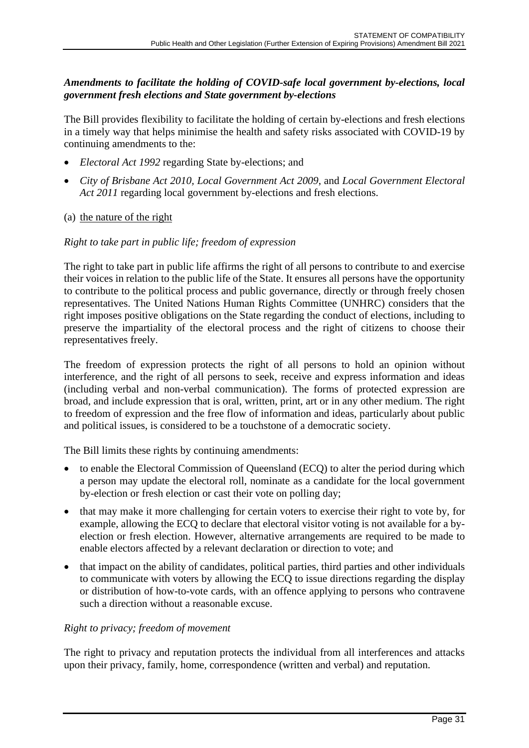## *Amendments to facilitate the holding of COVID-safe local government by-elections, local government fresh elections and State government by-elections*

The Bill provides flexibility to facilitate the holding of certain by-elections and fresh elections in a timely way that helps minimise the health and safety risks associated with COVID-19 by continuing amendments to the:

- *Electoral Act 1992* regarding State by-elections; and
- *City of Brisbane Act 2010, Local Government Act 2009*, and *Local Government Electoral Act 2011* regarding local government by-elections and fresh elections.
- (a) the nature of the right

## *Right to take part in public life; freedom of expression*

The right to take part in public life affirms the right of all persons to contribute to and exercise their voices in relation to the public life of the State. It ensures all persons have the opportunity to contribute to the political process and public governance, directly or through freely chosen representatives. The United Nations Human Rights Committee (UNHRC) considers that the right imposes positive obligations on the State regarding the conduct of elections, including to preserve the impartiality of the electoral process and the right of citizens to choose their representatives freely.

The freedom of expression protects the right of all persons to hold an opinion without interference, and the right of all persons to seek, receive and express information and ideas (including verbal and non-verbal communication). The forms of protected expression are broad, and include expression that is oral, written, print, art or in any other medium. The right to freedom of expression and the free flow of information and ideas, particularly about public and political issues, is considered to be a touchstone of a democratic society.

The Bill limits these rights by continuing amendments:

- to enable the Electoral Commission of Queensland (ECQ) to alter the period during which a person may update the electoral roll, nominate as a candidate for the local government by-election or fresh election or cast their vote on polling day;
- that may make it more challenging for certain voters to exercise their right to vote by, for example, allowing the ECQ to declare that electoral visitor voting is not available for a byelection or fresh election. However, alternative arrangements are required to be made to enable electors affected by a relevant declaration or direction to vote; and
- that impact on the ability of candidates, political parties, third parties and other individuals to communicate with voters by allowing the ECQ to issue directions regarding the display or distribution of how-to-vote cards, with an offence applying to persons who contravene such a direction without a reasonable excuse.

#### *Right to privacy; freedom of movement*

The right to privacy and reputation protects the individual from all interferences and attacks upon their privacy, family, home, correspondence (written and verbal) and reputation.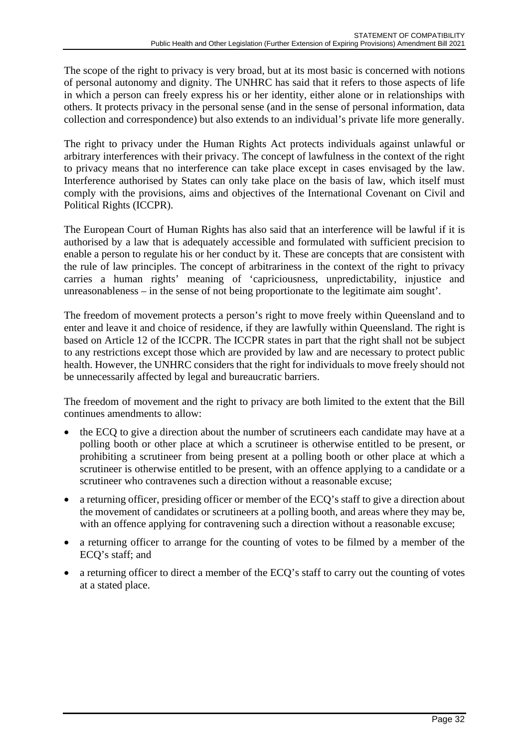The scope of the right to privacy is very broad, but at its most basic is concerned with notions of personal autonomy and dignity. The UNHRC has said that it refers to those aspects of life in which a person can freely express his or her identity, either alone or in relationships with others. It protects privacy in the personal sense (and in the sense of personal information, data collection and correspondence) but also extends to an individual's private life more generally.

The right to privacy under the Human Rights Act protects individuals against unlawful or arbitrary interferences with their privacy. The concept of lawfulness in the context of the right to privacy means that no interference can take place except in cases envisaged by the law. Interference authorised by States can only take place on the basis of law, which itself must comply with the provisions, aims and objectives of the International Covenant on Civil and Political Rights (ICCPR).

The European Court of Human Rights has also said that an interference will be lawful if it is authorised by a law that is adequately accessible and formulated with sufficient precision to enable a person to regulate his or her conduct by it. These are concepts that are consistent with the rule of law principles. The concept of arbitrariness in the context of the right to privacy carries a human rights' meaning of 'capriciousness, unpredictability, injustice and unreasonableness – in the sense of not being proportionate to the legitimate aim sought'.

The freedom of movement protects a person's right to move freely within Queensland and to enter and leave it and choice of residence, if they are lawfully within Queensland. The right is based on Article 12 of the ICCPR. The ICCPR states in part that the right shall not be subject to any restrictions except those which are provided by law and are necessary to protect public health. However, the UNHRC considers that the right for individuals to move freely should not be unnecessarily affected by legal and bureaucratic barriers.

The freedom of movement and the right to privacy are both limited to the extent that the Bill continues amendments to allow:

- the ECQ to give a direction about the number of scrutineers each candidate may have at a polling booth or other place at which a scrutineer is otherwise entitled to be present, or prohibiting a scrutineer from being present at a polling booth or other place at which a scrutineer is otherwise entitled to be present, with an offence applying to a candidate or a scrutineer who contravenes such a direction without a reasonable excuse;
- a returning officer, presiding officer or member of the ECQ's staff to give a direction about the movement of candidates or scrutineers at a polling booth, and areas where they may be, with an offence applying for contravening such a direction without a reasonable excuse;
- a returning officer to arrange for the counting of votes to be filmed by a member of the ECQ's staff; and
- a returning officer to direct a member of the ECO's staff to carry out the counting of votes at a stated place.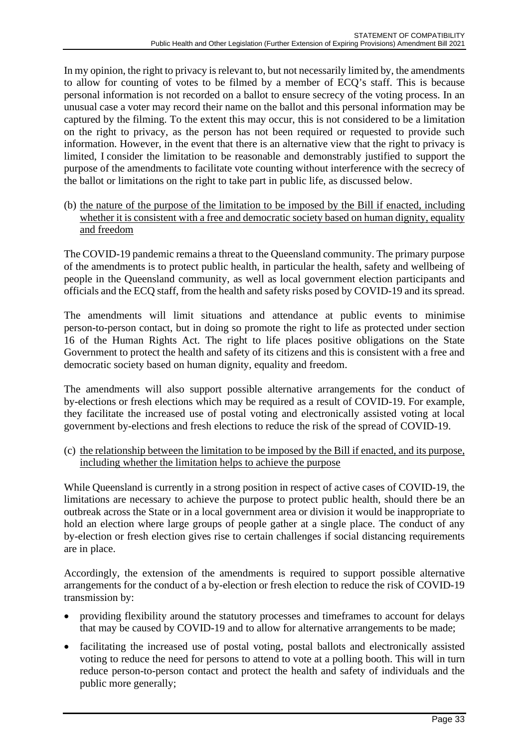In my opinion, the right to privacy is relevant to, but not necessarily limited by, the amendments to allow for counting of votes to be filmed by a member of ECQ's staff. This is because personal information is not recorded on a ballot to ensure secrecy of the voting process. In an unusual case a voter may record their name on the ballot and this personal information may be captured by the filming. To the extent this may occur, this is not considered to be a limitation on the right to privacy, as the person has not been required or requested to provide such information. However, in the event that there is an alternative view that the right to privacy is limited, I consider the limitation to be reasonable and demonstrably justified to support the purpose of the amendments to facilitate vote counting without interference with the secrecy of the ballot or limitations on the right to take part in public life, as discussed below.

(b) the nature of the purpose of the limitation to be imposed by the Bill if enacted, including whether it is consistent with a free and democratic society based on human dignity, equality and freedom

The COVID-19 pandemic remains a threat to the Queensland community. The primary purpose of the amendments is to protect public health, in particular the health, safety and wellbeing of people in the Queensland community, as well as local government election participants and officials and the ECQ staff, from the health and safety risks posed by COVID-19 and its spread.

The amendments will limit situations and attendance at public events to minimise person-to-person contact, but in doing so promote the right to life as protected under section 16 of the Human Rights Act. The right to life places positive obligations on the State Government to protect the health and safety of its citizens and this is consistent with a free and democratic society based on human dignity, equality and freedom.

The amendments will also support possible alternative arrangements for the conduct of by-elections or fresh elections which may be required as a result of COVID-19. For example, they facilitate the increased use of postal voting and electronically assisted voting at local government by-elections and fresh elections to reduce the risk of the spread of COVID-19.

(c) the relationship between the limitation to be imposed by the Bill if enacted, and its purpose, including whether the limitation helps to achieve the purpose

While Queensland is currently in a strong position in respect of active cases of COVID-19, the limitations are necessary to achieve the purpose to protect public health, should there be an outbreak across the State or in a local government area or division it would be inappropriate to hold an election where large groups of people gather at a single place. The conduct of any by-election or fresh election gives rise to certain challenges if social distancing requirements are in place.

Accordingly, the extension of the amendments is required to support possible alternative arrangements for the conduct of a by-election or fresh election to reduce the risk of COVID-19 transmission by:

- providing flexibility around the statutory processes and timeframes to account for delays that may be caused by COVID-19 and to allow for alternative arrangements to be made;
- facilitating the increased use of postal voting, postal ballots and electronically assisted voting to reduce the need for persons to attend to vote at a polling booth. This will in turn reduce person-to-person contact and protect the health and safety of individuals and the public more generally;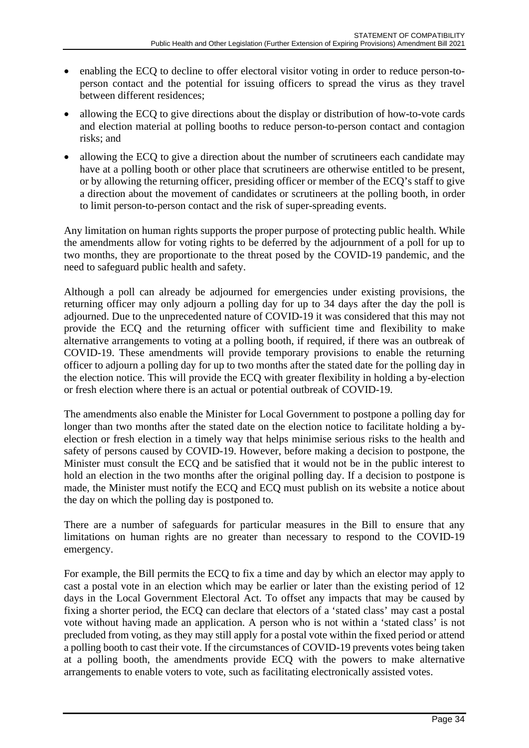- enabling the ECQ to decline to offer electoral visitor voting in order to reduce person-toperson contact and the potential for issuing officers to spread the virus as they travel between different residences;
- allowing the ECQ to give directions about the display or distribution of how-to-vote cards and election material at polling booths to reduce person-to-person contact and contagion risks; and
- allowing the ECQ to give a direction about the number of scrutineers each candidate may have at a polling booth or other place that scrutineers are otherwise entitled to be present, or by allowing the returning officer, presiding officer or member of the ECQ's staff to give a direction about the movement of candidates or scrutineers at the polling booth, in order to limit person-to-person contact and the risk of super-spreading events.

Any limitation on human rights supports the proper purpose of protecting public health. While the amendments allow for voting rights to be deferred by the adjournment of a poll for up to two months, they are proportionate to the threat posed by the COVID-19 pandemic, and the need to safeguard public health and safety.

Although a poll can already be adjourned for emergencies under existing provisions, the returning officer may only adjourn a polling day for up to 34 days after the day the poll is adjourned. Due to the unprecedented nature of COVID-19 it was considered that this may not provide the ECQ and the returning officer with sufficient time and flexibility to make alternative arrangements to voting at a polling booth, if required, if there was an outbreak of COVID-19. These amendments will provide temporary provisions to enable the returning officer to adjourn a polling day for up to two months after the stated date for the polling day in the election notice. This will provide the ECQ with greater flexibility in holding a by-election or fresh election where there is an actual or potential outbreak of COVID-19.

The amendments also enable the Minister for Local Government to postpone a polling day for longer than two months after the stated date on the election notice to facilitate holding a byelection or fresh election in a timely way that helps minimise serious risks to the health and safety of persons caused by COVID-19. However, before making a decision to postpone, the Minister must consult the ECQ and be satisfied that it would not be in the public interest to hold an election in the two months after the original polling day. If a decision to postpone is made, the Minister must notify the ECQ and ECQ must publish on its website a notice about the day on which the polling day is postponed to.

There are a number of safeguards for particular measures in the Bill to ensure that any limitations on human rights are no greater than necessary to respond to the COVID-19 emergency.

For example, the Bill permits the ECQ to fix a time and day by which an elector may apply to cast a postal vote in an election which may be earlier or later than the existing period of 12 days in the Local Government Electoral Act. To offset any impacts that may be caused by fixing a shorter period, the ECQ can declare that electors of a 'stated class' may cast a postal vote without having made an application. A person who is not within a 'stated class' is not precluded from voting, as they may still apply for a postal vote within the fixed period or attend a polling booth to cast their vote. If the circumstances of COVID-19 prevents votes being taken at a polling booth, the amendments provide ECQ with the powers to make alternative arrangements to enable voters to vote, such as facilitating electronically assisted votes.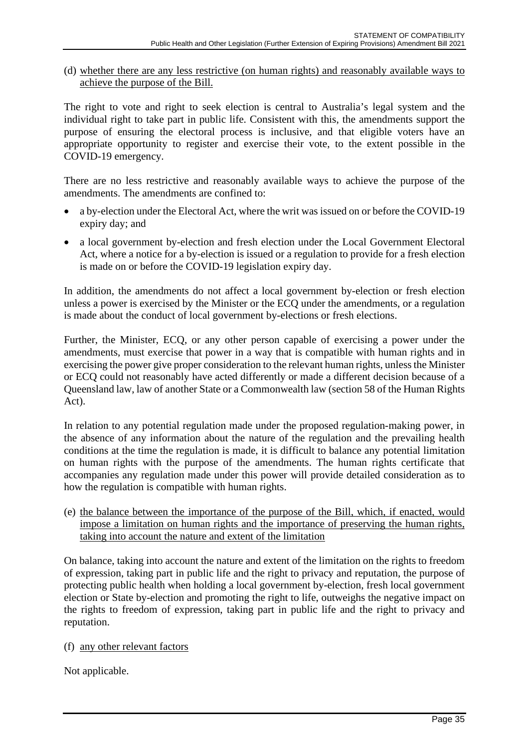(d) whether there are any less restrictive (on human rights) and reasonably available ways to achieve the purpose of the Bill.

The right to vote and right to seek election is central to Australia's legal system and the individual right to take part in public life. Consistent with this, the amendments support the purpose of ensuring the electoral process is inclusive, and that eligible voters have an appropriate opportunity to register and exercise their vote, to the extent possible in the COVID-19 emergency.

There are no less restrictive and reasonably available ways to achieve the purpose of the amendments. The amendments are confined to:

- a by-election under the Electoral Act, where the writ was issued on or before the COVID-19 expiry day; and
- a local government by-election and fresh election under the Local Government Electoral Act, where a notice for a by-election is issued or a regulation to provide for a fresh election is made on or before the COVID-19 legislation expiry day.

In addition, the amendments do not affect a local government by-election or fresh election unless a power is exercised by the Minister or the ECQ under the amendments, or a regulation is made about the conduct of local government by-elections or fresh elections.

Further, the Minister, ECQ, or any other person capable of exercising a power under the amendments, must exercise that power in a way that is compatible with human rights and in exercising the power give proper consideration to the relevant human rights, unless the Minister or ECQ could not reasonably have acted differently or made a different decision because of a Queensland law, law of another State or a Commonwealth law (section 58 of the Human Rights Act).

In relation to any potential regulation made under the proposed regulation-making power, in the absence of any information about the nature of the regulation and the prevailing health conditions at the time the regulation is made, it is difficult to balance any potential limitation on human rights with the purpose of the amendments. The human rights certificate that accompanies any regulation made under this power will provide detailed consideration as to how the regulation is compatible with human rights.

(e) the balance between the importance of the purpose of the Bill, which, if enacted, would impose a limitation on human rights and the importance of preserving the human rights, taking into account the nature and extent of the limitation

On balance, taking into account the nature and extent of the limitation on the rights to freedom of expression, taking part in public life and the right to privacy and reputation, the purpose of protecting public health when holding a local government by-election, fresh local government election or State by-election and promoting the right to life, outweighs the negative impact on the rights to freedom of expression, taking part in public life and the right to privacy and reputation.

## (f) any other relevant factors

Not applicable.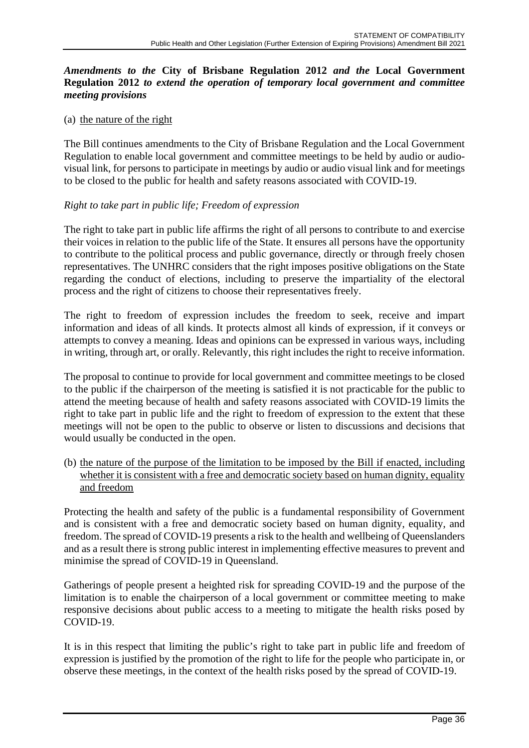## *Amendments to the* **City of Brisbane Regulation 2012** *and the* **Local Government Regulation 2012** *to extend the operation of temporary local government and committee meeting provisions*

## (a) the nature of the right

The Bill continues amendments to the City of Brisbane Regulation and the Local Government Regulation to enable local government and committee meetings to be held by audio or audiovisual link, for persons to participate in meetings by audio or audio visual link and for meetings to be closed to the public for health and safety reasons associated with COVID-19.

#### *Right to take part in public life; Freedom of expression*

The right to take part in public life affirms the right of all persons to contribute to and exercise their voices in relation to the public life of the State. It ensures all persons have the opportunity to contribute to the political process and public governance, directly or through freely chosen representatives. The UNHRC considers that the right imposes positive obligations on the State regarding the conduct of elections, including to preserve the impartiality of the electoral process and the right of citizens to choose their representatives freely.

The right to freedom of expression includes the freedom to seek, receive and impart information and ideas of all kinds. It protects almost all kinds of expression, if it conveys or attempts to convey a meaning. Ideas and opinions can be expressed in various ways, including in writing, through art, or orally. Relevantly, this right includes the right to receive information.

The proposal to continue to provide for local government and committee meetings to be closed to the public if the chairperson of the meeting is satisfied it is not practicable for the public to attend the meeting because of health and safety reasons associated with COVID-19 limits the right to take part in public life and the right to freedom of expression to the extent that these meetings will not be open to the public to observe or listen to discussions and decisions that would usually be conducted in the open.

(b) the nature of the purpose of the limitation to be imposed by the Bill if enacted, including whether it is consistent with a free and democratic society based on human dignity, equality and freedom

Protecting the health and safety of the public is a fundamental responsibility of Government and is consistent with a free and democratic society based on human dignity, equality, and freedom. The spread of COVID-19 presents a risk to the health and wellbeing of Queenslanders and as a result there is strong public interest in implementing effective measures to prevent and minimise the spread of COVID-19 in Queensland.

Gatherings of people present a heighted risk for spreading COVID-19 and the purpose of the limitation is to enable the chairperson of a local government or committee meeting to make responsive decisions about public access to a meeting to mitigate the health risks posed by COVID-19.

It is in this respect that limiting the public's right to take part in public life and freedom of expression is justified by the promotion of the right to life for the people who participate in, or observe these meetings, in the context of the health risks posed by the spread of COVID-19.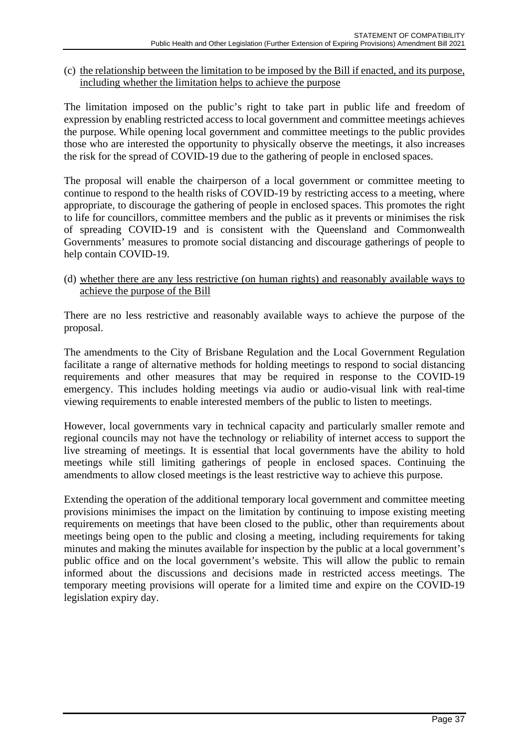(c) the relationship between the limitation to be imposed by the Bill if enacted, and its purpose, including whether the limitation helps to achieve the purpose

The limitation imposed on the public's right to take part in public life and freedom of expression by enabling restricted access to local government and committee meetings achieves the purpose. While opening local government and committee meetings to the public provides those who are interested the opportunity to physically observe the meetings, it also increases the risk for the spread of COVID-19 due to the gathering of people in enclosed spaces.

The proposal will enable the chairperson of a local government or committee meeting to continue to respond to the health risks of COVID-19 by restricting access to a meeting, where appropriate, to discourage the gathering of people in enclosed spaces. This promotes the right to life for councillors, committee members and the public as it prevents or minimises the risk of spreading COVID-19 and is consistent with the Queensland and Commonwealth Governments' measures to promote social distancing and discourage gatherings of people to help contain COVID-19.

(d) whether there are any less restrictive (on human rights) and reasonably available ways to achieve the purpose of the Bill

There are no less restrictive and reasonably available ways to achieve the purpose of the proposal.

The amendments to the City of Brisbane Regulation and the Local Government Regulation facilitate a range of alternative methods for holding meetings to respond to social distancing requirements and other measures that may be required in response to the COVID-19 emergency. This includes holding meetings via audio or audio-visual link with real-time viewing requirements to enable interested members of the public to listen to meetings.

However, local governments vary in technical capacity and particularly smaller remote and regional councils may not have the technology or reliability of internet access to support the live streaming of meetings. It is essential that local governments have the ability to hold meetings while still limiting gatherings of people in enclosed spaces. Continuing the amendments to allow closed meetings is the least restrictive way to achieve this purpose.

Extending the operation of the additional temporary local government and committee meeting provisions minimises the impact on the limitation by continuing to impose existing meeting requirements on meetings that have been closed to the public, other than requirements about meetings being open to the public and closing a meeting, including requirements for taking minutes and making the minutes available for inspection by the public at a local government's public office and on the local government's website. This will allow the public to remain informed about the discussions and decisions made in restricted access meetings. The temporary meeting provisions will operate for a limited time and expire on the COVID-19 legislation expiry day.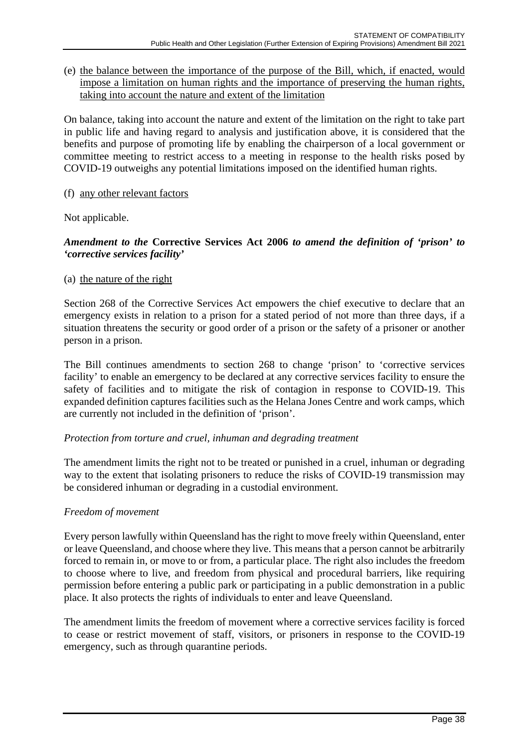(e) the balance between the importance of the purpose of the Bill, which, if enacted, would impose a limitation on human rights and the importance of preserving the human rights, taking into account the nature and extent of the limitation

On balance, taking into account the nature and extent of the limitation on the right to take part in public life and having regard to analysis and justification above, it is considered that the benefits and purpose of promoting life by enabling the chairperson of a local government or committee meeting to restrict access to a meeting in response to the health risks posed by COVID-19 outweighs any potential limitations imposed on the identified human rights.

#### (f) any other relevant factors

Not applicable.

#### *Amendment to the* **Corrective Services Act 2006** *to amend the definition of 'prison' to 'corrective services facility'*

#### (a) the nature of the right

Section 268 of the Corrective Services Act empowers the chief executive to declare that an emergency exists in relation to a prison for a stated period of not more than three days, if a situation threatens the security or good order of a prison or the safety of a prisoner or another person in a prison.

The Bill continues amendments to section 268 to change 'prison' to 'corrective services facility' to enable an emergency to be declared at any corrective services facility to ensure the safety of facilities and to mitigate the risk of contagion in response to COVID-19. This expanded definition captures facilities such as the Helana Jones Centre and work camps, which are currently not included in the definition of 'prison'.

#### *Protection from torture and cruel, inhuman and degrading treatment*

The amendment limits the right not to be treated or punished in a cruel, inhuman or degrading way to the extent that isolating prisoners to reduce the risks of COVID-19 transmission may be considered inhuman or degrading in a custodial environment.

#### *Freedom of movement*

Every person lawfully within Queensland has the right to move freely within Queensland, enter or leave Queensland, and choose where they live. This means that a person cannot be arbitrarily forced to remain in, or move to or from, a particular place. The right also includes the freedom to choose where to live, and freedom from physical and procedural barriers, like requiring permission before entering a public park or participating in a public demonstration in a public place. It also protects the rights of individuals to enter and leave Queensland.

The amendment limits the freedom of movement where a corrective services facility is forced to cease or restrict movement of staff, visitors, or prisoners in response to the COVID-19 emergency, such as through quarantine periods.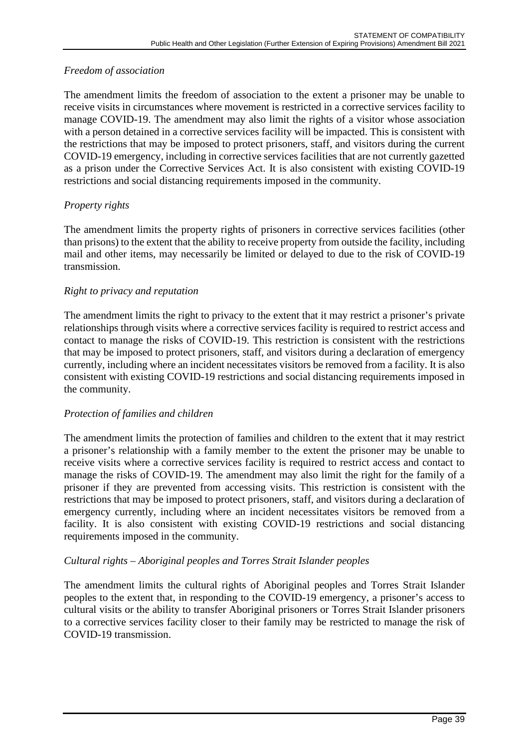# *Freedom of association*

The amendment limits the freedom of association to the extent a prisoner may be unable to receive visits in circumstances where movement is restricted in a corrective services facility to manage COVID-19. The amendment may also limit the rights of a visitor whose association with a person detained in a corrective services facility will be impacted. This is consistent with the restrictions that may be imposed to protect prisoners, staff, and visitors during the current COVID-19 emergency, including in corrective services facilities that are not currently gazetted as a prison under the Corrective Services Act. It is also consistent with existing COVID-19 restrictions and social distancing requirements imposed in the community.

## *Property rights*

The amendment limits the property rights of prisoners in corrective services facilities (other than prisons) to the extent that the ability to receive property from outside the facility, including mail and other items, may necessarily be limited or delayed to due to the risk of COVID-19 transmission.

#### *Right to privacy and reputation*

The amendment limits the right to privacy to the extent that it may restrict a prisoner's private relationships through visits where a corrective services facility is required to restrict access and contact to manage the risks of COVID-19. This restriction is consistent with the restrictions that may be imposed to protect prisoners, staff, and visitors during a declaration of emergency currently, including where an incident necessitates visitors be removed from a facility. It is also consistent with existing COVID-19 restrictions and social distancing requirements imposed in the community.

#### *Protection of families and children*

The amendment limits the protection of families and children to the extent that it may restrict a prisoner's relationship with a family member to the extent the prisoner may be unable to receive visits where a corrective services facility is required to restrict access and contact to manage the risks of COVID-19. The amendment may also limit the right for the family of a prisoner if they are prevented from accessing visits. This restriction is consistent with the restrictions that may be imposed to protect prisoners, staff, and visitors during a declaration of emergency currently, including where an incident necessitates visitors be removed from a facility. It is also consistent with existing COVID-19 restrictions and social distancing requirements imposed in the community.

#### *Cultural rights – Aboriginal peoples and Torres Strait Islander peoples*

The amendment limits the cultural rights of Aboriginal peoples and Torres Strait Islander peoples to the extent that, in responding to the COVID-19 emergency, a prisoner's access to cultural visits or the ability to transfer Aboriginal prisoners or Torres Strait Islander prisoners to a corrective services facility closer to their family may be restricted to manage the risk of COVID-19 transmission.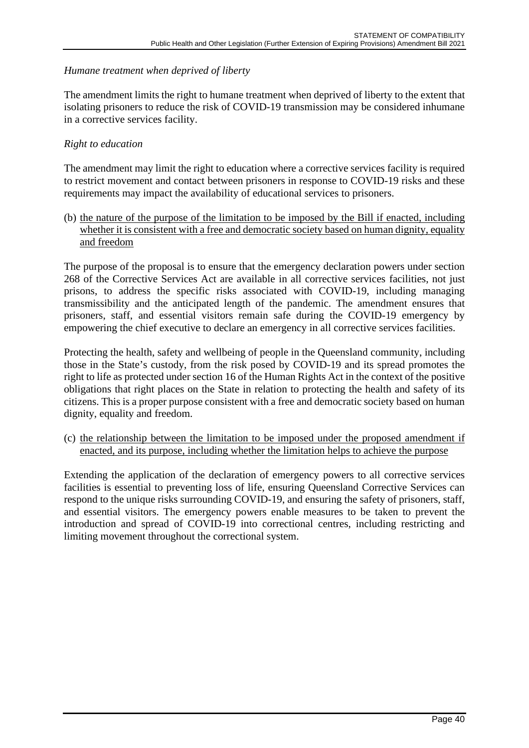# *Humane treatment when deprived of liberty*

The amendment limits the right to humane treatment when deprived of liberty to the extent that isolating prisoners to reduce the risk of COVID-19 transmission may be considered inhumane in a corrective services facility.

#### *Right to education*

The amendment may limit the right to education where a corrective services facility is required to restrict movement and contact between prisoners in response to COVID-19 risks and these requirements may impact the availability of educational services to prisoners.

(b) the nature of the purpose of the limitation to be imposed by the Bill if enacted, including whether it is consistent with a free and democratic society based on human dignity, equality and freedom

The purpose of the proposal is to ensure that the emergency declaration powers under section 268 of the Corrective Services Act are available in all corrective services facilities, not just prisons, to address the specific risks associated with COVID-19, including managing transmissibility and the anticipated length of the pandemic. The amendment ensures that prisoners, staff, and essential visitors remain safe during the COVID-19 emergency by empowering the chief executive to declare an emergency in all corrective services facilities.

Protecting the health, safety and wellbeing of people in the Queensland community, including those in the State's custody, from the risk posed by COVID-19 and its spread promotes the right to life as protected under section 16 of the Human Rights Act in the context of the positive obligations that right places on the State in relation to protecting the health and safety of its citizens. This is a proper purpose consistent with a free and democratic society based on human dignity, equality and freedom.

(c) the relationship between the limitation to be imposed under the proposed amendment if enacted, and its purpose, including whether the limitation helps to achieve the purpose

Extending the application of the declaration of emergency powers to all corrective services facilities is essential to preventing loss of life, ensuring Queensland Corrective Services can respond to the unique risks surrounding COVID-19, and ensuring the safety of prisoners, staff, and essential visitors. The emergency powers enable measures to be taken to prevent the introduction and spread of COVID-19 into correctional centres, including restricting and limiting movement throughout the correctional system.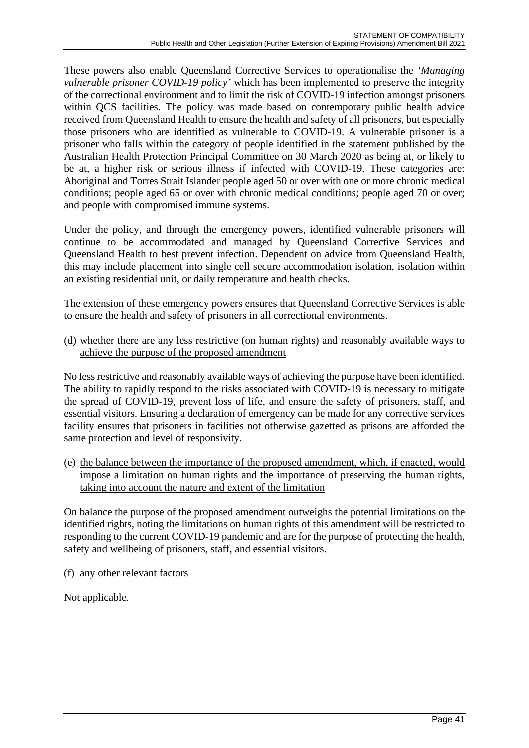These powers also enable Queensland Corrective Services to operationalise the *'Managing vulnerable prisoner COVID-19 policy'* which has been implemented to preserve the integrity of the correctional environment and to limit the risk of COVID-19 infection amongst prisoners within QCS facilities. The policy was made based on contemporary public health advice received from Queensland Health to ensure the health and safety of all prisoners, but especially those prisoners who are identified as vulnerable to COVID-19. A vulnerable prisoner is a prisoner who falls within the category of people identified in the statement published by the Australian Health Protection Principal Committee on 30 March 2020 as being at, or likely to be at, a higher risk or serious illness if infected with COVID-19. These categories are: Aboriginal and Torres Strait Islander people aged 50 or over with one or more chronic medical conditions; people aged 65 or over with chronic medical conditions; people aged 70 or over; and people with compromised immune systems.

Under the policy, and through the emergency powers, identified vulnerable prisoners will continue to be accommodated and managed by Queensland Corrective Services and Queensland Health to best prevent infection. Dependent on advice from Queensland Health, this may include placement into single cell secure accommodation isolation, isolation within an existing residential unit, or daily temperature and health checks.

The extension of these emergency powers ensures that Queensland Corrective Services is able to ensure the health and safety of prisoners in all correctional environments.

(d) whether there are any less restrictive (on human rights) and reasonably available ways to achieve the purpose of the proposed amendment

No less restrictive and reasonably available ways of achieving the purpose have been identified. The ability to rapidly respond to the risks associated with COVID-19 is necessary to mitigate the spread of COVID-19, prevent loss of life, and ensure the safety of prisoners, staff, and essential visitors. Ensuring a declaration of emergency can be made for any corrective services facility ensures that prisoners in facilities not otherwise gazetted as prisons are afforded the same protection and level of responsivity.

(e) the balance between the importance of the proposed amendment, which, if enacted, would impose a limitation on human rights and the importance of preserving the human rights, taking into account the nature and extent of the limitation

On balance the purpose of the proposed amendment outweighs the potential limitations on the identified rights, noting the limitations on human rights of this amendment will be restricted to responding to the current COVID-19 pandemic and are for the purpose of protecting the health, safety and wellbeing of prisoners, staff, and essential visitors.

(f) any other relevant factors

Not applicable.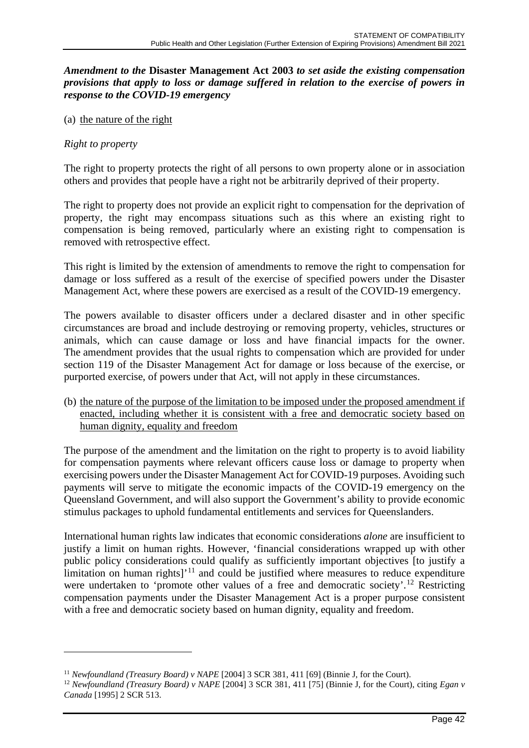## *Amendment to the* **Disaster Management Act 2003** *to set aside the existing compensation provisions that apply to loss or damage suffered in relation to the exercise of powers in response to the COVID-19 emergency*

#### (a) the nature of the right

#### *Right to property*

The right to property protects the right of all persons to own property alone or in association others and provides that people have a right not be arbitrarily deprived of their property.

The right to property does not provide an explicit right to compensation for the deprivation of property, the right may encompass situations such as this where an existing right to compensation is being removed, particularly where an existing right to compensation is removed with retrospective effect.

This right is limited by the extension of amendments to remove the right to compensation for damage or loss suffered as a result of the exercise of specified powers under the Disaster Management Act, where these powers are exercised as a result of the COVID-19 emergency.

The powers available to disaster officers under a declared disaster and in other specific circumstances are broad and include destroying or removing property, vehicles, structures or animals, which can cause damage or loss and have financial impacts for the owner. The amendment provides that the usual rights to compensation which are provided for under section 119 of the Disaster Management Act for damage or loss because of the exercise, or purported exercise, of powers under that Act, will not apply in these circumstances.

(b) the nature of the purpose of the limitation to be imposed under the proposed amendment if enacted, including whether it is consistent with a free and democratic society based on human dignity, equality and freedom

The purpose of the amendment and the limitation on the right to property is to avoid liability for compensation payments where relevant officers cause loss or damage to property when exercising powers under the Disaster Management Act for COVID-19 purposes. Avoiding such payments will serve to mitigate the economic impacts of the COVID-19 emergency on the Queensland Government, and will also support the Government's ability to provide economic stimulus packages to uphold fundamental entitlements and services for Queenslanders.

International human rights law indicates that economic considerations *alone* are insufficient to justify a limit on human rights. However, 'financial considerations wrapped up with other public policy considerations could qualify as sufficiently important objectives [to justify a limitation on human rights]'<sup>[11](#page-41-0)</sup> and could be justified where measures to reduce expenditure were undertaken to 'promote other values of a free and democratic society'.<sup>[12](#page-41-1)</sup> Restricting compensation payments under the Disaster Management Act is a proper purpose consistent with a free and democratic society based on human dignity, equality and freedom.

<sup>&</sup>lt;sup>11</sup> *Newfoundland (Treasury Board) v NAPE* [2004] 3 SCR 381, 411 [69] (Binnie J, for the Court).

<span id="page-41-1"></span><span id="page-41-0"></span><sup>12</sup> *Newfoundland (Treasury Board) v NAPE* [2004] 3 SCR 381, 411 [75] (Binnie J, for the Court), citing *Egan v Canada* [1995] 2 SCR 513.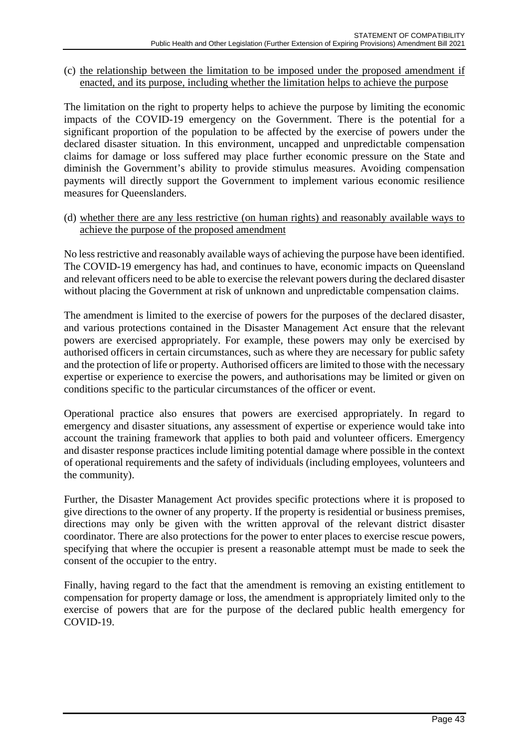#### (c) the relationship between the limitation to be imposed under the proposed amendment if enacted, and its purpose, including whether the limitation helps to achieve the purpose

The limitation on the right to property helps to achieve the purpose by limiting the economic impacts of the COVID-19 emergency on the Government. There is the potential for a significant proportion of the population to be affected by the exercise of powers under the declared disaster situation. In this environment, uncapped and unpredictable compensation claims for damage or loss suffered may place further economic pressure on the State and diminish the Government's ability to provide stimulus measures. Avoiding compensation payments will directly support the Government to implement various economic resilience measures for Queenslanders.

#### (d) whether there are any less restrictive (on human rights) and reasonably available ways to achieve the purpose of the proposed amendment

No less restrictive and reasonably available ways of achieving the purpose have been identified. The COVID-19 emergency has had, and continues to have, economic impacts on Queensland and relevant officers need to be able to exercise the relevant powers during the declared disaster without placing the Government at risk of unknown and unpredictable compensation claims.

The amendment is limited to the exercise of powers for the purposes of the declared disaster, and various protections contained in the Disaster Management Act ensure that the relevant powers are exercised appropriately. For example, these powers may only be exercised by authorised officers in certain circumstances, such as where they are necessary for public safety and the protection of life or property. Authorised officers are limited to those with the necessary expertise or experience to exercise the powers, and authorisations may be limited or given on conditions specific to the particular circumstances of the officer or event.

Operational practice also ensures that powers are exercised appropriately. In regard to emergency and disaster situations, any assessment of expertise or experience would take into account the training framework that applies to both paid and volunteer officers. Emergency and disaster response practices include limiting potential damage where possible in the context of operational requirements and the safety of individuals (including employees, volunteers and the community).

Further, the Disaster Management Act provides specific protections where it is proposed to give directions to the owner of any property. If the property is residential or business premises, directions may only be given with the written approval of the relevant district disaster coordinator. There are also protections for the power to enter places to exercise rescue powers, specifying that where the occupier is present a reasonable attempt must be made to seek the consent of the occupier to the entry.

Finally, having regard to the fact that the amendment is removing an existing entitlement to compensation for property damage or loss, the amendment is appropriately limited only to the exercise of powers that are for the purpose of the declared public health emergency for COVID-19.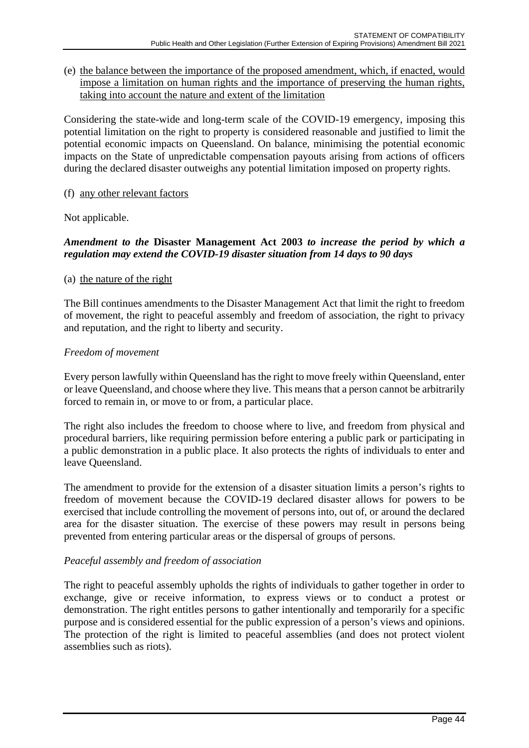(e) the balance between the importance of the proposed amendment, which, if enacted, would impose a limitation on human rights and the importance of preserving the human rights, taking into account the nature and extent of the limitation

Considering the state-wide and long-term scale of the COVID-19 emergency, imposing this potential limitation on the right to property is considered reasonable and justified to limit the potential economic impacts on Queensland. On balance, minimising the potential economic impacts on the State of unpredictable compensation payouts arising from actions of officers during the declared disaster outweighs any potential limitation imposed on property rights.

#### (f) any other relevant factors

Not applicable.

#### *Amendment to the* **Disaster Management Act 2003** *to increase the period by which a regulation may extend the COVID-19 disaster situation from 14 days to 90 days*

#### (a) the nature of the right

The Bill continues amendments to the Disaster Management Act that limit the right to freedom of movement, the right to peaceful assembly and freedom of association, the right to privacy and reputation, and the right to liberty and security.

#### *Freedom of movement*

Every person lawfully within Queensland has the right to move freely within Queensland, enter or leave Queensland, and choose where they live. This means that a person cannot be arbitrarily forced to remain in, or move to or from, a particular place.

The right also includes the freedom to choose where to live, and freedom from physical and procedural barriers, like requiring permission before entering a public park or participating in a public demonstration in a public place. It also protects the rights of individuals to enter and leave Queensland.

The amendment to provide for the extension of a disaster situation limits a person's rights to freedom of movement because the COVID-19 declared disaster allows for powers to be exercised that include controlling the movement of persons into, out of, or around the declared area for the disaster situation. The exercise of these powers may result in persons being prevented from entering particular areas or the dispersal of groups of persons.

#### *Peaceful assembly and freedom of association*

The right to peaceful assembly upholds the rights of individuals to gather together in order to exchange, give or receive information, to express views or to conduct a protest or demonstration. The right entitles persons to gather intentionally and temporarily for a specific purpose and is considered essential for the public expression of a person's views and opinions. The protection of the right is limited to peaceful assemblies (and does not protect violent assemblies such as riots).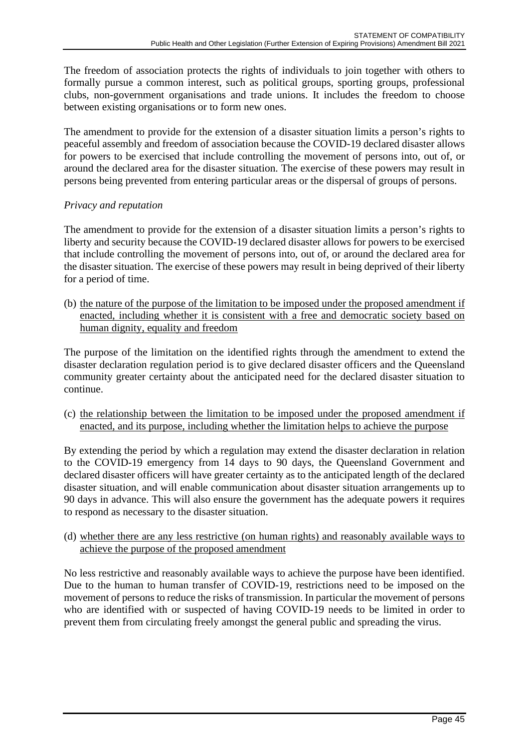The freedom of association protects the rights of individuals to join together with others to formally pursue a common interest, such as political groups, sporting groups, professional clubs, non-government organisations and trade unions. It includes the freedom to choose between existing organisations or to form new ones.

The amendment to provide for the extension of a disaster situation limits a person's rights to peaceful assembly and freedom of association because the COVID-19 declared disaster allows for powers to be exercised that include controlling the movement of persons into, out of, or around the declared area for the disaster situation. The exercise of these powers may result in persons being prevented from entering particular areas or the dispersal of groups of persons.

# *Privacy and reputation*

The amendment to provide for the extension of a disaster situation limits a person's rights to liberty and security because the COVID-19 declared disaster allows for powers to be exercised that include controlling the movement of persons into, out of, or around the declared area for the disaster situation. The exercise of these powers may result in being deprived of their liberty for a period of time.

(b) the nature of the purpose of the limitation to be imposed under the proposed amendment if enacted, including whether it is consistent with a free and democratic society based on human dignity, equality and freedom

The purpose of the limitation on the identified rights through the amendment to extend the disaster declaration regulation period is to give declared disaster officers and the Queensland community greater certainty about the anticipated need for the declared disaster situation to continue.

(c) the relationship between the limitation to be imposed under the proposed amendment if enacted, and its purpose, including whether the limitation helps to achieve the purpose

By extending the period by which a regulation may extend the disaster declaration in relation to the COVID-19 emergency from 14 days to 90 days, the Queensland Government and declared disaster officers will have greater certainty as to the anticipated length of the declared disaster situation, and will enable communication about disaster situation arrangements up to 90 days in advance. This will also ensure the government has the adequate powers it requires to respond as necessary to the disaster situation.

(d) whether there are any less restrictive (on human rights) and reasonably available ways to achieve the purpose of the proposed amendment

No less restrictive and reasonably available ways to achieve the purpose have been identified. Due to the human to human transfer of COVID-19, restrictions need to be imposed on the movement of persons to reduce the risks of transmission. In particular the movement of persons who are identified with or suspected of having COVID-19 needs to be limited in order to prevent them from circulating freely amongst the general public and spreading the virus.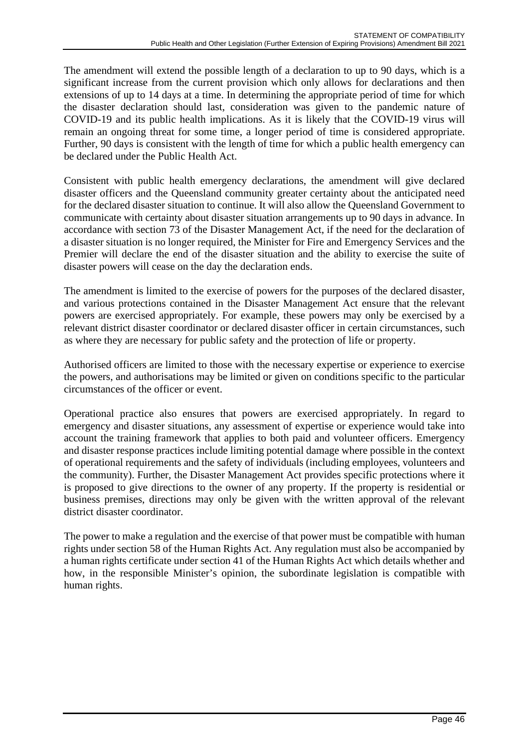The amendment will extend the possible length of a declaration to up to 90 days, which is a significant increase from the current provision which only allows for declarations and then extensions of up to 14 days at a time. In determining the appropriate period of time for which the disaster declaration should last, consideration was given to the pandemic nature of COVID-19 and its public health implications. As it is likely that the COVID-19 virus will remain an ongoing threat for some time, a longer period of time is considered appropriate. Further, 90 days is consistent with the length of time for which a public health emergency can be declared under the Public Health Act.

Consistent with public health emergency declarations, the amendment will give declared disaster officers and the Queensland community greater certainty about the anticipated need for the declared disaster situation to continue. It will also allow the Queensland Government to communicate with certainty about disaster situation arrangements up to 90 days in advance. In accordance with section 73 of the Disaster Management Act, if the need for the declaration of a disaster situation is no longer required, the Minister for Fire and Emergency Services and the Premier will declare the end of the disaster situation and the ability to exercise the suite of disaster powers will cease on the day the declaration ends.

The amendment is limited to the exercise of powers for the purposes of the declared disaster, and various protections contained in the Disaster Management Act ensure that the relevant powers are exercised appropriately. For example, these powers may only be exercised by a relevant district disaster coordinator or declared disaster officer in certain circumstances, such as where they are necessary for public safety and the protection of life or property.

Authorised officers are limited to those with the necessary expertise or experience to exercise the powers, and authorisations may be limited or given on conditions specific to the particular circumstances of the officer or event.

Operational practice also ensures that powers are exercised appropriately. In regard to emergency and disaster situations, any assessment of expertise or experience would take into account the training framework that applies to both paid and volunteer officers. Emergency and disaster response practices include limiting potential damage where possible in the context of operational requirements and the safety of individuals (including employees, volunteers and the community). Further, the Disaster Management Act provides specific protections where it is proposed to give directions to the owner of any property. If the property is residential or business premises, directions may only be given with the written approval of the relevant district disaster coordinator.

The power to make a regulation and the exercise of that power must be compatible with human rights under section 58 of the Human Rights Act. Any regulation must also be accompanied by a human rights certificate under section 41 of the Human Rights Act which details whether and how, in the responsible Minister's opinion, the subordinate legislation is compatible with human rights.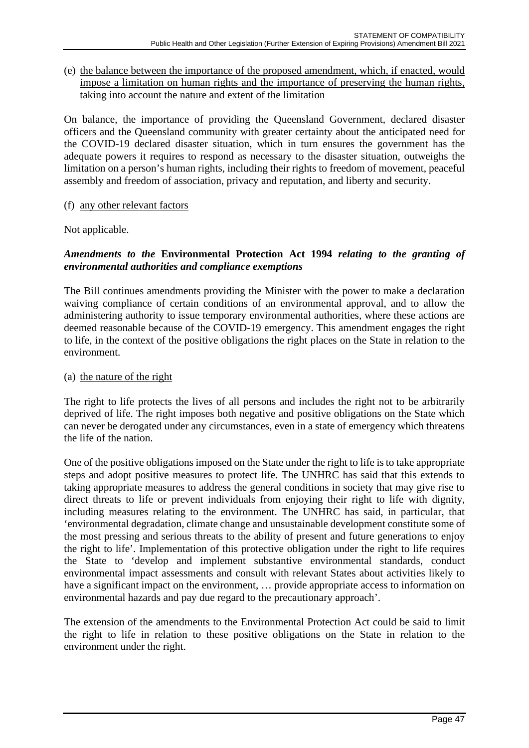(e) the balance between the importance of the proposed amendment, which, if enacted, would impose a limitation on human rights and the importance of preserving the human rights, taking into account the nature and extent of the limitation

On balance, the importance of providing the Queensland Government, declared disaster officers and the Queensland community with greater certainty about the anticipated need for the COVID-19 declared disaster situation, which in turn ensures the government has the adequate powers it requires to respond as necessary to the disaster situation, outweighs the limitation on a person's human rights, including their rights to freedom of movement, peaceful assembly and freedom of association, privacy and reputation, and liberty and security.

#### (f) any other relevant factors

Not applicable.

## *Amendments to the* **Environmental Protection Act 1994** *relating to the granting of environmental authorities and compliance exemptions*

The Bill continues amendments providing the Minister with the power to make a declaration waiving compliance of certain conditions of an environmental approval, and to allow the administering authority to issue temporary environmental authorities, where these actions are deemed reasonable because of the COVID-19 emergency. This amendment engages the right to life, in the context of the positive obligations the right places on the State in relation to the environment.

#### (a) the nature of the right

The right to life protects the lives of all persons and includes the right not to be arbitrarily deprived of life. The right imposes both negative and positive obligations on the State which can never be derogated under any circumstances, even in a state of emergency which threatens the life of the nation.

One of the positive obligations imposed on the State under the right to life is to take appropriate steps and adopt positive measures to protect life. The UNHRC has said that this extends to taking appropriate measures to address the general conditions in society that may give rise to direct threats to life or prevent individuals from enjoying their right to life with dignity, including measures relating to the environment. The UNHRC has said, in particular, that 'environmental degradation, climate change and unsustainable development constitute some of the most pressing and serious threats to the ability of present and future generations to enjoy the right to life'. Implementation of this protective obligation under the right to life requires the State to 'develop and implement substantive environmental standards, conduct environmental impact assessments and consult with relevant States about activities likely to have a significant impact on the environment, ... provide appropriate access to information on environmental hazards and pay due regard to the precautionary approach'.

The extension of the amendments to the Environmental Protection Act could be said to limit the right to life in relation to these positive obligations on the State in relation to the environment under the right.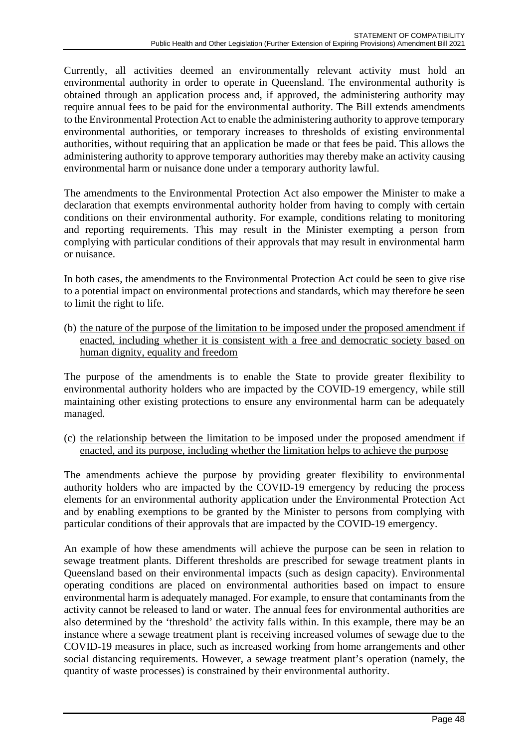Currently, all activities deemed an environmentally relevant activity must hold an environmental authority in order to operate in Queensland. The environmental authority is obtained through an application process and, if approved, the administering authority may require annual fees to be paid for the environmental authority. The Bill extends amendments to the Environmental Protection Act to enable the administering authority to approve temporary environmental authorities, or temporary increases to thresholds of existing environmental authorities, without requiring that an application be made or that fees be paid. This allows the administering authority to approve temporary authorities may thereby make an activity causing environmental harm or nuisance done under a temporary authority lawful.

The amendments to the Environmental Protection Act also empower the Minister to make a declaration that exempts environmental authority holder from having to comply with certain conditions on their environmental authority. For example, conditions relating to monitoring and reporting requirements. This may result in the Minister exempting a person from complying with particular conditions of their approvals that may result in environmental harm or nuisance.

In both cases, the amendments to the Environmental Protection Act could be seen to give rise to a potential impact on environmental protections and standards, which may therefore be seen to limit the right to life.

(b) the nature of the purpose of the limitation to be imposed under the proposed amendment if enacted, including whether it is consistent with a free and democratic society based on human dignity, equality and freedom

The purpose of the amendments is to enable the State to provide greater flexibility to environmental authority holders who are impacted by the COVID-19 emergency, while still maintaining other existing protections to ensure any environmental harm can be adequately managed.

(c) the relationship between the limitation to be imposed under the proposed amendment if enacted, and its purpose, including whether the limitation helps to achieve the purpose

The amendments achieve the purpose by providing greater flexibility to environmental authority holders who are impacted by the COVID-19 emergency by reducing the process elements for an environmental authority application under the Environmental Protection Act and by enabling exemptions to be granted by the Minister to persons from complying with particular conditions of their approvals that are impacted by the COVID-19 emergency.

An example of how these amendments will achieve the purpose can be seen in relation to sewage treatment plants. Different thresholds are prescribed for sewage treatment plants in Queensland based on their environmental impacts (such as design capacity). Environmental operating conditions are placed on environmental authorities based on impact to ensure environmental harm is adequately managed. For example, to ensure that contaminants from the activity cannot be released to land or water. The annual fees for environmental authorities are also determined by the 'threshold' the activity falls within. In this example, there may be an instance where a sewage treatment plant is receiving increased volumes of sewage due to the COVID-19 measures in place, such as increased working from home arrangements and other social distancing requirements. However, a sewage treatment plant's operation (namely, the quantity of waste processes) is constrained by their environmental authority.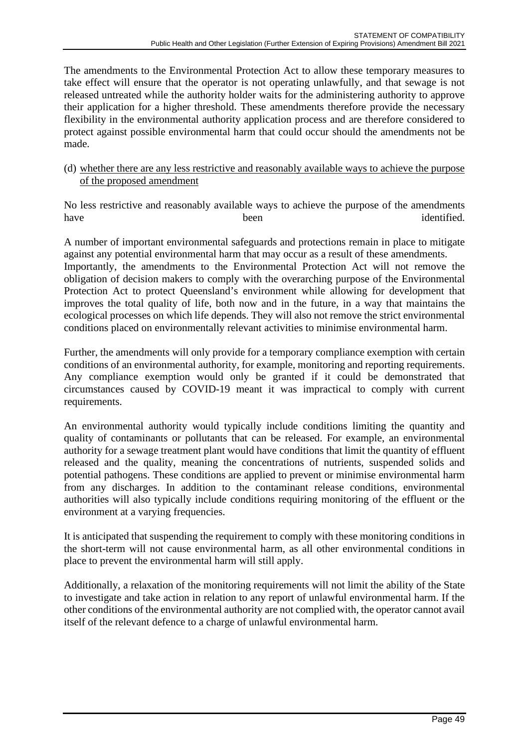The amendments to the Environmental Protection Act to allow these temporary measures to take effect will ensure that the operator is not operating unlawfully, and that sewage is not released untreated while the authority holder waits for the administering authority to approve their application for a higher threshold. These amendments therefore provide the necessary flexibility in the environmental authority application process and are therefore considered to protect against possible environmental harm that could occur should the amendments not be made.

(d) whether there are any less restrictive and reasonably available ways to achieve the purpose of the proposed amendment

No less restrictive and reasonably available ways to achieve the purpose of the amendments have been been identified.

A number of important environmental safeguards and protections remain in place to mitigate against any potential environmental harm that may occur as a result of these amendments. Importantly, the amendments to the Environmental Protection Act will not remove the obligation of decision makers to comply with the overarching purpose of the Environmental Protection Act to protect Queensland's environment while allowing for development that improves the total quality of life, both now and in the future, in a way that maintains the ecological processes on which life depends. They will also not remove the strict environmental conditions placed on environmentally relevant activities to minimise environmental harm.

Further, the amendments will only provide for a temporary compliance exemption with certain conditions of an environmental authority, for example, monitoring and reporting requirements. Any compliance exemption would only be granted if it could be demonstrated that circumstances caused by COVID-19 meant it was impractical to comply with current requirements.

An environmental authority would typically include conditions limiting the quantity and quality of contaminants or pollutants that can be released. For example, an environmental authority for a sewage treatment plant would have conditions that limit the quantity of effluent released and the quality, meaning the concentrations of nutrients, suspended solids and potential pathogens. These conditions are applied to prevent or minimise environmental harm from any discharges. In addition to the contaminant release conditions, environmental authorities will also typically include conditions requiring monitoring of the effluent or the environment at a varying frequencies.

It is anticipated that suspending the requirement to comply with these monitoring conditions in the short-term will not cause environmental harm, as all other environmental conditions in place to prevent the environmental harm will still apply.

Additionally, a relaxation of the monitoring requirements will not limit the ability of the State to investigate and take action in relation to any report of unlawful environmental harm. If the other conditions of the environmental authority are not complied with, the operator cannot avail itself of the relevant defence to a charge of unlawful environmental harm.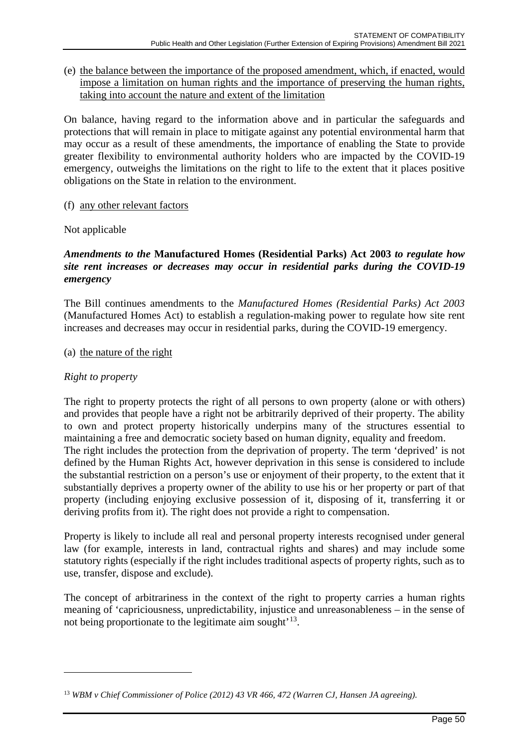(e) the balance between the importance of the proposed amendment, which, if enacted, would impose a limitation on human rights and the importance of preserving the human rights, taking into account the nature and extent of the limitation

On balance, having regard to the information above and in particular the safeguards and protections that will remain in place to mitigate against any potential environmental harm that may occur as a result of these amendments, the importance of enabling the State to provide greater flexibility to environmental authority holders who are impacted by the COVID-19 emergency, outweighs the limitations on the right to life to the extent that it places positive obligations on the State in relation to the environment.

#### (f) any other relevant factors

#### Not applicable

#### *Amendments to the* **Manufactured Homes (Residential Parks) Act 2003** *to regulate how site rent increases or decreases may occur in residential parks during the COVID-19 emergency*

The Bill continues amendments to the *Manufactured Homes (Residential Parks) Act 2003* (Manufactured Homes Act) to establish a regulation-making power to regulate how site rent increases and decreases may occur in residential parks, during the COVID-19 emergency.

#### (a) the nature of the right

#### *Right to property*

The right to property protects the right of all persons to own property (alone or with others) and provides that people have a right not be arbitrarily deprived of their property. The ability to own and protect property historically underpins many of the structures essential to maintaining a free and democratic society based on human dignity, equality and freedom. The right includes the protection from the deprivation of property. The term 'deprived' is not defined by the Human Rights Act, however deprivation in this sense is considered to include the substantial restriction on a person's use or enjoyment of their property, to the extent that it substantially deprives a property owner of the ability to use his or her property or part of that property (including enjoying exclusive possession of it, disposing of it, transferring it or deriving profits from it). The right does not provide a right to compensation.

Property is likely to include all real and personal property interests recognised under general law (for example, interests in land, contractual rights and shares) and may include some statutory rights (especially if the right includes traditional aspects of property rights, such as to use, transfer, dispose and exclude).

The concept of arbitrariness in the context of the right to property carries a human rights meaning of 'capriciousness, unpredictability, injustice and unreasonableness – in the sense of not being proportionate to the legitimate aim sought $13$ .

<span id="page-49-0"></span><sup>13</sup> *WBM v Chief Commissioner of Police (2012) 43 VR 466, 472 (Warren CJ, Hansen JA agreeing).*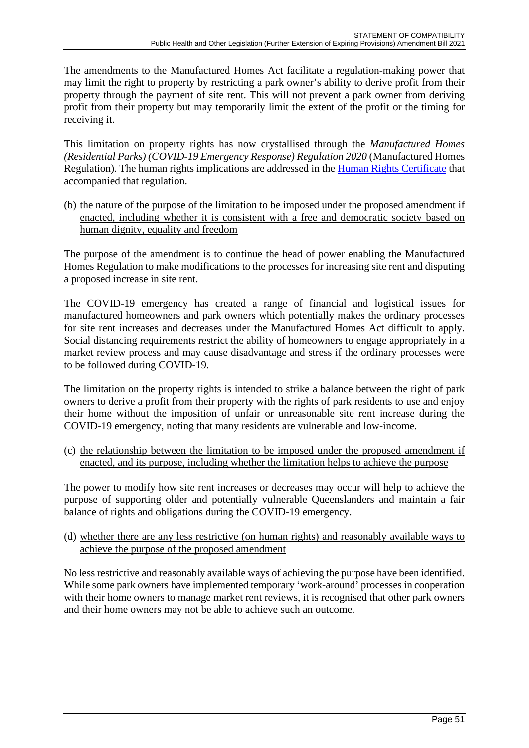The amendments to the Manufactured Homes Act facilitate a regulation-making power that may limit the right to property by restricting a park owner's ability to derive profit from their property through the payment of site rent. This will not prevent a park owner from deriving profit from their property but may temporarily limit the extent of the profit or the timing for receiving it.

This limitation on property rights has now crystallised through the *Manufactured Homes (Residential Parks) (COVID-19 Emergency Response) Regulation 2020* (Manufactured Homes Regulation). The human rights implications are addressed in the [Human Rights Certificate](https://www.legislation.qld.gov.au/view/pdf/published.hrc/sl-2020-0222) that accompanied that regulation.

(b) the nature of the purpose of the limitation to be imposed under the proposed amendment if enacted, including whether it is consistent with a free and democratic society based on human dignity, equality and freedom

The purpose of the amendment is to continue the head of power enabling the Manufactured Homes Regulation to make modifications to the processes for increasing site rent and disputing a proposed increase in site rent.

The COVID-19 emergency has created a range of financial and logistical issues for manufactured homeowners and park owners which potentially makes the ordinary processes for site rent increases and decreases under the Manufactured Homes Act difficult to apply. Social distancing requirements restrict the ability of homeowners to engage appropriately in a market review process and may cause disadvantage and stress if the ordinary processes were to be followed during COVID-19.

The limitation on the property rights is intended to strike a balance between the right of park owners to derive a profit from their property with the rights of park residents to use and enjoy their home without the imposition of unfair or unreasonable site rent increase during the COVID-19 emergency, noting that many residents are vulnerable and low-income.

(c) the relationship between the limitation to be imposed under the proposed amendment if enacted, and its purpose, including whether the limitation helps to achieve the purpose

The power to modify how site rent increases or decreases may occur will help to achieve the purpose of supporting older and potentially vulnerable Queenslanders and maintain a fair balance of rights and obligations during the COVID-19 emergency.

(d) whether there are any less restrictive (on human rights) and reasonably available ways to achieve the purpose of the proposed amendment

No less restrictive and reasonably available ways of achieving the purpose have been identified. While some park owners have implemented temporary 'work-around' processes in cooperation with their home owners to manage market rent reviews, it is recognised that other park owners and their home owners may not be able to achieve such an outcome.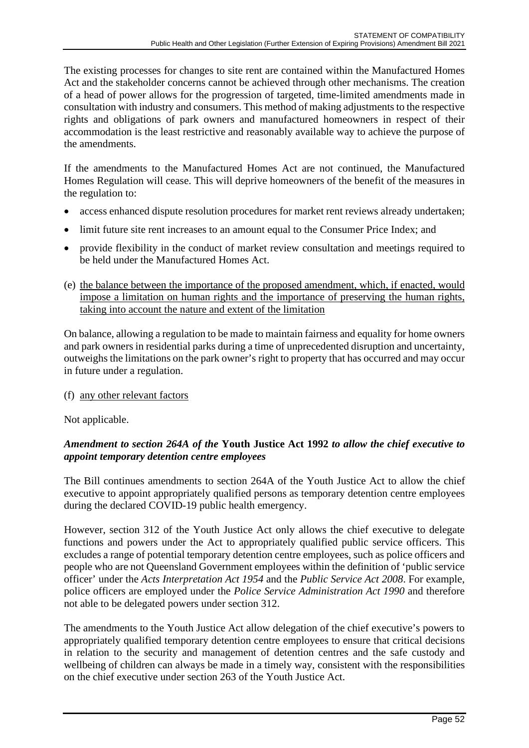The existing processes for changes to site rent are contained within the Manufactured Homes Act and the stakeholder concerns cannot be achieved through other mechanisms. The creation of a head of power allows for the progression of targeted, time-limited amendments made in consultation with industry and consumers. This method of making adjustments to the respective rights and obligations of park owners and manufactured homeowners in respect of their accommodation is the least restrictive and reasonably available way to achieve the purpose of the amendments.

If the amendments to the Manufactured Homes Act are not continued, the Manufactured Homes Regulation will cease. This will deprive homeowners of the benefit of the measures in the regulation to:

- access enhanced dispute resolution procedures for market rent reviews already undertaken;
- limit future site rent increases to an amount equal to the Consumer Price Index; and
- provide flexibility in the conduct of market review consultation and meetings required to be held under the Manufactured Homes Act.
- (e) the balance between the importance of the proposed amendment, which, if enacted, would impose a limitation on human rights and the importance of preserving the human rights, taking into account the nature and extent of the limitation

On balance, allowing a regulation to be made to maintain fairness and equality for home owners and park owners in residential parks during a time of unprecedented disruption and uncertainty, outweighs the limitations on the park owner's right to property that has occurred and may occur in future under a regulation.

(f) any other relevant factors

Not applicable.

# *Amendment to section 264A of the* **Youth Justice Act 1992** *to allow the chief executive to appoint temporary detention centre employees*

The Bill continues amendments to section 264A of the Youth Justice Act to allow the chief executive to appoint appropriately qualified persons as temporary detention centre employees during the declared COVID-19 public health emergency.

However, section 312 of the Youth Justice Act only allows the chief executive to delegate functions and powers under the Act to appropriately qualified public service officers. This excludes a range of potential temporary detention centre employees, such as police officers and people who are not Queensland Government employees within the definition of 'public service officer' under the *Acts Interpretation Act 1954* and the *Public Service Act 2008*. For example, police officers are employed under the *Police Service Administration Act 1990* and therefore not able to be delegated powers under section 312.

The amendments to the Youth Justice Act allow delegation of the chief executive's powers to appropriately qualified temporary detention centre employees to ensure that critical decisions in relation to the security and management of detention centres and the safe custody and wellbeing of children can always be made in a timely way, consistent with the responsibilities on the chief executive under section 263 of the Youth Justice Act.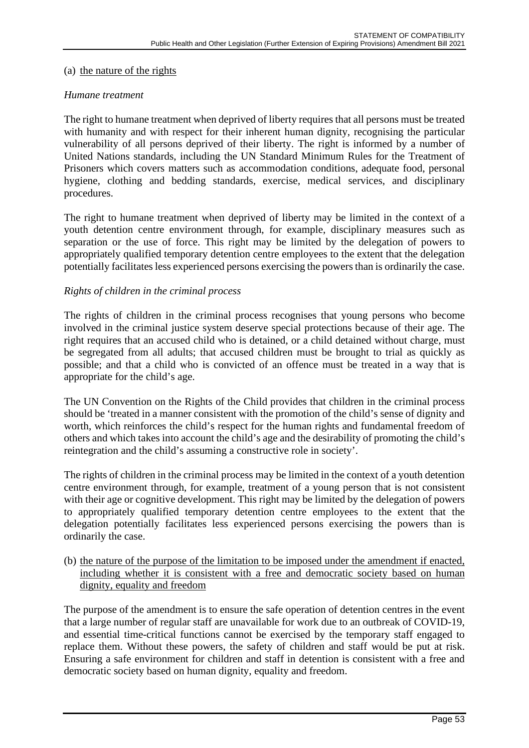#### (a) the nature of the rights

#### *Humane treatment*

The right to humane treatment when deprived of liberty requires that all persons must be treated with humanity and with respect for their inherent human dignity, recognising the particular vulnerability of all persons deprived of their liberty. The right is informed by a number of United Nations standards, including the UN Standard Minimum Rules for the Treatment of Prisoners which covers matters such as accommodation conditions, adequate food, personal hygiene, clothing and bedding standards, exercise, medical services, and disciplinary procedures.

The right to humane treatment when deprived of liberty may be limited in the context of a youth detention centre environment through, for example, disciplinary measures such as separation or the use of force. This right may be limited by the delegation of powers to appropriately qualified temporary detention centre employees to the extent that the delegation potentially facilitates less experienced persons exercising the powers than is ordinarily the case.

#### *Rights of children in the criminal process*

The rights of children in the criminal process recognises that young persons who become involved in the criminal justice system deserve special protections because of their age. The right requires that an accused child who is detained, or a child detained without charge, must be segregated from all adults; that accused children must be brought to trial as quickly as possible; and that a child who is convicted of an offence must be treated in a way that is appropriate for the child's age.

The UN Convention on the Rights of the Child provides that children in the criminal process should be 'treated in a manner consistent with the promotion of the child's sense of dignity and worth, which reinforces the child's respect for the human rights and fundamental freedom of others and which takes into account the child's age and the desirability of promoting the child's reintegration and the child's assuming a constructive role in society'.

The rights of children in the criminal process may be limited in the context of a youth detention centre environment through, for example, treatment of a young person that is not consistent with their age or cognitive development. This right may be limited by the delegation of powers to appropriately qualified temporary detention centre employees to the extent that the delegation potentially facilitates less experienced persons exercising the powers than is ordinarily the case.

(b) the nature of the purpose of the limitation to be imposed under the amendment if enacted, including whether it is consistent with a free and democratic society based on human dignity, equality and freedom

The purpose of the amendment is to ensure the safe operation of detention centres in the event that a large number of regular staff are unavailable for work due to an outbreak of COVID-19, and essential time-critical functions cannot be exercised by the temporary staff engaged to replace them. Without these powers, the safety of children and staff would be put at risk. Ensuring a safe environment for children and staff in detention is consistent with a free and democratic society based on human dignity, equality and freedom.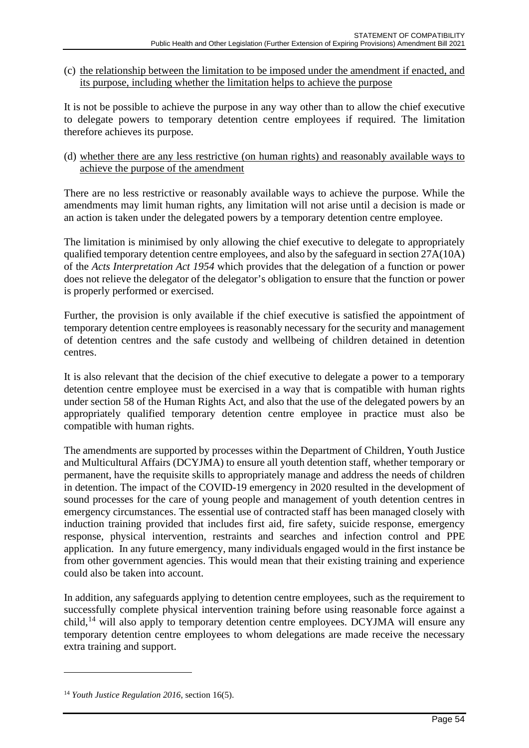(c) the relationship between the limitation to be imposed under the amendment if enacted, and its purpose, including whether the limitation helps to achieve the purpose

It is not be possible to achieve the purpose in any way other than to allow the chief executive to delegate powers to temporary detention centre employees if required. The limitation therefore achieves its purpose.

(d) whether there are any less restrictive (on human rights) and reasonably available ways to achieve the purpose of the amendment

There are no less restrictive or reasonably available ways to achieve the purpose. While the amendments may limit human rights, any limitation will not arise until a decision is made or an action is taken under the delegated powers by a temporary detention centre employee.

The limitation is minimised by only allowing the chief executive to delegate to appropriately qualified temporary detention centre employees, and also by the safeguard in section 27A(10A) of the *Acts Interpretation Act 1954* which provides that the delegation of a function or power does not relieve the delegator of the delegator's obligation to ensure that the function or power is properly performed or exercised.

Further, the provision is only available if the chief executive is satisfied the appointment of temporary detention centre employees is reasonably necessary for the security and management of detention centres and the safe custody and wellbeing of children detained in detention centres.

It is also relevant that the decision of the chief executive to delegate a power to a temporary detention centre employee must be exercised in a way that is compatible with human rights under section 58 of the Human Rights Act, and also that the use of the delegated powers by an appropriately qualified temporary detention centre employee in practice must also be compatible with human rights.

The amendments are supported by processes within the Department of Children, Youth Justice and Multicultural Affairs (DCYJMA) to ensure all youth detention staff, whether temporary or permanent, have the requisite skills to appropriately manage and address the needs of children in detention. The impact of the COVID-19 emergency in 2020 resulted in the development of sound processes for the care of young people and management of youth detention centres in emergency circumstances. The essential use of contracted staff has been managed closely with induction training provided that includes first aid, fire safety, suicide response, emergency response, physical intervention, restraints and searches and infection control and PPE application. In any future emergency, many individuals engaged would in the first instance be from other government agencies. This would mean that their existing training and experience could also be taken into account.

In addition, any safeguards applying to detention centre employees, such as the requirement to successfully complete physical intervention training before using reasonable force against a child, [14](#page-53-0) will also apply to temporary detention centre employees. DCYJMA will ensure any temporary detention centre employees to whom delegations are made receive the necessary extra training and support.

<span id="page-53-0"></span><sup>14</sup> *Youth Justice Regulation 2016*, section 16(5).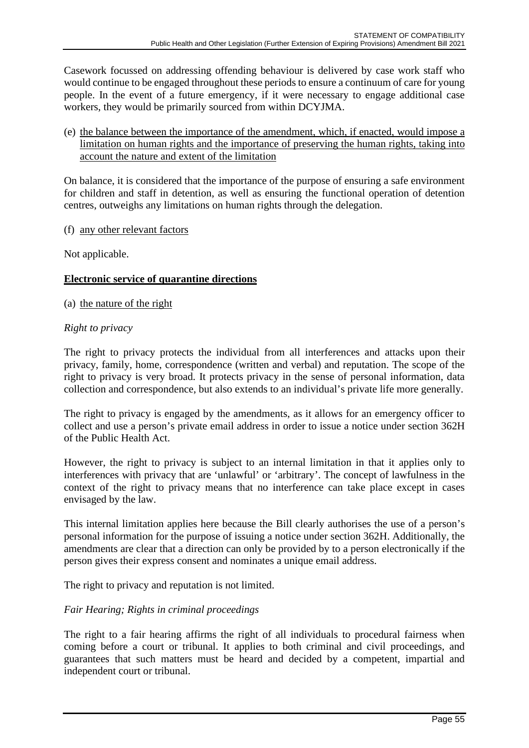Casework focussed on addressing offending behaviour is delivered by case work staff who would continue to be engaged throughout these periods to ensure a continuum of care for young people. In the event of a future emergency, if it were necessary to engage additional case workers, they would be primarily sourced from within DCYJMA.

(e) the balance between the importance of the amendment, which, if enacted, would impose a limitation on human rights and the importance of preserving the human rights, taking into account the nature and extent of the limitation

On balance, it is considered that the importance of the purpose of ensuring a safe environment for children and staff in detention, as well as ensuring the functional operation of detention centres, outweighs any limitations on human rights through the delegation.

(f) any other relevant factors

Not applicable.

## **Electronic service of quarantine directions**

(a) the nature of the right

#### *Right to privacy*

The right to privacy protects the individual from all interferences and attacks upon their privacy, family, home, correspondence (written and verbal) and reputation. The scope of the right to privacy is very broad. It protects privacy in the sense of personal information, data collection and correspondence, but also extends to an individual's private life more generally.

The right to privacy is engaged by the amendments, as it allows for an emergency officer to collect and use a person's private email address in order to issue a notice under section 362H of the Public Health Act.

However, the right to privacy is subject to an internal limitation in that it applies only to interferences with privacy that are 'unlawful' or 'arbitrary'. The concept of lawfulness in the context of the right to privacy means that no interference can take place except in cases envisaged by the law.

This internal limitation applies here because the Bill clearly authorises the use of a person's personal information for the purpose of issuing a notice under section 362H. Additionally, the amendments are clear that a direction can only be provided by to a person electronically if the person gives their express consent and nominates a unique email address.

The right to privacy and reputation is not limited.

## *Fair Hearing; Rights in criminal proceedings*

The right to a fair hearing affirms the right of all individuals to procedural fairness when coming before a court or tribunal. It applies to both criminal and civil proceedings, and guarantees that such matters must be heard and decided by a competent, impartial and independent court or tribunal.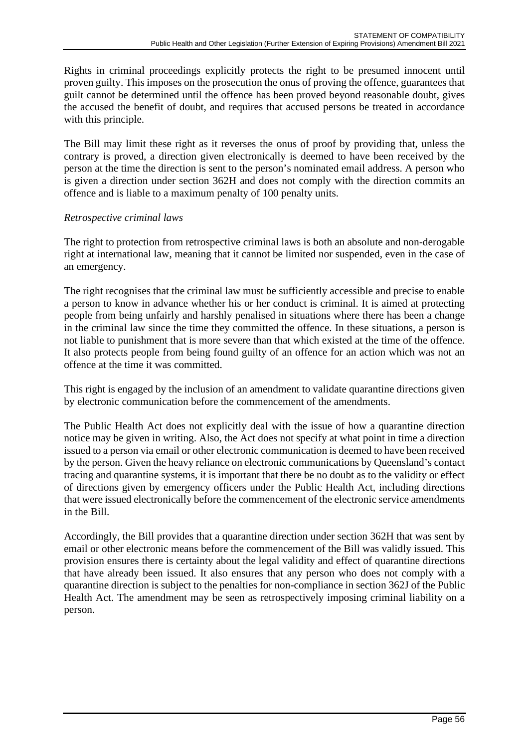Rights in criminal proceedings explicitly protects the right to be presumed innocent until proven guilty. This imposes on the prosecution the onus of proving the offence, guarantees that guilt cannot be determined until the offence has been proved beyond reasonable doubt, gives the accused the benefit of doubt, and requires that accused persons be treated in accordance with this principle.

The Bill may limit these right as it reverses the onus of proof by providing that, unless the contrary is proved, a direction given electronically is deemed to have been received by the person at the time the direction is sent to the person's nominated email address. A person who is given a direction under section 362H and does not comply with the direction commits an offence and is liable to a maximum penalty of 100 penalty units.

## *Retrospective criminal laws*

The right to protection from retrospective criminal laws is both an absolute and non-derogable right at international law, meaning that it cannot be limited nor suspended, even in the case of an emergency.

The right recognises that the criminal law must be sufficiently accessible and precise to enable a person to know in advance whether his or her conduct is criminal. It is aimed at protecting people from being unfairly and harshly penalised in situations where there has been a change in the criminal law since the time they committed the offence. In these situations, a person is not liable to punishment that is more severe than that which existed at the time of the offence. It also protects people from being found guilty of an offence for an action which was not an offence at the time it was committed.

This right is engaged by the inclusion of an amendment to validate quarantine directions given by electronic communication before the commencement of the amendments.

The Public Health Act does not explicitly deal with the issue of how a quarantine direction notice may be given in writing. Also, the Act does not specify at what point in time a direction issued to a person via email or other electronic communication is deemed to have been received by the person. Given the heavy reliance on electronic communications by Queensland's contact tracing and quarantine systems, it is important that there be no doubt as to the validity or effect of directions given by emergency officers under the Public Health Act, including directions that were issued electronically before the commencement of the electronic service amendments in the Bill.

Accordingly, the Bill provides that a quarantine direction under section 362H that was sent by email or other electronic means before the commencement of the Bill was validly issued. This provision ensures there is certainty about the legal validity and effect of quarantine directions that have already been issued. It also ensures that any person who does not comply with a quarantine direction is subject to the penalties for non-compliance in section 362J of the Public Health Act. The amendment may be seen as retrospectively imposing criminal liability on a person.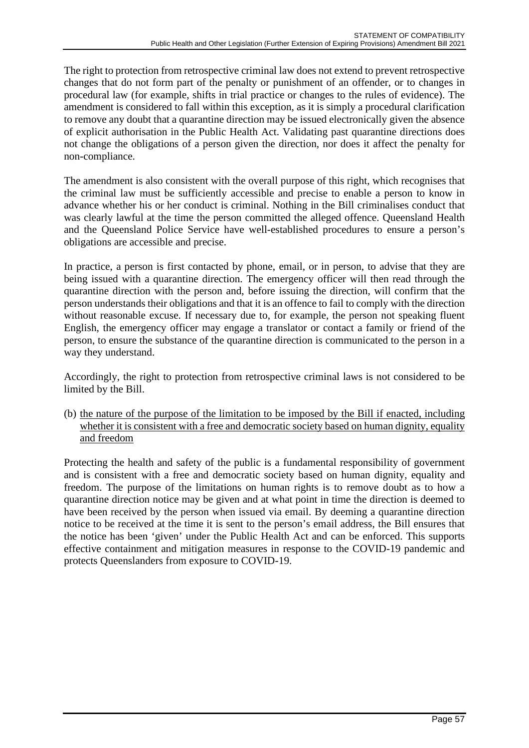The right to protection from retrospective criminal law does not extend to prevent retrospective changes that do not form part of the penalty or punishment of an offender, or to changes in procedural law (for example, shifts in trial practice or changes to the rules of evidence). The amendment is considered to fall within this exception, as it is simply a procedural clarification to remove any doubt that a quarantine direction may be issued electronically given the absence of explicit authorisation in the Public Health Act. Validating past quarantine directions does not change the obligations of a person given the direction, nor does it affect the penalty for non-compliance.

The amendment is also consistent with the overall purpose of this right, which recognises that the criminal law must be sufficiently accessible and precise to enable a person to know in advance whether his or her conduct is criminal. Nothing in the Bill criminalises conduct that was clearly lawful at the time the person committed the alleged offence. Queensland Health and the Queensland Police Service have well-established procedures to ensure a person's obligations are accessible and precise.

In practice, a person is first contacted by phone, email, or in person, to advise that they are being issued with a quarantine direction. The emergency officer will then read through the quarantine direction with the person and, before issuing the direction, will confirm that the person understands their obligations and that it is an offence to fail to comply with the direction without reasonable excuse. If necessary due to, for example, the person not speaking fluent English, the emergency officer may engage a translator or contact a family or friend of the person, to ensure the substance of the quarantine direction is communicated to the person in a way they understand.

Accordingly, the right to protection from retrospective criminal laws is not considered to be limited by the Bill.

(b) the nature of the purpose of the limitation to be imposed by the Bill if enacted, including whether it is consistent with a free and democratic society based on human dignity, equality and freedom

Protecting the health and safety of the public is a fundamental responsibility of government and is consistent with a free and democratic society based on human dignity, equality and freedom. The purpose of the limitations on human rights is to remove doubt as to how a quarantine direction notice may be given and at what point in time the direction is deemed to have been received by the person when issued via email. By deeming a quarantine direction notice to be received at the time it is sent to the person's email address, the Bill ensures that the notice has been 'given' under the Public Health Act and can be enforced. This supports effective containment and mitigation measures in response to the COVID-19 pandemic and protects Queenslanders from exposure to COVID-19.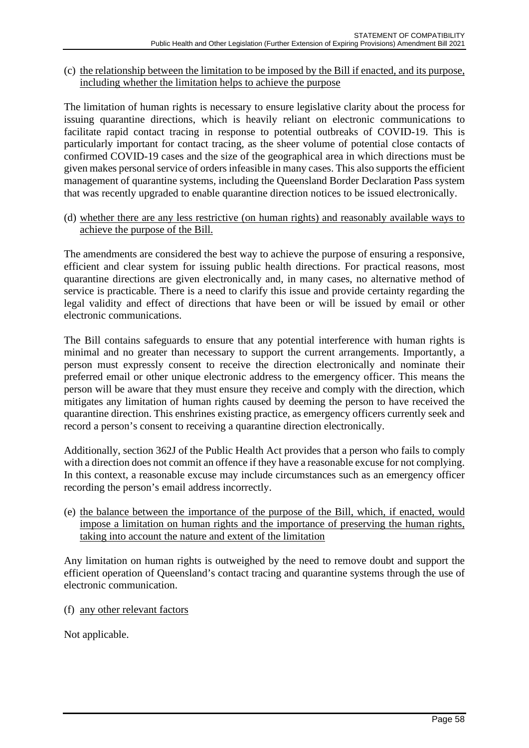#### (c) the relationship between the limitation to be imposed by the Bill if enacted, and its purpose, including whether the limitation helps to achieve the purpose

The limitation of human rights is necessary to ensure legislative clarity about the process for issuing quarantine directions, which is heavily reliant on electronic communications to facilitate rapid contact tracing in response to potential outbreaks of COVID-19. This is particularly important for contact tracing, as the sheer volume of potential close contacts of confirmed COVID-19 cases and the size of the geographical area in which directions must be given makes personal service of orders infeasible in many cases. This also supports the efficient management of quarantine systems, including the Queensland Border Declaration Pass system that was recently upgraded to enable quarantine direction notices to be issued electronically.

(d) whether there are any less restrictive (on human rights) and reasonably available ways to achieve the purpose of the Bill.

The amendments are considered the best way to achieve the purpose of ensuring a responsive, efficient and clear system for issuing public health directions. For practical reasons, most quarantine directions are given electronically and, in many cases, no alternative method of service is practicable. There is a need to clarify this issue and provide certainty regarding the legal validity and effect of directions that have been or will be issued by email or other electronic communications.

The Bill contains safeguards to ensure that any potential interference with human rights is minimal and no greater than necessary to support the current arrangements. Importantly, a person must expressly consent to receive the direction electronically and nominate their preferred email or other unique electronic address to the emergency officer. This means the person will be aware that they must ensure they receive and comply with the direction, which mitigates any limitation of human rights caused by deeming the person to have received the quarantine direction. This enshrines existing practice, as emergency officers currently seek and record a person's consent to receiving a quarantine direction electronically.

Additionally, section 362J of the Public Health Act provides that a person who fails to comply with a direction does not commit an offence if they have a reasonable excuse for not complying. In this context, a reasonable excuse may include circumstances such as an emergency officer recording the person's email address incorrectly.

(e) the balance between the importance of the purpose of the Bill, which, if enacted, would impose a limitation on human rights and the importance of preserving the human rights, taking into account the nature and extent of the limitation

Any limitation on human rights is outweighed by the need to remove doubt and support the efficient operation of Queensland's contact tracing and quarantine systems through the use of electronic communication.

(f) any other relevant factors

Not applicable.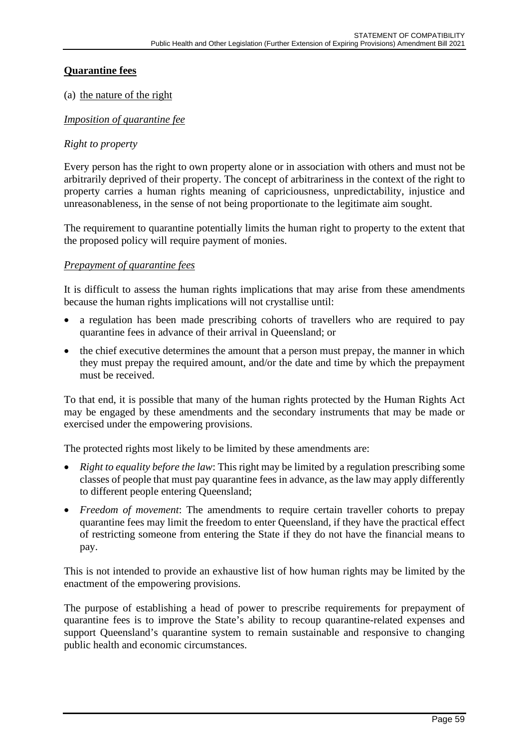# **Quarantine fees**

#### (a) the nature of the right

#### *Imposition of quarantine fee*

#### *Right to property*

Every person has the right to own property alone or in association with others and must not be arbitrarily deprived of their property. The concept of arbitrariness in the context of the right to property carries a human rights meaning of capriciousness, unpredictability, injustice and unreasonableness, in the sense of not being proportionate to the legitimate aim sought.

The requirement to quarantine potentially limits the human right to property to the extent that the proposed policy will require payment of monies.

#### *Prepayment of quarantine fees*

It is difficult to assess the human rights implications that may arise from these amendments because the human rights implications will not crystallise until:

- a regulation has been made prescribing cohorts of travellers who are required to pay quarantine fees in advance of their arrival in Queensland; or
- the chief executive determines the amount that a person must prepay, the manner in which they must prepay the required amount, and/or the date and time by which the prepayment must be received.

To that end, it is possible that many of the human rights protected by the Human Rights Act may be engaged by these amendments and the secondary instruments that may be made or exercised under the empowering provisions.

The protected rights most likely to be limited by these amendments are:

- *Right to equality before the law*: This right may be limited by a regulation prescribing some classes of people that must pay quarantine fees in advance, as the law may apply differently to different people entering Queensland;
- *Freedom of movement*: The amendments to require certain traveller cohorts to prepay quarantine fees may limit the freedom to enter Queensland, if they have the practical effect of restricting someone from entering the State if they do not have the financial means to pay.

This is not intended to provide an exhaustive list of how human rights may be limited by the enactment of the empowering provisions.

The purpose of establishing a head of power to prescribe requirements for prepayment of quarantine fees is to improve the State's ability to recoup quarantine-related expenses and support Queensland's quarantine system to remain sustainable and responsive to changing public health and economic circumstances.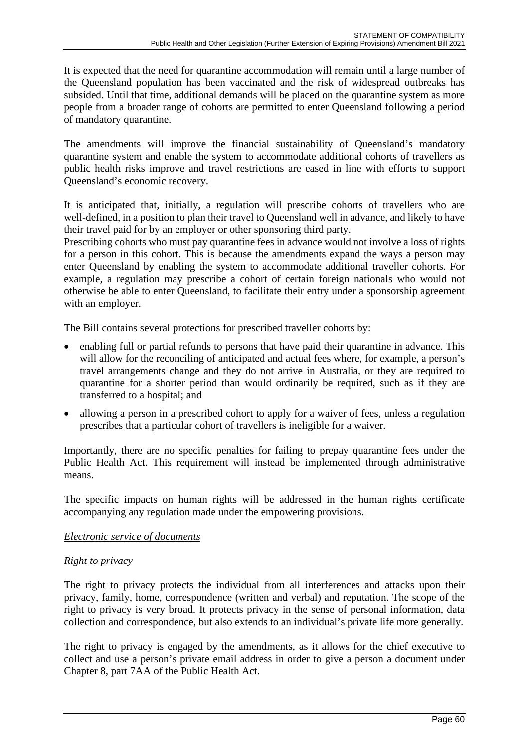It is expected that the need for quarantine accommodation will remain until a large number of the Queensland population has been vaccinated and the risk of widespread outbreaks has subsided. Until that time, additional demands will be placed on the quarantine system as more people from a broader range of cohorts are permitted to enter Queensland following a period of mandatory quarantine.

The amendments will improve the financial sustainability of Queensland's mandatory quarantine system and enable the system to accommodate additional cohorts of travellers as public health risks improve and travel restrictions are eased in line with efforts to support Queensland's economic recovery.

It is anticipated that, initially, a regulation will prescribe cohorts of travellers who are well-defined, in a position to plan their travel to Queensland well in advance, and likely to have their travel paid for by an employer or other sponsoring third party.

Prescribing cohorts who must pay quarantine fees in advance would not involve a loss of rights for a person in this cohort. This is because the amendments expand the ways a person may enter Queensland by enabling the system to accommodate additional traveller cohorts. For example, a regulation may prescribe a cohort of certain foreign nationals who would not otherwise be able to enter Queensland, to facilitate their entry under a sponsorship agreement with an employer.

The Bill contains several protections for prescribed traveller cohorts by:

- enabling full or partial refunds to persons that have paid their quarantine in advance. This will allow for the reconciling of anticipated and actual fees where, for example, a person's travel arrangements change and they do not arrive in Australia, or they are required to quarantine for a shorter period than would ordinarily be required, such as if they are transferred to a hospital; and
- allowing a person in a prescribed cohort to apply for a waiver of fees, unless a regulation prescribes that a particular cohort of travellers is ineligible for a waiver.

Importantly, there are no specific penalties for failing to prepay quarantine fees under the Public Health Act. This requirement will instead be implemented through administrative means.

The specific impacts on human rights will be addressed in the human rights certificate accompanying any regulation made under the empowering provisions.

## *Electronic service of documents*

## *Right to privacy*

The right to privacy protects the individual from all interferences and attacks upon their privacy, family, home, correspondence (written and verbal) and reputation. The scope of the right to privacy is very broad. It protects privacy in the sense of personal information, data collection and correspondence, but also extends to an individual's private life more generally.

The right to privacy is engaged by the amendments, as it allows for the chief executive to collect and use a person's private email address in order to give a person a document under Chapter 8, part 7AA of the Public Health Act.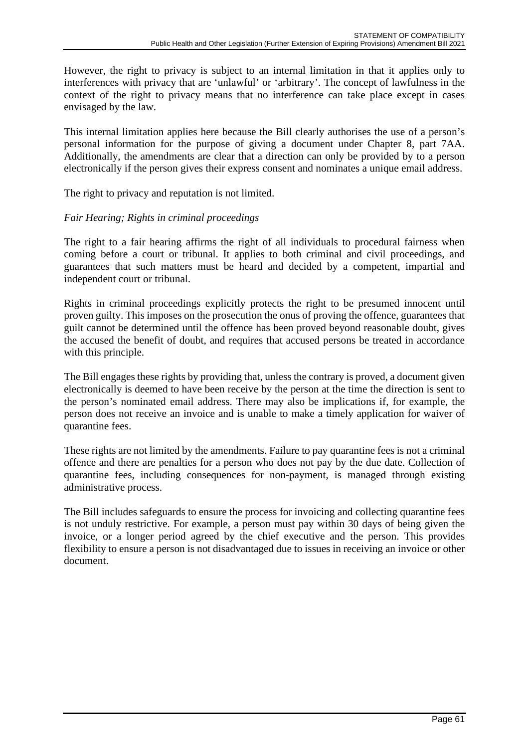However, the right to privacy is subject to an internal limitation in that it applies only to interferences with privacy that are 'unlawful' or 'arbitrary'. The concept of lawfulness in the context of the right to privacy means that no interference can take place except in cases envisaged by the law.

This internal limitation applies here because the Bill clearly authorises the use of a person's personal information for the purpose of giving a document under Chapter 8, part 7AA. Additionally, the amendments are clear that a direction can only be provided by to a person electronically if the person gives their express consent and nominates a unique email address.

The right to privacy and reputation is not limited.

## *Fair Hearing; Rights in criminal proceedings*

The right to a fair hearing affirms the right of all individuals to procedural fairness when coming before a court or tribunal. It applies to both criminal and civil proceedings, and guarantees that such matters must be heard and decided by a competent, impartial and independent court or tribunal.

Rights in criminal proceedings explicitly protects the right to be presumed innocent until proven guilty. This imposes on the prosecution the onus of proving the offence, guarantees that guilt cannot be determined until the offence has been proved beyond reasonable doubt, gives the accused the benefit of doubt, and requires that accused persons be treated in accordance with this principle.

The Bill engages these rights by providing that, unless the contrary is proved, a document given electronically is deemed to have been receive by the person at the time the direction is sent to the person's nominated email address. There may also be implications if, for example, the person does not receive an invoice and is unable to make a timely application for waiver of quarantine fees.

These rights are not limited by the amendments. Failure to pay quarantine fees is not a criminal offence and there are penalties for a person who does not pay by the due date. Collection of quarantine fees, including consequences for non-payment, is managed through existing administrative process.

The Bill includes safeguards to ensure the process for invoicing and collecting quarantine fees is not unduly restrictive. For example, a person must pay within 30 days of being given the invoice, or a longer period agreed by the chief executive and the person. This provides flexibility to ensure a person is not disadvantaged due to issues in receiving an invoice or other document.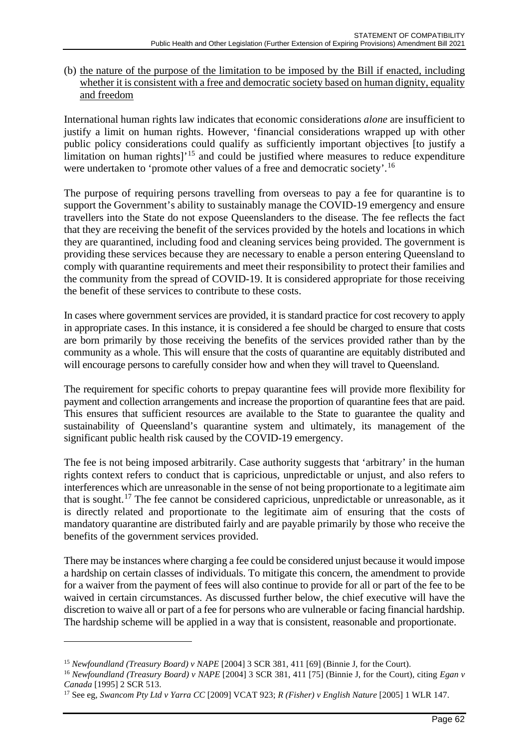## (b) the nature of the purpose of the limitation to be imposed by the Bill if enacted, including whether it is consistent with a free and democratic society based on human dignity, equality and freedom

International human rights law indicates that economic considerations *alone* are insufficient to justify a limit on human rights. However, 'financial considerations wrapped up with other public policy considerations could qualify as sufficiently important objectives [to justify a limitation on human rights] $15$  and could be justified where measures to reduce expenditure were undertaken to 'promote other values of a free and democratic society'.<sup>[16](#page-61-1)</sup>

The purpose of requiring persons travelling from overseas to pay a fee for quarantine is to support the Government's ability to sustainably manage the COVID-19 emergency and ensure travellers into the State do not expose Queenslanders to the disease. The fee reflects the fact that they are receiving the benefit of the services provided by the hotels and locations in which they are quarantined, including food and cleaning services being provided. The government is providing these services because they are necessary to enable a person entering Queensland to comply with quarantine requirements and meet their responsibility to protect their families and the community from the spread of COVID-19. It is considered appropriate for those receiving the benefit of these services to contribute to these costs.

In cases where government services are provided, it is standard practice for cost recovery to apply in appropriate cases. In this instance, it is considered a fee should be charged to ensure that costs are born primarily by those receiving the benefits of the services provided rather than by the community as a whole. This will ensure that the costs of quarantine are equitably distributed and will encourage persons to carefully consider how and when they will travel to Queensland.

The requirement for specific cohorts to prepay quarantine fees will provide more flexibility for payment and collection arrangements and increase the proportion of quarantine fees that are paid. This ensures that sufficient resources are available to the State to guarantee the quality and sustainability of Queensland's quarantine system and ultimately, its management of the significant public health risk caused by the COVID-19 emergency.

The fee is not being imposed arbitrarily. Case authority suggests that 'arbitrary' in the human rights context refers to conduct that is capricious, unpredictable or unjust, and also refers to interferences which are unreasonable in the sense of not being proportionate to a legitimate aim that is sought.<sup>[17](#page-61-2)</sup> The fee cannot be considered capricious, unpredictable or unreasonable, as it is directly related and proportionate to the legitimate aim of ensuring that the costs of mandatory quarantine are distributed fairly and are payable primarily by those who receive the benefits of the government services provided.

There may be instances where charging a fee could be considered unjust because it would impose a hardship on certain classes of individuals. To mitigate this concern, the amendment to provide for a waiver from the payment of fees will also continue to provide for all or part of the fee to be waived in certain circumstances. As discussed further below, the chief executive will have the discretion to waive all or part of a fee for persons who are vulnerable or facing financial hardship. The hardship scheme will be applied in a way that is consistent, reasonable and proportionate.

<sup>&</sup>lt;sup>15</sup> *Newfoundland (Treasury Board) v NAPE* [2004] 3 SCR 381, 411 [69] (Binnie J, for the Court).

<span id="page-61-1"></span><span id="page-61-0"></span><sup>16</sup> *Newfoundland (Treasury Board) v NAPE* [2004] 3 SCR 381, 411 [75] (Binnie J, for the Court), citing *Egan v Canada* [1995] 2 SCR 513.

<span id="page-61-2"></span><sup>17</sup> See eg, *Swancom Pty Ltd v Yarra CC* [2009] VCAT 923; *R (Fisher) v English Nature* [2005] 1 WLR 147.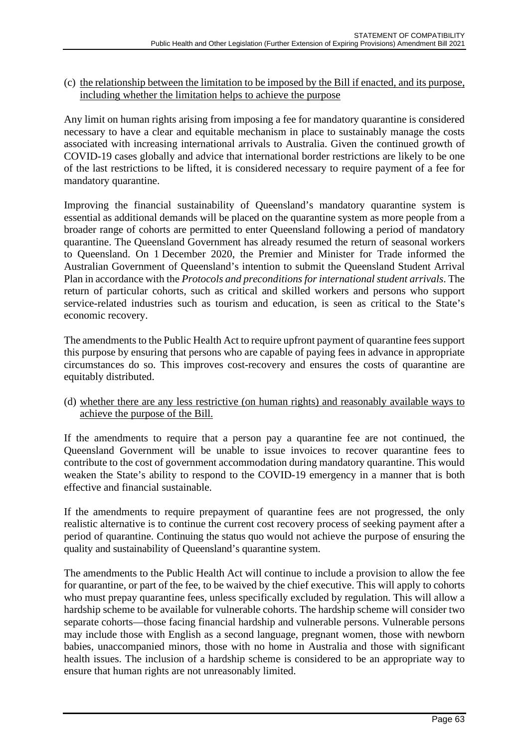#### (c) the relationship between the limitation to be imposed by the Bill if enacted, and its purpose, including whether the limitation helps to achieve the purpose

Any limit on human rights arising from imposing a fee for mandatory quarantine is considered necessary to have a clear and equitable mechanism in place to sustainably manage the costs associated with increasing international arrivals to Australia. Given the continued growth of COVID-19 cases globally and advice that international border restrictions are likely to be one of the last restrictions to be lifted, it is considered necessary to require payment of a fee for mandatory quarantine.

Improving the financial sustainability of Queensland's mandatory quarantine system is essential as additional demands will be placed on the quarantine system as more people from a broader range of cohorts are permitted to enter Queensland following a period of mandatory quarantine. The Queensland Government has already resumed the return of seasonal workers to Queensland. On 1 December 2020, the Premier and Minister for Trade informed the Australian Government of Queensland's intention to submit the Queensland Student Arrival Plan in accordance with the *Protocols and preconditions for international student arrivals*. The return of particular cohorts, such as critical and skilled workers and persons who support service-related industries such as tourism and education, is seen as critical to the State's economic recovery.

The amendments to the Public Health Act to require upfront payment of quarantine fees support this purpose by ensuring that persons who are capable of paying fees in advance in appropriate circumstances do so. This improves cost-recovery and ensures the costs of quarantine are equitably distributed.

#### (d) whether there are any less restrictive (on human rights) and reasonably available ways to achieve the purpose of the Bill.

If the amendments to require that a person pay a quarantine fee are not continued, the Queensland Government will be unable to issue invoices to recover quarantine fees to contribute to the cost of government accommodation during mandatory quarantine. This would weaken the State's ability to respond to the COVID-19 emergency in a manner that is both effective and financial sustainable.

If the amendments to require prepayment of quarantine fees are not progressed, the only realistic alternative is to continue the current cost recovery process of seeking payment after a period of quarantine. Continuing the status quo would not achieve the purpose of ensuring the quality and sustainability of Queensland's quarantine system.

The amendments to the Public Health Act will continue to include a provision to allow the fee for quarantine, or part of the fee, to be waived by the chief executive. This will apply to cohorts who must prepay quarantine fees, unless specifically excluded by regulation. This will allow a hardship scheme to be available for vulnerable cohorts. The hardship scheme will consider two separate cohorts—those facing financial hardship and vulnerable persons. Vulnerable persons may include those with English as a second language, pregnant women, those with newborn babies, unaccompanied minors, those with no home in Australia and those with significant health issues. The inclusion of a hardship scheme is considered to be an appropriate way to ensure that human rights are not unreasonably limited.